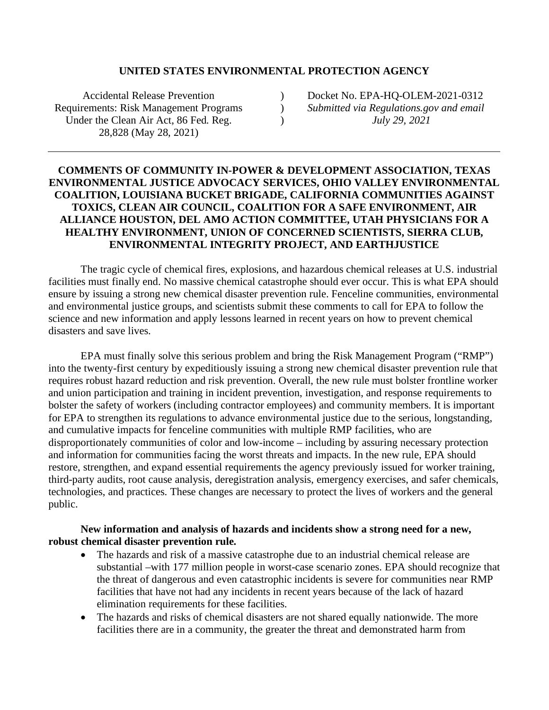#### **UNITED STATES ENVIRONMENTAL PROTECTION AGENCY**

 $\lambda$ )  $\lambda$ 

Accidental Release Prevention Requirements: Risk Management Programs Under the Clean Air Act, 86 Fed. Reg. 28,828 (May 28, 2021)

Docket No. EPA-HQ-OLEM-2021-0312 *Submitted via Regulations.gov and email July 29, 2021*

## **COMMENTS OF COMMUNITY IN-POWER & DEVELOPMENT ASSOCIATION, TEXAS ENVIRONMENTAL JUSTICE ADVOCACY SERVICES, OHIO VALLEY ENVIRONMENTAL COALITION, LOUISIANA BUCKET BRIGADE, CALIFORNIA COMMUNITIES AGAINST TOXICS, CLEAN AIR COUNCIL, COALITION FOR A SAFE ENVIRONMENT, AIR ALLIANCE HOUSTON, DEL AMO ACTION COMMITTEE, UTAH PHYSICIANS FOR A HEALTHY ENVIRONMENT, UNION OF CONCERNED SCIENTISTS, SIERRA CLUB, ENVIRONMENTAL INTEGRITY PROJECT, AND EARTHJUSTICE**

The tragic cycle of chemical fires, explosions, and hazardous chemical releases at U.S. industrial facilities must finally end. No massive chemical catastrophe should ever occur. This is what EPA should ensure by issuing a strong new chemical disaster prevention rule. Fenceline communities, environmental and environmental justice groups, and scientists submit these comments to call for EPA to follow the science and new information and apply lessons learned in recent years on how to prevent chemical disasters and save lives.

EPA must finally solve this serious problem and bring the Risk Management Program ("RMP") into the twenty-first century by expeditiously issuing a strong new chemical disaster prevention rule that requires robust hazard reduction and risk prevention. Overall, the new rule must bolster frontline worker and union participation and training in incident prevention, investigation, and response requirements to bolster the safety of workers (including contractor employees) and community members. It is important for EPA to strengthen its regulations to advance environmental justice due to the serious, longstanding, and cumulative impacts for fenceline communities with multiple RMP facilities, who are disproportionately communities of color and low-income – including by assuring necessary protection and information for communities facing the worst threats and impacts. In the new rule, EPA should restore, strengthen, and expand essential requirements the agency previously issued for worker training, third-party audits, root cause analysis, deregistration analysis, emergency exercises, and safer chemicals, technologies, and practices. These changes are necessary to protect the lives of workers and the general public.

#### **New information and analysis of hazards and incidents show a strong need for a new, robust chemical disaster prevention rule.**

- The hazards and risk of a massive catastrophe due to an industrial chemical release are substantial –with 177 million people in worst-case scenario zones. EPA should recognize that the threat of dangerous and even catastrophic incidents is severe for communities near RMP facilities that have not had any incidents in recent years because of the lack of hazard elimination requirements for these facilities.
- The hazards and risks of chemical disasters are not shared equally nationwide. The more facilities there are in a community, the greater the threat and demonstrated harm from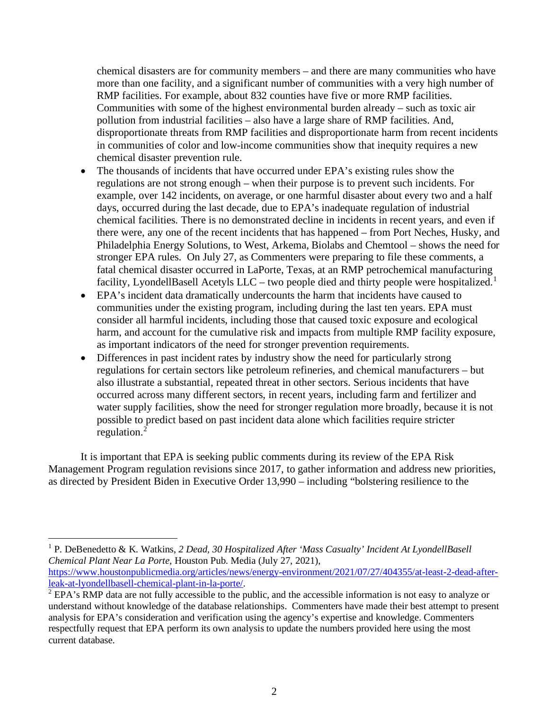chemical disasters are for community members – and there are many communities who have more than one facility, and a significant number of communities with a very high number of RMP facilities. For example, about 832 counties have five or more RMP facilities. Communities with some of the highest environmental burden already – such as toxic air pollution from industrial facilities – also have a large share of RMP facilities. And, disproportionate threats from RMP facilities and disproportionate harm from recent incidents in communities of color and low-income communities show that inequity requires a new chemical disaster prevention rule.

- The thousands of incidents that have occurred under EPA's existing rules show the regulations are not strong enough – when their purpose is to prevent such incidents. For example, over 142 incidents, on average, or one harmful disaster about every two and a half days, occurred during the last decade, due to EPA's inadequate regulation of industrial chemical facilities. There is no demonstrated decline in incidents in recent years, and even if there were, any one of the recent incidents that has happened – from Port Neches, Husky, and Philadelphia Energy Solutions, to West, Arkema, Biolabs and Chemtool – shows the need for stronger EPA rules. On July 27, as Commenters were preparing to file these comments, a fatal chemical disaster occurred in LaPorte, Texas, at an RMP petrochemical manufacturing facility, LyondellBasell Acetyls LLC – two people died and thirty people were hospitalized.<sup>1</sup>
- EPA's incident data dramatically undercounts the harm that incidents have caused to communities under the existing program, including during the last ten years. EPA must consider all harmful incidents, including those that caused toxic exposure and ecological harm, and account for the cumulative risk and impacts from multiple RMP facility exposure, as important indicators of the need for stronger prevention requirements.
- Differences in past incident rates by industry show the need for particularly strong regulations for certain sectors like petroleum refineries, and chemical manufacturers – but also illustrate a substantial, repeated threat in other sectors. Serious incidents that have occurred across many different sectors, in recent years, including farm and fertilizer and water supply facilities, show the need for stronger regulation more broadly, because it is not possible to predict based on past incident data alone which facilities require stricter regulation.<sup>2</sup>

It is important that EPA is seeking public comments during its review of the EPA Risk Management Program regulation revisions since 2017, to gather information and address new priorities, as directed by President Biden in Executive Order 13,990 – including "bolstering resilience to the

<sup>1</sup> P. DeBenedetto & K. Watkins, *2 Dead, 30 Hospitalized After 'Mass Casualty' Incident At LyondellBasell Chemical Plant Near La Porte*, Houston Pub. Media (July 27, 2021), https://www.houstonpublicmedia.org/articles/news/energy-environment/2021/07/27/404355/at-least-2-dead-afterleak-at-lyondellbasell-chemical-plant-in-la-porte/.

<sup>&</sup>lt;sup>2</sup> EPA's RMP data are not fully accessible to the public, and the accessible information is not easy to analyze or understand without knowledge of the database relationships. Commenters have made their best attempt to present analysis for EPA's consideration and verification using the agency's expertise and knowledge. Commenters respectfully request that EPA perform its own analysis to update the numbers provided here using the most current database.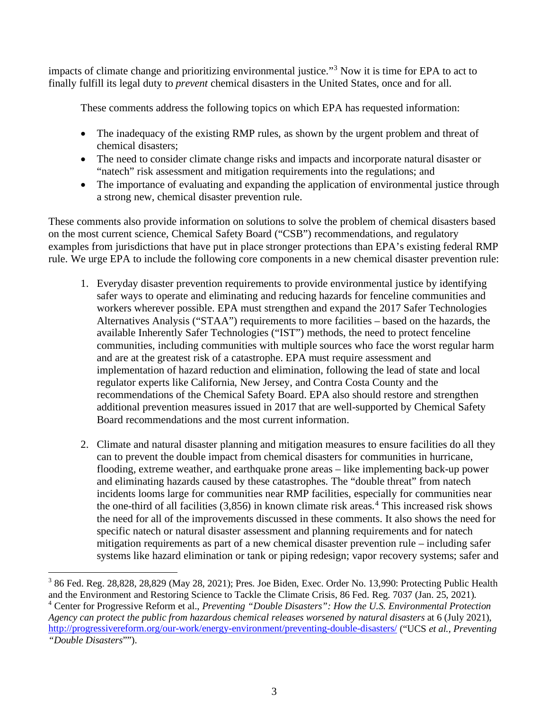impacts of climate change and prioritizing environmental justice."<sup>3</sup> Now it is time for EPA to act to finally fulfill its legal duty to *prevent* chemical disasters in the United States, once and for all.

These comments address the following topics on which EPA has requested information:

- The inadequacy of the existing RMP rules, as shown by the urgent problem and threat of chemical disasters;
- The need to consider climate change risks and impacts and incorporate natural disaster or "natech" risk assessment and mitigation requirements into the regulations; and
- The importance of evaluating and expanding the application of environmental justice through a strong new, chemical disaster prevention rule.

These comments also provide information on solutions to solve the problem of chemical disasters based on the most current science, Chemical Safety Board ("CSB") recommendations, and regulatory examples from jurisdictions that have put in place stronger protections than EPA's existing federal RMP rule. We urge EPA to include the following core components in a new chemical disaster prevention rule:

- 1. Everyday disaster prevention requirements to provide environmental justice by identifying safer ways to operate and eliminating and reducing hazards for fenceline communities and workers wherever possible. EPA must strengthen and expand the 2017 Safer Technologies Alternatives Analysis ("STAA") requirements to more facilities – based on the hazards, the available Inherently Safer Technologies ("IST") methods, the need to protect fenceline communities, including communities with multiple sources who face the worst regular harm and are at the greatest risk of a catastrophe. EPA must require assessment and implementation of hazard reduction and elimination, following the lead of state and local regulator experts like California, New Jersey, and Contra Costa County and the recommendations of the Chemical Safety Board. EPA also should restore and strengthen additional prevention measures issued in 2017 that are well-supported by Chemical Safety Board recommendations and the most current information.
- 2. Climate and natural disaster planning and mitigation measures to ensure facilities do all they can to prevent the double impact from chemical disasters for communities in hurricane, flooding, extreme weather, and earthquake prone areas – like implementing back-up power and eliminating hazards caused by these catastrophes. The "double threat" from natech incidents looms large for communities near RMP facilities, especially for communities near the one-third of all facilities  $(3,856)$  in known climate risk areas.<sup>4</sup> This increased risk shows the need for all of the improvements discussed in these comments. It also shows the need for specific natech or natural disaster assessment and planning requirements and for natech mitigation requirements as part of a new chemical disaster prevention rule – including safer systems like hazard elimination or tank or piping redesign; vapor recovery systems; safer and

<sup>&</sup>lt;sup>3</sup> 86 Fed. Reg. 28,828, 28,829 (May 28, 2021); Pres. Joe Biden, Exec. Order No. 13,990: Protecting Public Health and the Environment and Restoring Science to Tackle the Climate Crisis, 86 Fed. Reg. 7037 (Jan. 25, 2021). <sup>4</sup> Center for Progressive Reform et al., *Preventing "Double Disasters": How the U.S. Environmental Protection Agency can protect the public from hazardous chemical releases worsened by natural disasters* at 6 (July 2021), http://progressivereform.org/our-work/energy-environment/preventing-double-disasters/ ("UCS *et al., Preventing "Double Disasters*"").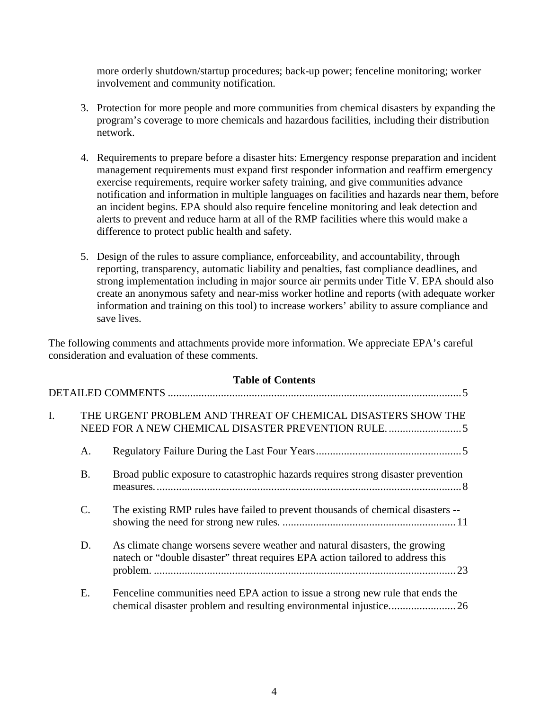more orderly shutdown/startup procedures; back-up power; fenceline monitoring; worker involvement and community notification.

- 3. Protection for more people and more communities from chemical disasters by expanding the program's coverage to more chemicals and hazardous facilities, including their distribution network.
- 4. Requirements to prepare before a disaster hits: Emergency response preparation and incident management requirements must expand first responder information and reaffirm emergency exercise requirements, require worker safety training, and give communities advance notification and information in multiple languages on facilities and hazards near them, before an incident begins. EPA should also require fenceline monitoring and leak detection and alerts to prevent and reduce harm at all of the RMP facilities where this would make a difference to protect public health and safety.
- 5. Design of the rules to assure compliance, enforceability, and accountability, through reporting, transparency, automatic liability and penalties, fast compliance deadlines, and strong implementation including in major source air permits under Title V. EPA should also create an anonymous safety and near-miss worker hotline and reports (with adequate worker information and training on this tool) to increase workers' ability to assure compliance and save lives.

The following comments and attachments provide more information. We appreciate EPA's careful consideration and evaluation of these comments.

|    |                 | <b>Table of Contents</b>                                                                                                                                       |
|----|-----------------|----------------------------------------------------------------------------------------------------------------------------------------------------------------|
|    |                 |                                                                                                                                                                |
| I. |                 | THE URGENT PROBLEM AND THREAT OF CHEMICAL DISASTERS SHOW THE                                                                                                   |
|    | A.              |                                                                                                                                                                |
|    | <b>B.</b>       | Broad public exposure to catastrophic hazards requires strong disaster prevention                                                                              |
|    | $\mathcal{C}$ . | The existing RMP rules have failed to prevent thousands of chemical disasters --                                                                               |
|    | D.              | As climate change worsens severe weather and natural disasters, the growing<br>natech or "double disaster" threat requires EPA action tailored to address this |
|    | Ε.              | Fenceline communities need EPA action to issue a strong new rule that ends the                                                                                 |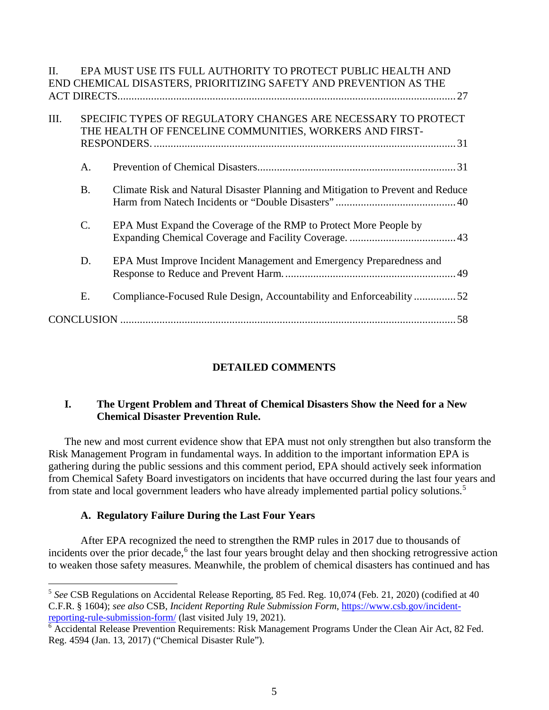| $\Pi$ |                                                                                                                          | EPA MUST USE ITS FULL AUTHORITY TO PROTECT PUBLIC HEALTH AND                    |  |  |  |
|-------|--------------------------------------------------------------------------------------------------------------------------|---------------------------------------------------------------------------------|--|--|--|
|       |                                                                                                                          | END CHEMICAL DISASTERS, PRIORITIZING SAFETY AND PREVENTION AS THE               |  |  |  |
|       |                                                                                                                          |                                                                                 |  |  |  |
| III.  | SPECIFIC TYPES OF REGULATORY CHANGES ARE NECESSARY TO PROTECT<br>THE HEALTH OF FENCELINE COMMUNITIES, WORKERS AND FIRST- |                                                                                 |  |  |  |
|       |                                                                                                                          |                                                                                 |  |  |  |
|       |                                                                                                                          |                                                                                 |  |  |  |
|       | A.                                                                                                                       |                                                                                 |  |  |  |
|       | <b>B.</b>                                                                                                                | Climate Risk and Natural Disaster Planning and Mitigation to Prevent and Reduce |  |  |  |
|       | $\mathcal{C}$ .                                                                                                          | EPA Must Expand the Coverage of the RMP to Protect More People by               |  |  |  |
|       | D.                                                                                                                       | EPA Must Improve Incident Management and Emergency Preparedness and             |  |  |  |
|       | Ε.                                                                                                                       | Compliance-Focused Rule Design, Accountability and Enforceability 52            |  |  |  |
|       |                                                                                                                          |                                                                                 |  |  |  |

## **DETAILED COMMENTS**

## **I. The Urgent Problem and Threat of Chemical Disasters Show the Need for a New Chemical Disaster Prevention Rule.**

The new and most current evidence show that EPA must not only strengthen but also transform the Risk Management Program in fundamental ways. In addition to the important information EPA is gathering during the public sessions and this comment period, EPA should actively seek information from Chemical Safety Board investigators on incidents that have occurred during the last four years and from state and local government leaders who have already implemented partial policy solutions.5

## **A. Regulatory Failure During the Last Four Years**

After EPA recognized the need to strengthen the RMP rules in 2017 due to thousands of incidents over the prior decade,<sup>6</sup> the last four years brought delay and then shocking retrogressive action to weaken those safety measures. Meanwhile, the problem of chemical disasters has continued and has

<sup>5</sup> *See* CSB Regulations on Accidental Release Reporting, 85 Fed. Reg. 10,074 (Feb. 21, 2020) (codified at 40 C.F.R. § 1604); *see also* CSB, *Incident Reporting Rule Submission Form*, https://www.csb.gov/incidentreporting-rule-submission-form/ (last visited July 19, 2021).

<sup>6</sup> Accidental Release Prevention Requirements: Risk Management Programs Under the Clean Air Act, 82 Fed. Reg. 4594 (Jan. 13, 2017) ("Chemical Disaster Rule").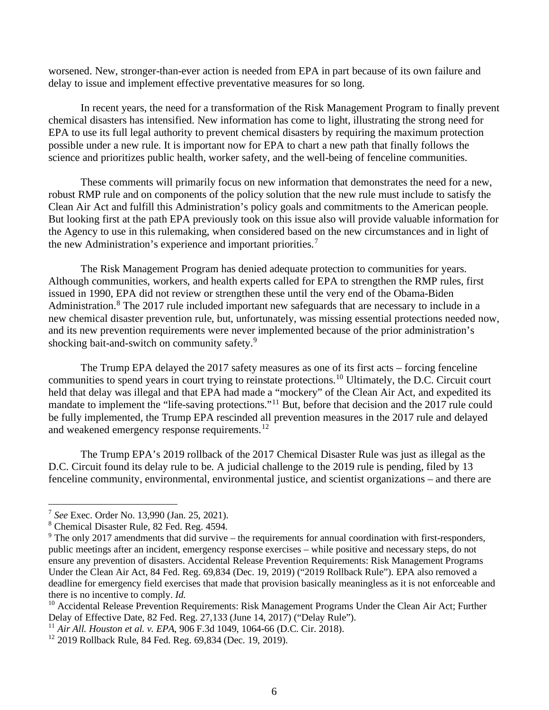worsened. New, stronger-than-ever action is needed from EPA in part because of its own failure and delay to issue and implement effective preventative measures for so long.

In recent years, the need for a transformation of the Risk Management Program to finally prevent chemical disasters has intensified. New information has come to light, illustrating the strong need for EPA to use its full legal authority to prevent chemical disasters by requiring the maximum protection possible under a new rule. It is important now for EPA to chart a new path that finally follows the science and prioritizes public health, worker safety, and the well-being of fenceline communities.

These comments will primarily focus on new information that demonstrates the need for a new, robust RMP rule and on components of the policy solution that the new rule must include to satisfy the Clean Air Act and fulfill this Administration's policy goals and commitments to the American people. But looking first at the path EPA previously took on this issue also will provide valuable information for the Agency to use in this rulemaking, when considered based on the new circumstances and in light of the new Administration's experience and important priorities.<sup>7</sup>

The Risk Management Program has denied adequate protection to communities for years. Although communities, workers, and health experts called for EPA to strengthen the RMP rules, first issued in 1990, EPA did not review or strengthen these until the very end of the Obama-Biden Administration.<sup>8</sup> The 2017 rule included important new safeguards that are necessary to include in a new chemical disaster prevention rule, but, unfortunately, was missing essential protections needed now, and its new prevention requirements were never implemented because of the prior administration's shocking bait-and-switch on community safety.<sup>9</sup>

The Trump EPA delayed the 2017 safety measures as one of its first acts – forcing fenceline communities to spend years in court trying to reinstate protections.<sup>10</sup> Ultimately, the D.C. Circuit court held that delay was illegal and that EPA had made a "mockery" of the Clean Air Act, and expedited its mandate to implement the "life-saving protections."<sup>11</sup> But, before that decision and the 2017 rule could be fully implemented, the Trump EPA rescinded all prevention measures in the 2017 rule and delayed and weakened emergency response requirements.<sup>12</sup>

The Trump EPA's 2019 rollback of the 2017 Chemical Disaster Rule was just as illegal as the D.C. Circuit found its delay rule to be. A judicial challenge to the 2019 rule is pending, filed by 13 fenceline community, environmental, environmental justice, and scientist organizations – and there are

<sup>7</sup> *See* Exec. Order No. 13,990 (Jan. 25, 2021).

<sup>8</sup> Chemical Disaster Rule, 82 Fed. Reg. 4594.

 $9$  The only 2017 amendments that did survive – the requirements for annual coordination with first-responders, public meetings after an incident, emergency response exercises – while positive and necessary steps, do not ensure any prevention of disasters. Accidental Release Prevention Requirements: Risk Management Programs Under the Clean Air Act, 84 Fed. Reg. 69,834 (Dec. 19, 2019) ("2019 Rollback Rule"). EPA also removed a deadline for emergency field exercises that made that provision basically meaningless as it is not enforceable and there is no incentive to comply. *Id.*

<sup>&</sup>lt;sup>10</sup> Accidental Release Prevention Requirements: Risk Management Programs Under the Clean Air Act; Further Delay of Effective Date, 82 Fed. Reg. 27,133 (June 14, 2017) ("Delay Rule").

<sup>11</sup> *Air All. Houston et al. v. EPA*, 906 F.3d 1049, 1064-66 (D.C. Cir. 2018).

<sup>&</sup>lt;sup>12</sup> 2019 Rollback Rule, 84 Fed. Reg. 69,834 (Dec. 19, 2019).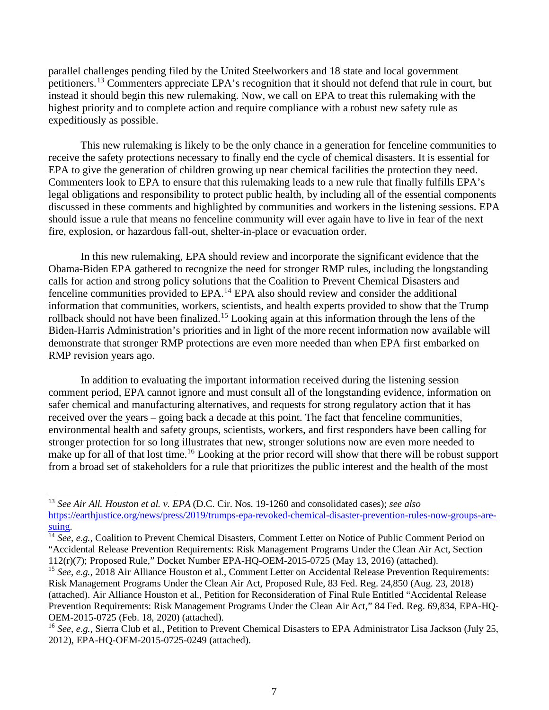parallel challenges pending filed by the United Steelworkers and 18 state and local government petitioners.<sup>13</sup> Commenters appreciate EPA's recognition that it should not defend that rule in court, but instead it should begin this new rulemaking. Now, we call on EPA to treat this rulemaking with the highest priority and to complete action and require compliance with a robust new safety rule as expeditiously as possible.

This new rulemaking is likely to be the only chance in a generation for fenceline communities to receive the safety protections necessary to finally end the cycle of chemical disasters. It is essential for EPA to give the generation of children growing up near chemical facilities the protection they need. Commenters look to EPA to ensure that this rulemaking leads to a new rule that finally fulfills EPA's legal obligations and responsibility to protect public health, by including all of the essential components discussed in these comments and highlighted by communities and workers in the listening sessions. EPA should issue a rule that means no fenceline community will ever again have to live in fear of the next fire, explosion, or hazardous fall-out, shelter-in-place or evacuation order.

In this new rulemaking, EPA should review and incorporate the significant evidence that the Obama-Biden EPA gathered to recognize the need for stronger RMP rules, including the longstanding calls for action and strong policy solutions that the Coalition to Prevent Chemical Disasters and fenceline communities provided to EPA.<sup>14</sup> EPA also should review and consider the additional information that communities, workers, scientists, and health experts provided to show that the Trump rollback should not have been finalized.<sup>15</sup> Looking again at this information through the lens of the Biden-Harris Administration's priorities and in light of the more recent information now available will demonstrate that stronger RMP protections are even more needed than when EPA first embarked on RMP revision years ago.

In addition to evaluating the important information received during the listening session comment period, EPA cannot ignore and must consult all of the longstanding evidence, information on safer chemical and manufacturing alternatives, and requests for strong regulatory action that it has received over the years – going back a decade at this point. The fact that fenceline communities, environmental health and safety groups, scientists, workers, and first responders have been calling for stronger protection for so long illustrates that new, stronger solutions now are even more needed to make up for all of that lost time.<sup>16</sup> Looking at the prior record will show that there will be robust support from a broad set of stakeholders for a rule that prioritizes the public interest and the health of the most

<sup>13</sup> *See Air All. Houston et al. v. EPA* (D.C. Cir. Nos. 19-1260 and consolidated cases); *see also* https://earthjustice.org/news/press/2019/trumps-epa-revoked-chemical-disaster-prevention-rules-now-groups-aresuing.

<sup>&</sup>lt;sup>14</sup> See, e.g., Coalition to Prevent Chemical Disasters, Comment Letter on Notice of Public Comment Period on "Accidental Release Prevention Requirements: Risk Management Programs Under the Clean Air Act, Section 112(r)(7); Proposed Rule," Docket Number EPA-HQ-OEM-2015-0725 (May 13, 2016) (attached).

<sup>&</sup>lt;sup>15</sup> *See, e.g.*, 2018 Air Alliance Houston et al., Comment Letter on Accidental Release Prevention Requirements: Risk Management Programs Under the Clean Air Act, Proposed Rule, 83 Fed. Reg. 24,850 (Aug. 23, 2018) (attached). Air Alliance Houston et al., Petition for Reconsideration of Final Rule Entitled "Accidental Release Prevention Requirements: Risk Management Programs Under the Clean Air Act," 84 Fed. Reg. 69,834, EPA-HQ-OEM-2015-0725 (Feb. 18, 2020) (attached).

<sup>16</sup> *See, e.g.,* Sierra Club et al*.*, Petition to Prevent Chemical Disasters to EPA Administrator Lisa Jackson (July 25, 2012), EPA-HQ-OEM-2015-0725-0249 (attached).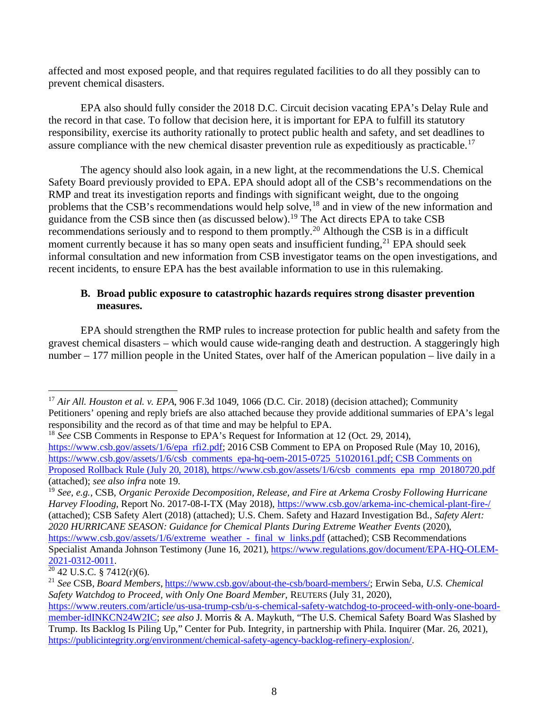affected and most exposed people, and that requires regulated facilities to do all they possibly can to prevent chemical disasters.

EPA also should fully consider the 2018 D.C. Circuit decision vacating EPA's Delay Rule and the record in that case. To follow that decision here, it is important for EPA to fulfill its statutory responsibility, exercise its authority rationally to protect public health and safety, and set deadlines to assure compliance with the new chemical disaster prevention rule as expeditiously as practicable.<sup>17</sup>

The agency should also look again, in a new light, at the recommendations the U.S. Chemical Safety Board previously provided to EPA. EPA should adopt all of the CSB's recommendations on the RMP and treat its investigation reports and findings with significant weight, due to the ongoing problems that the CSB's recommendations would help solve,<sup>18</sup> and in view of the new information and guidance from the CSB since then (as discussed below).<sup>19</sup> The Act directs EPA to take CSB recommendations seriously and to respond to them promptly.20 Although the CSB is in a difficult moment currently because it has so many open seats and insufficient funding,  $^{21}$  EPA should seek informal consultation and new information from CSB investigator teams on the open investigations, and recent incidents, to ensure EPA has the best available information to use in this rulemaking.

#### **B. Broad public exposure to catastrophic hazards requires strong disaster prevention measures.**

EPA should strengthen the RMP rules to increase protection for public health and safety from the gravest chemical disasters – which would cause wide-ranging death and destruction. A staggeringly high number – 177 million people in the United States, over half of the American population – live daily in a

<sup>17</sup> *Air All. Houston et al. v. EPA*, 906 F.3d 1049, 1066 (D.C. Cir. 2018) (decision attached); Community Petitioners' opening and reply briefs are also attached because they provide additional summaries of EPA's legal responsibility and the record as of that time and may be helpful to EPA.

<sup>18</sup> *See* CSB Comments in Response to EPA's Request for Information at 12 (Oct. 29, 2014), https://www.csb.gov/assets/1/6/epa rfi2.pdf; 2016 CSB Comment to EPA on Proposed Rule (May 10, 2016), https://www.csb.gov/assets/1/6/csb comments epa-hq-oem-2015-0725 51020161.pdf; CSB Comments on Proposed Rollback Rule (July 20, 2018), https://www.csb.gov/assets/1/6/csb comments epa rmp 20180720.pdf (attached); *see also infra* note 19. 19 *See, e.g.*, CSB, *Organic Peroxide Decomposition, Release, and Fire at Arkema Crosby Following Hurricane* 

*Harvey Flooding*, Report No. 2017-08-I-TX (May 2018), https://www.csb.gov/arkema-inc-chemical-plant-fire-/ (attached); CSB Safety Alert (2018) (attached); U.S. Chem. Safety and Hazard Investigation Bd., *Safety Alert: 2020 HURRICANE SEASON: Guidance for Chemical Plants During Extreme Weather Events* (2020), https://www.csb.gov/assets/1/6/extreme weather - final w links.pdf (attached); CSB Recommendations Specialist Amanda Johnson Testimony (June 16, 2021), https://www.regulations.gov/document/EPA-HQ-OLEM-

 $\frac{2021-0312-0011}{20}$ . 2021. 2021. 2021. 2021.

<sup>21</sup> *See* CSB, *Board Members*, https://www.csb.gov/about-the-csb/board-members/; Erwin Seba, *U.S. Chemical Safety Watchdog to Proceed, with Only One Board Member*, REUTERS (July 31, 2020),

https://www.reuters.com/article/us-usa-trump-csb/u-s-chemical-safety-watchdog-to-proceed-with-only-one-boardmember-idINKCN24W2IC; *see also* J. Morris & A. Maykuth, "The U.S. Chemical Safety Board Was Slashed by Trump. Its Backlog Is Piling Up," Center for Pub. Integrity, in partnership with Phila. Inquirer (Mar. 26, 2021), https://publicintegrity.org/environment/chemical-safety-agency-backlog-refinery-explosion/.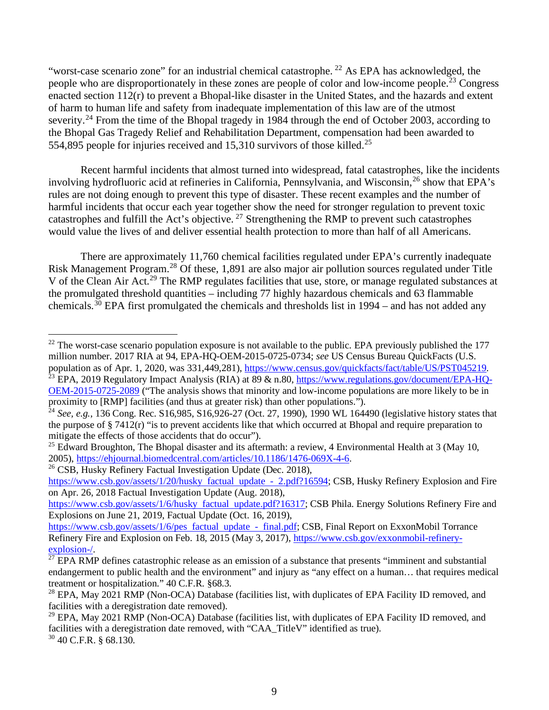"worst-case scenario zone" for an industrial chemical catastrophe.<sup>22</sup> As EPA has acknowledged, the people who are disproportionately in these zones are people of color and low-income people.<sup>23</sup> Congress enacted section 112(r) to prevent a Bhopal-like disaster in the United States, and the hazards and extent of harm to human life and safety from inadequate implementation of this law are of the utmost severity.<sup>24</sup> From the time of the Bhopal tragedy in 1984 through the end of October 2003, according to the Bhopal Gas Tragedy Relief and Rehabilitation Department, compensation had been awarded to 554,895 people for injuries received and 15,310 survivors of those killed.25

Recent harmful incidents that almost turned into widespread, fatal catastrophes, like the incidents involving hydrofluoric acid at refineries in California, Pennsylvania, and Wisconsin,<sup>26</sup> show that EPA's rules are not doing enough to prevent this type of disaster. These recent examples and the number of harmful incidents that occur each year together show the need for stronger regulation to prevent toxic catastrophes and fulfill the Act's objective. <sup>27</sup> Strengthening the RMP to prevent such catastrophes would value the lives of and deliver essential health protection to more than half of all Americans.

There are approximately 11,760 chemical facilities regulated under EPA's currently inadequate Risk Management Program.<sup>28</sup> Of these, 1,891 are also major air pollution sources regulated under Title V of the Clean Air Act.<sup>29</sup> The RMP regulates facilities that use, store, or manage regulated substances at the promulgated threshold quantities – including 77 highly hazardous chemicals and 63 flammable chemicals.<sup>30</sup> EPA first promulgated the chemicals and thresholds list in  $1994$  – and has not added any

<sup>26</sup> CSB, Husky Refinery Factual Investigation Update (Dec. 2018),

<sup>&</sup>lt;sup>22</sup> The worst-case scenario population exposure is not available to the public. EPA previously published the 177 million number. 2017 RIA at 94, EPA-HQ-OEM-2015-0725-0734; *see* US Census Bureau QuickFacts (U.S.

population as of Apr. 1, 2020, was 331,449,281), https://www.census.gov/quickfacts/fact/table/US/PST045219.<br><sup>23</sup> EPA, 2019 Regulatory Impact Analysis (RIA) at 89 & n.80, https://www.regulations.gov/document/EPA-HQ-OEM-2015-0725-2089 ("The analysis shows that minority and low-income populations are more likely to be in proximity to [RMP] facilities (and thus at greater risk) than other populations.").<br><sup>24</sup> *See, e.g.*, 136 Cong. Rec. S16,985, S16,926-27 (Oct. 27, 1990), 1990 WL 164490 (legislative history states that

the purpose of § 7412(r) "is to prevent accidents like that which occurred at Bhopal and require preparation to mitigate the effects of those accidents that do occur").

<sup>&</sup>lt;sup>25</sup> Edward Broughton, The Bhopal disaster and its aftermath: a review, 4 Environmental Health at 3 (May 10, 2005), https://ehjournal.biomedcentral.com/articles/10.1186/1476-069X-4-6.

https://www.csb.gov/assets/1/20/husky factual update - 2.pdf?16594; CSB, Husky Refinery Explosion and Fire on Apr. 26, 2018 Factual Investigation Update (Aug. 2018),

https://www.csb.gov/assets/1/6/husky factual update.pdf?16317; CSB Phila. Energy Solutions Refinery Fire and Explosions on June 21, 2019, Factual Update (Oct. 16, 2019),

https://www.csb.gov/assets/1/6/pes factual update - final.pdf; CSB, Final Report on ExxonMobil Torrance Refinery Fire and Explosion on Feb. 18, 2015 (May 3, 2017), https://www.csb.gov/exxonmobil-refinery-<br>explosion-/.

 $\frac{27}{27}$  EPA RMP defines catastrophic release as an emission of a substance that presents "imminent and substantial" endangerment to public health and the environment" and injury as "any effect on a human… that requires medical treatment or hospitalization." 40 C.F.R. §68.3.

<sup>&</sup>lt;sup>28</sup> EPA, May 2021 RMP (Non-OCA) Database (facilities list, with duplicates of EPA Facility ID removed, and facilities with a deregistration date removed).

 $^{29}$  EPA, May 2021 RMP (Non-OCA) Database (facilities list, with duplicates of EPA Facility ID removed, and facilities with a deregistration date removed, with "CAA\_TitleV" identified as true).

 $30$  40 C.F.R. § 68.130.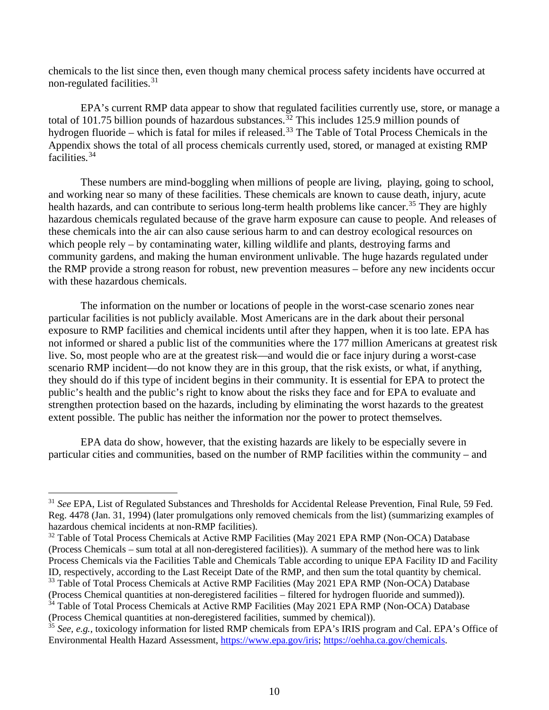chemicals to the list since then, even though many chemical process safety incidents have occurred at non-regulated facilities. 31

EPA's current RMP data appear to show that regulated facilities currently use, store, or manage a total of 101.75 billion pounds of hazardous substances.<sup>32</sup> This includes 125.9 million pounds of hydrogen fluoride – which is fatal for miles if released.<sup>33</sup> The Table of Total Process Chemicals in the Appendix shows the total of all process chemicals currently used, stored, or managed at existing RMP facilities.<sup>34</sup>

These numbers are mind-boggling when millions of people are living, playing, going to school, and working near so many of these facilities. These chemicals are known to cause death, injury, acute health hazards, and can contribute to serious long-term health problems like cancer.<sup>35</sup> They are highly hazardous chemicals regulated because of the grave harm exposure can cause to people. And releases of these chemicals into the air can also cause serious harm to and can destroy ecological resources on which people rely – by contaminating water, killing wildlife and plants, destroying farms and community gardens, and making the human environment unlivable. The huge hazards regulated under the RMP provide a strong reason for robust, new prevention measures – before any new incidents occur with these hazardous chemicals.

The information on the number or locations of people in the worst-case scenario zones near particular facilities is not publicly available. Most Americans are in the dark about their personal exposure to RMP facilities and chemical incidents until after they happen, when it is too late. EPA has not informed or shared a public list of the communities where the 177 million Americans at greatest risk live. So, most people who are at the greatest risk—and would die or face injury during a worst-case scenario RMP incident—do not know they are in this group, that the risk exists, or what, if anything, they should do if this type of incident begins in their community. It is essential for EPA to protect the public's health and the public's right to know about the risks they face and for EPA to evaluate and strengthen protection based on the hazards, including by eliminating the worst hazards to the greatest extent possible. The public has neither the information nor the power to protect themselves.

EPA data do show, however, that the existing hazards are likely to be especially severe in particular cities and communities, based on the number of RMP facilities within the community – and

<sup>&</sup>lt;sup>31</sup> See EPA, List of Regulated Substances and Thresholds for Accidental Release Prevention, Final Rule, 59 Fed. Reg. 4478 (Jan. 31, 1994) (later promulgations only removed chemicals from the list) (summarizing examples of hazardous chemical incidents at non-RMP facilities).

<sup>&</sup>lt;sup>32</sup> Table of Total Process Chemicals at Active RMP Facilities (May 2021 EPA RMP (Non-OCA) Database (Process Chemicals – sum total at all non-deregistered facilities)). A summary of the method here was to link Process Chemicals via the Facilities Table and Chemicals Table according to unique EPA Facility ID and Facility ID, respectively, according to the Last Receipt Date of the RMP, and then sum the total quantity by chemical. <sup>33</sup> Table of Total Process Chemicals at Active RMP Facilities (May 2021 EPA RMP (Non-OCA) Database

<sup>(</sup>Process Chemical quantities at non-deregistered facilities – filtered for hydrogen fluoride and summed)).

<sup>&</sup>lt;sup>34</sup> Table of Total Process Chemicals at Active RMP Facilities (May 2021 EPA RMP (Non-OCA) Database (Process Chemical quantities at non-deregistered facilities, summed by chemical)).

<sup>35</sup> *See, e.g.*, toxicology information for listed RMP chemicals from EPA's IRIS program and Cal. EPA's Office of Environmental Health Hazard Assessment, https://www.epa.gov/iris; https://oehha.ca.gov/chemicals.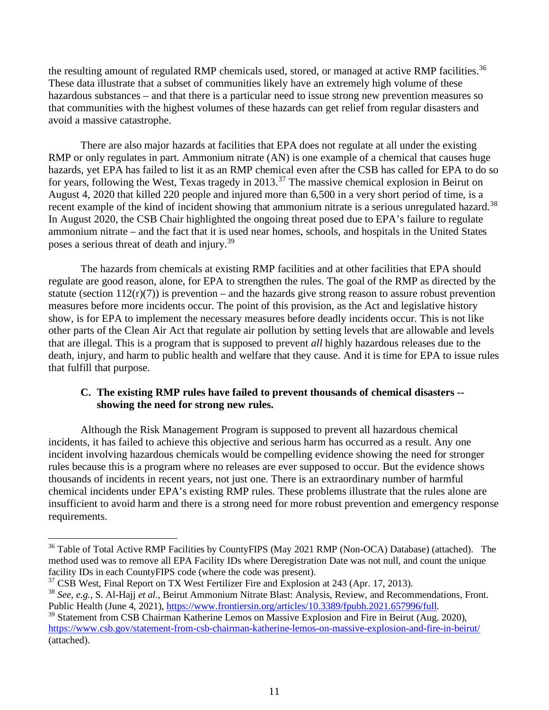the resulting amount of regulated RMP chemicals used, stored, or managed at active RMP facilities.<sup>36</sup> These data illustrate that a subset of communities likely have an extremely high volume of these hazardous substances – and that there is a particular need to issue strong new prevention measures so that communities with the highest volumes of these hazards can get relief from regular disasters and avoid a massive catastrophe.

There are also major hazards at facilities that EPA does not regulate at all under the existing RMP or only regulates in part. Ammonium nitrate (AN) is one example of a chemical that causes huge hazards, yet EPA has failed to list it as an RMP chemical even after the CSB has called for EPA to do so for years, following the West, Texas tragedy in 2013.<sup>37</sup> The massive chemical explosion in Beirut on August 4, 2020 that killed 220 people and injured more than 6,500 in a very short period of time, is a recent example of the kind of incident showing that ammonium nitrate is a serious unregulated hazard.<sup>38</sup> In August 2020, the CSB Chair highlighted the ongoing threat posed due to EPA's failure to regulate ammonium nitrate – and the fact that it is used near homes, schools, and hospitals in the United States poses a serious threat of death and injury.<sup>39</sup>

The hazards from chemicals at existing RMP facilities and at other facilities that EPA should regulate are good reason, alone, for EPA to strengthen the rules. The goal of the RMP as directed by the statute (section  $112(r)(7)$ ) is prevention – and the hazards give strong reason to assure robust prevention measures before more incidents occur. The point of this provision, as the Act and legislative history show, is for EPA to implement the necessary measures before deadly incidents occur. This is not like other parts of the Clean Air Act that regulate air pollution by setting levels that are allowable and levels that are illegal. This is a program that is supposed to prevent *all* highly hazardous releases due to the death, injury, and harm to public health and welfare that they cause. And it is time for EPA to issue rules that fulfill that purpose.

#### **C. The existing RMP rules have failed to prevent thousands of chemical disasters - showing the need for strong new rules.**

Although the Risk Management Program is supposed to prevent all hazardous chemical incidents, it has failed to achieve this objective and serious harm has occurred as a result. Any one incident involving hazardous chemicals would be compelling evidence showing the need for stronger rules because this is a program where no releases are ever supposed to occur. But the evidence shows thousands of incidents in recent years, not just one. There is an extraordinary number of harmful chemical incidents under EPA's existing RMP rules. These problems illustrate that the rules alone are insufficient to avoid harm and there is a strong need for more robust prevention and emergency response requirements.

<sup>&</sup>lt;sup>36</sup> Table of Total Active RMP Facilities by CountyFIPS (May 2021 RMP (Non-OCA) Database) (attached). The method used was to remove all EPA Facility IDs where Deregistration Date was not null, and count the unique facility IDs in each County FIPS code (where the code was present).

 $\frac{37}{37}$  CSB West, Final Report on TX West Fertilizer Fire and Explosion at 243 (Apr. 17, 2013).

<sup>38</sup> *See, e.g.*, S. Al-Hajj *et al.*, Beirut Ammonium Nitrate Blast: Analysis, Review, and Recommendations, Front. Public Health (June 4, 2021), https://www.frontiersin.org/articles/10.3389/fpubh.2021.657996/full.

<sup>&</sup>lt;sup>39</sup> Statement from CSB Chairman Katherine Lemos on Massive Explosion and Fire in Beirut (Aug. 2020), https://www.csb.gov/statement-from-csb-chairman-katherine-lemos-on-massive-explosion-and-fire-in-beirut/ (attached).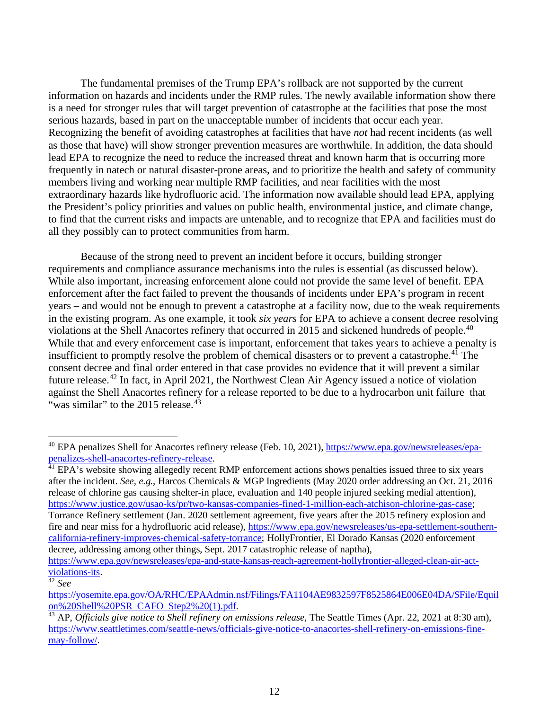The fundamental premises of the Trump EPA's rollback are not supported by the current information on hazards and incidents under the RMP rules. The newly available information show there is a need for stronger rules that will target prevention of catastrophe at the facilities that pose the most serious hazards, based in part on the unacceptable number of incidents that occur each year. Recognizing the benefit of avoiding catastrophes at facilities that have *not* had recent incidents (as well as those that have) will show stronger prevention measures are worthwhile. In addition, the data should lead EPA to recognize the need to reduce the increased threat and known harm that is occurring more frequently in natech or natural disaster-prone areas, and to prioritize the health and safety of community members living and working near multiple RMP facilities, and near facilities with the most extraordinary hazards like hydrofluoric acid. The information now available should lead EPA, applying the President's policy priorities and values on public health, environmental justice, and climate change, to find that the current risks and impacts are untenable, and to recognize that EPA and facilities must do all they possibly can to protect communities from harm.

Because of the strong need to prevent an incident before it occurs, building stronger requirements and compliance assurance mechanisms into the rules is essential (as discussed below). While also important, increasing enforcement alone could not provide the same level of benefit. EPA enforcement after the fact failed to prevent the thousands of incidents under EPA's program in recent years – and would not be enough to prevent a catastrophe at a facility now, due to the weak requirements in the existing program. As one example, it took *six years* for EPA to achieve a consent decree resolving violations at the Shell Anacortes refinery that occurred in 2015 and sickened hundreds of people.<sup>40</sup> While that and every enforcement case is important, enforcement that takes years to achieve a penalty is insufficient to promptly resolve the problem of chemical disasters or to prevent a catastrophe.<sup>41</sup> The consent decree and final order entered in that case provides no evidence that it will prevent a similar future release.<sup>42</sup> In fact, in April 2021, the Northwest Clean Air Agency issued a notice of violation against the Shell Anacortes refinery for a release reported to be due to a hydrocarbon unit failure that "was similar" to the  $2015$  release.<sup>43</sup>

after the incident. *See, e.g.*, Harcos Chemicals & MGP Ingredients (May 2020 order addressing an Oct. 21, 2016 release of chlorine gas causing shelter-in place, evaluation and 140 people injured seeking medial attention), https://www.justice.gov/usao-ks/pr/two-kansas-companies-fined-1-million-each-atchison-chlorine-gas-case; Torrance Refinery settlement (Jan. 2020 settlement agreement, five years after the 2015 refinery explosion and fire and near miss for a hydrofluoric acid release), https://www.epa.gov/newsreleases/us-epa-settlement-southerncalifornia-refinery-improves-chemical-safety-torrance; HollyFrontier, El Dorado Kansas (2020 enforcement decree, addressing among other things, Sept. 2017 catastrophic release of naptha),

https://www.epa.gov/newsreleases/epa-and-state-kansas-reach-agreement-hollyfrontier-alleged-clean-air-actviolations-its. 42 *See*

<sup>&</sup>lt;sup>40</sup> EPA penalizes Shell for Anacortes refinery release (Feb. 10, 2021), https://www.epa.gov/newsreleases/epapenalizes-shell-anacortes-refinery-release.<br><sup>41</sup> EPA's website showing allegedly recent RMP enforcement actions shows penalties issued three to six years

https://yosemite.epa.gov/OA/RHC/EPAAdmin.nsf/Filings/FA1104AE9832597F8525864E006E04DA/\$File/Equil<br>on%20Shell%20PSR\_CAFO\_Step2%20(1).pdf.

 $\frac{43}{43}$  AP, *Officials give notice to Shell refinery on emissions release*, The Seattle Times (Apr. 22, 2021 at 8:30 am), https://www.seattletimes.com/seattle-news/officials-give-notice-to-anacortes-shell-refinery-on-emissions-finemay-follow/.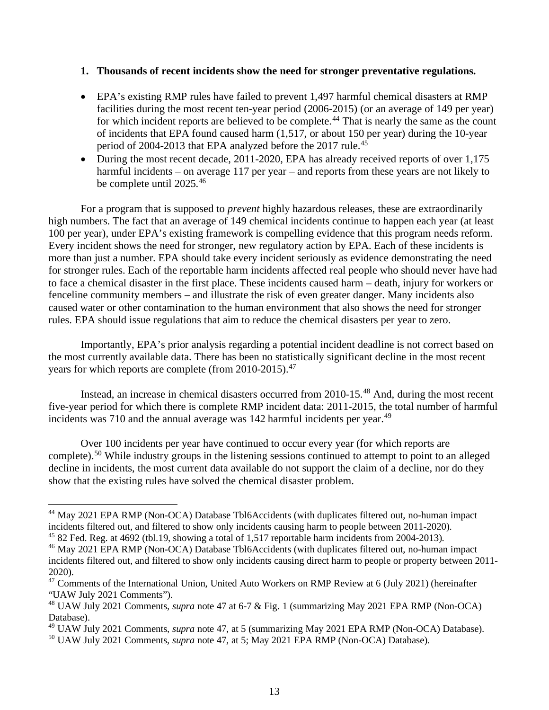#### **1. Thousands of recent incidents show the need for stronger preventative regulations.**

- EPA's existing RMP rules have failed to prevent 1,497 harmful chemical disasters at RMP facilities during the most recent ten-year period (2006-2015) (or an average of 149 per year) for which incident reports are believed to be complete.<sup>44</sup> That is nearly the same as the count of incidents that EPA found caused harm (1,517, or about 150 per year) during the 10-year period of 2004-2013 that EPA analyzed before the 2017 rule.<sup>45</sup>
- During the most recent decade, 2011-2020, EPA has already received reports of over 1,175 harmful incidents – on average 117 per year – and reports from these years are not likely to be complete until 2025. 46

For a program that is supposed to *prevent* highly hazardous releases, these are extraordinarily high numbers. The fact that an average of 149 chemical incidents continue to happen each year (at least 100 per year), under EPA's existing framework is compelling evidence that this program needs reform. Every incident shows the need for stronger, new regulatory action by EPA. Each of these incidents is more than just a number. EPA should take every incident seriously as evidence demonstrating the need for stronger rules. Each of the reportable harm incidents affected real people who should never have had to face a chemical disaster in the first place. These incidents caused harm – death, injury for workers or fenceline community members – and illustrate the risk of even greater danger. Many incidents also caused water or other contamination to the human environment that also shows the need for stronger rules. EPA should issue regulations that aim to reduce the chemical disasters per year to zero.

Importantly, EPA's prior analysis regarding a potential incident deadline is not correct based on the most currently available data. There has been no statistically significant decline in the most recent years for which reports are complete (from 2010-2015).<sup>47</sup>

Instead, an increase in chemical disasters occurred from 2010-15. <sup>48</sup> And, during the most recent five-year period for which there is complete RMP incident data: 2011-2015, the total number of harmful incidents was 710 and the annual average was 142 harmful incidents per year.<sup>49</sup>

Over 100 incidents per year have continued to occur every year (for which reports are complete).<sup>50</sup> While industry groups in the listening sessions continued to attempt to point to an alleged decline in incidents, the most current data available do not support the claim of a decline, nor do they show that the existing rules have solved the chemical disaster problem.

<sup>&</sup>lt;sup>44</sup> May 2021 EPA RMP (Non-OCA) Database Tbl6Accidents (with duplicates filtered out, no-human impact incidents filtered out, and filtered to show only incidents causing harm to people between 2011-2020).

<sup>45</sup> 82 Fed. Reg. at 4692 (tbl.19, showing a total of 1,517 reportable harm incidents from 2004-2013).

<sup>&</sup>lt;sup>46</sup> May 2021 EPA RMP (Non-OCA) Database Tbl6Accidents (with duplicates filtered out, no-human impact incidents filtered out, and filtered to show only incidents causing direct harm to people or property between 2011- 2020).

<sup>&</sup>lt;sup>47</sup> Comments of the International Union, United Auto Workers on RMP Review at 6 (July 2021) (hereinafter "UAW July 2021 Comments").

<sup>48</sup> UAW July 2021 Comments, *supra* note 47 at 6-7 & Fig. 1 (summarizing May 2021 EPA RMP (Non-OCA) Database).

<sup>49</sup> UAW July 2021 Comments, *supra* note 47, at 5 (summarizing May 2021 EPA RMP (Non-OCA) Database).

<sup>50</sup> UAW July 2021 Comments, *supra* note 47, at 5; May 2021 EPA RMP (Non-OCA) Database).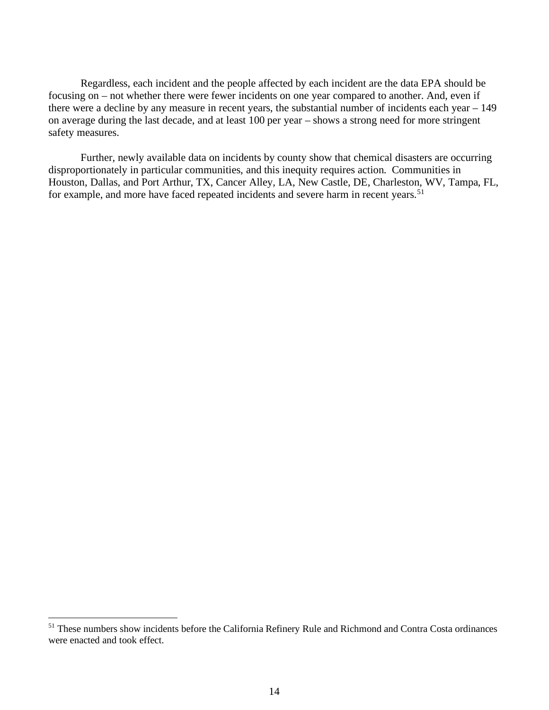Regardless, each incident and the people affected by each incident are the data EPA should be focusing on – not whether there were fewer incidents on one year compared to another. And, even if there were a decline by any measure in recent years, the substantial number of incidents each year – 149 on average during the last decade, and at least 100 per year – shows a strong need for more stringent safety measures.

Further, newly available data on incidents by county show that chemical disasters are occurring disproportionately in particular communities, and this inequity requires action. Communities in Houston, Dallas, and Port Arthur, TX, Cancer Alley, LA, New Castle, DE, Charleston, WV, Tampa, FL, for example, and more have faced repeated incidents and severe harm in recent years.<sup>51</sup>

<sup>&</sup>lt;sup>51</sup> These numbers show incidents before the California Refinery Rule and Richmond and Contra Costa ordinances were enacted and took effect.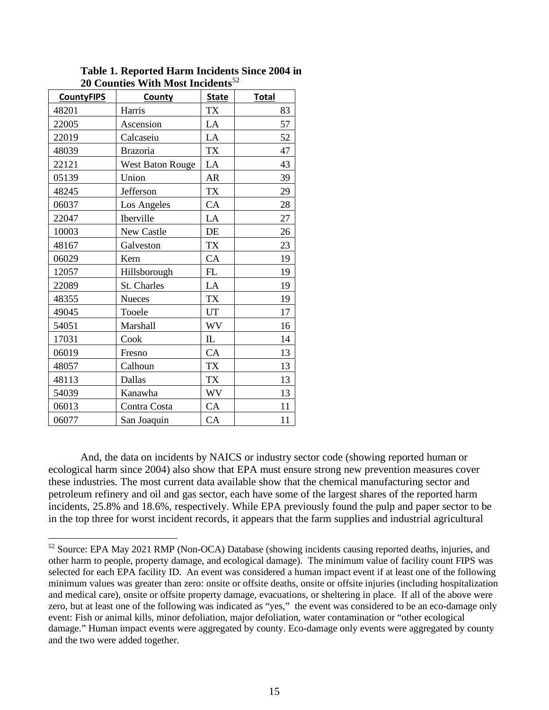| <b>CountyFIPS</b> | County                  | <b>State</b> | <b>Total</b> |
|-------------------|-------------------------|--------------|--------------|
| 48201             | Harris                  | <b>TX</b>    | 83           |
| 22005             | Ascension               | LA           | 57           |
| 22019             | Calcaseiu               | LA           | 52           |
| 48039             | <b>Brazoria</b>         | <b>TX</b>    | 47           |
| 22121             | <b>West Baton Rouge</b> | LA           | 43           |
| 05139             | Union                   | <b>AR</b>    | 39           |
| 48245             | Jefferson               | <b>TX</b>    | 29           |
| 06037             | Los Angeles             | CA           | 28           |
| 22047             | Iberville               | LA           | 27           |
| 10003             | New Castle              | DE           | 26           |
| 48167             | Galveston               | <b>TX</b>    | 23           |
| 06029             | Kern                    | CA           | 19           |
| 12057             | Hillsborough            | FL           | 19           |
| 22089             | St. Charles             | LA           | 19           |
| 48355             | <b>Nueces</b>           | <b>TX</b>    | 19           |
| 49045             | Tooele                  | UT           | 17           |
| 54051             | Marshall                | WV           | 16           |
| 17031             | Cook                    | $\mathbf{I}$ | 14           |
| 06019             | Fresno                  | CA           | 13           |
| 48057             | Calhoun                 | <b>TX</b>    | 13           |
| 48113             | Dallas                  | <b>TX</b>    | 13           |
| 54039             | Kanawha                 | <b>WV</b>    | 13           |
| 06013             | Contra Costa            | CA           | 11           |
| 06077             | San Joaquin             | CA           | 11           |

**Table 1. Reported Harm Incidents Since 2004 in 20 Counties With Most Incidents**<sup>52</sup>

And, the data on incidents by NAICS or industry sector code (showing reported human or ecological harm since 2004) also show that EPA must ensure strong new prevention measures cover these industries. The most current data available show that the chemical manufacturing sector and petroleum refinery and oil and gas sector, each have some of the largest shares of the reported harm incidents, 25.8% and 18.6%, respectively. While EPA previously found the pulp and paper sector to be in the top three for worst incident records, it appears that the farm supplies and industrial agricultural

<sup>&</sup>lt;sup>52</sup> Source: EPA May 2021 RMP (Non-OCA) Database (showing incidents causing reported deaths, injuries, and other harm to people, property damage, and ecological damage). The minimum value of facility count FIPS was selected for each EPA facility ID. An event was considered a human impact event if at least one of the following minimum values was greater than zero: onsite or offsite deaths, onsite or offsite injuries (including hospitalization and medical care), onsite or offsite property damage, evacuations, or sheltering in place. If all of the above were zero, but at least one of the following was indicated as "yes," the event was considered to be an eco-damage only event: Fish or animal kills, minor defoliation, major defoliation, water contamination or "other ecological damage." Human impact events were aggregated by county. Eco-damage only events were aggregated by county and the two were added together.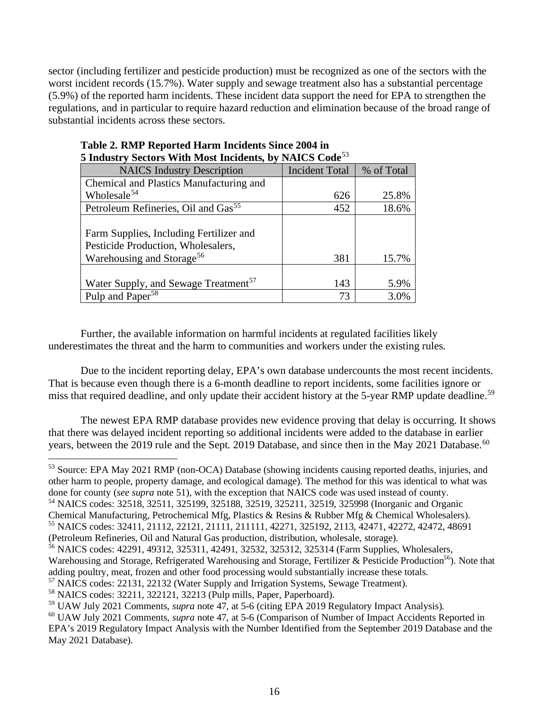sector (including fertilizer and pesticide production) must be recognized as one of the sectors with the worst incident records (15.7%). Water supply and sewage treatment also has a substantial percentage (5.9%) of the reported harm incidents. These incident data support the need for EPA to strengthen the regulations, and in particular to require hazard reduction and elimination because of the broad range of substantial incidents across these sectors.

| <b>NAICS</b> Industry Description                | <b>Incident Total</b> | % of Total |
|--------------------------------------------------|-----------------------|------------|
| Chemical and Plastics Manufacturing and          |                       |            |
| Wholesale <sup>54</sup>                          | 626                   | 25.8%      |
| Petroleum Refineries, Oil and Gas <sup>55</sup>  | 452                   | 18.6%      |
|                                                  |                       |            |
| Farm Supplies, Including Fertilizer and          |                       |            |
| Pesticide Production, Wholesalers,               |                       |            |
| Warehousing and Storage <sup>56</sup>            | 381                   | 15.7%      |
|                                                  |                       |            |
| Water Supply, and Sewage Treatment <sup>57</sup> | 143                   | 5.9%       |
| Pulp and Paper <sup>58</sup>                     | 73                    |            |

#### **Table 2. RMP Reported Harm Incidents Since 2004 in 5 Industry Sectors With Most Incidents, by NAICS Code**<sup>53</sup>

Further, the available information on harmful incidents at regulated facilities likely underestimates the threat and the harm to communities and workers under the existing rules.

Due to the incident reporting delay, EPA's own database undercounts the most recent incidents. That is because even though there is a 6-month deadline to report incidents, some facilities ignore or miss that required deadline, and only update their accident history at the 5-year RMP update deadline.<sup>59</sup>

The newest EPA RMP database provides new evidence proving that delay is occurring. It shows that there was delayed incident reporting so additional incidents were added to the database in earlier years, between the 2019 rule and the Sept. 2019 Database, and since then in the May 2021 Database.<sup>60</sup>

<sup>53</sup> Source: EPA May 2021 RMP (non-OCA) Database (showing incidents causing reported deaths, injuries, and other harm to people, property damage, and ecological damage). The method for this was identical to what was done for county (*see supra* note 51), with the exception that NAICS code was used instead of county.

<sup>54</sup> NAICS codes: 32518, 32511, 325199, 325188, 32519, 325211, 32519, 325998 (Inorganic and Organic

(Petroleum Refineries, Oil and Natural Gas production, distribution, wholesale, storage).

<sup>57</sup> NAICS codes: 22131, 22132 (Water Supply and Irrigation Systems, Sewage Treatment).

Chemical Manufacturing, Petrochemical Mfg, Plastics & Resins & Rubber Mfg & Chemical Wholesalers). <sup>55</sup> NAICS codes: 32411, 21112, 22121, 21111, 211111, 42271, 325192, 2113, 42471, 42272, 42472, 48691

<sup>&</sup>lt;sup>56</sup> NAICS codes: 42291, 49312, 325311, 42491, 32532, 325312, 325314 (Farm Supplies, Wholesalers, Warehousing and Storage, Refrigerated Warehousing and Storage, Fertilizer & Pesticide Production<sup>56</sup>). Note that

adding poultry, meat, frozen and other food processing would substantially increase these totals.

<sup>58</sup> NAICS codes: 32211, 322121, 32213 (Pulp mills, Paper, Paperboard).

<sup>59</sup> UAW July 2021 Comments, *supra* note 47, at 5-6 (citing EPA 2019 Regulatory Impact Analysis).

<sup>60</sup> UAW July 2021 Comments, *supra* note 47, at 5-6 (Comparison of Number of Impact Accidents Reported in EPA's 2019 Regulatory Impact Analysis with the Number Identified from the September 2019 Database and the May 2021 Database).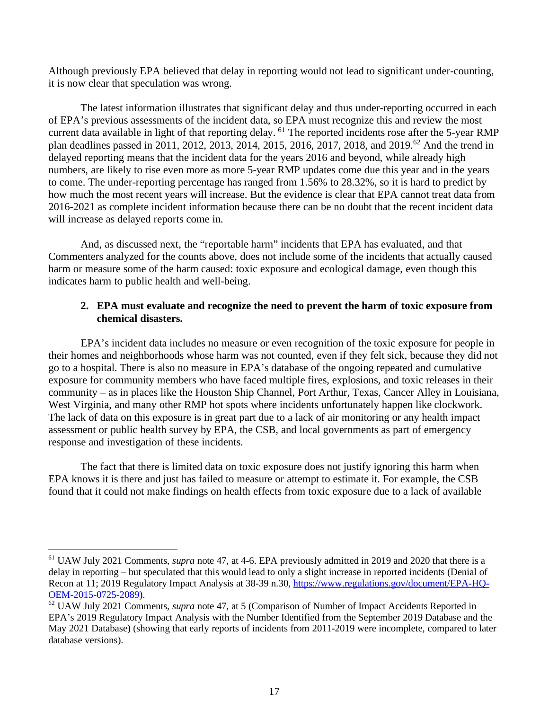Although previously EPA believed that delay in reporting would not lead to significant under-counting, it is now clear that speculation was wrong.

The latest information illustrates that significant delay and thus under-reporting occurred in each of EPA's previous assessments of the incident data, so EPA must recognize this and review the most current data available in light of that reporting delay. <sup>61</sup> The reported incidents rose after the 5-year RMP plan deadlines passed in 2011, 2012, 2013, 2014, 2015, 2016, 2017, 2018, and 2019.<sup>62</sup> And the trend in delayed reporting means that the incident data for the years 2016 and beyond, while already high numbers, are likely to rise even more as more 5-year RMP updates come due this year and in the years to come. The under-reporting percentage has ranged from 1.56% to 28.32%, so it is hard to predict by how much the most recent years will increase. But the evidence is clear that EPA cannot treat data from 2016-2021 as complete incident information because there can be no doubt that the recent incident data will increase as delayed reports come in.

And, as discussed next, the "reportable harm" incidents that EPA has evaluated, and that Commenters analyzed for the counts above, does not include some of the incidents that actually caused harm or measure some of the harm caused: toxic exposure and ecological damage, even though this indicates harm to public health and well-being.

## **2. EPA must evaluate and recognize the need to prevent the harm of toxic exposure from chemical disasters.**

EPA's incident data includes no measure or even recognition of the toxic exposure for people in their homes and neighborhoods whose harm was not counted, even if they felt sick, because they did not go to a hospital. There is also no measure in EPA's database of the ongoing repeated and cumulative exposure for community members who have faced multiple fires, explosions, and toxic releases in their community – as in places like the Houston Ship Channel, Port Arthur, Texas, Cancer Alley in Louisiana, West Virginia, and many other RMP hot spots where incidents unfortunately happen like clockwork. The lack of data on this exposure is in great part due to a lack of air monitoring or any health impact assessment or public health survey by EPA, the CSB, and local governments as part of emergency response and investigation of these incidents.

The fact that there is limited data on toxic exposure does not justify ignoring this harm when EPA knows it is there and just has failed to measure or attempt to estimate it. For example, the CSB found that it could not make findings on health effects from toxic exposure due to a lack of available

<sup>61</sup> UAW July 2021 Comments, *supra* note 47, at 4-6. EPA previously admitted in 2019 and 2020 that there is a delay in reporting – but speculated that this would lead to only a slight increase in reported incidents (Denial of Recon at 11; 2019 Regulatory Impact Analysis at 38-39 n.30, https://www.regulations.gov/document/EPA-HQ-OEM-2015-0725-2089).

<sup>62</sup> UAW July 2021 Comments, *supra* note 47, at 5 (Comparison of Number of Impact Accidents Reported in EPA's 2019 Regulatory Impact Analysis with the Number Identified from the September 2019 Database and the May 2021 Database) (showing that early reports of incidents from 2011-2019 were incomplete, compared to later database versions).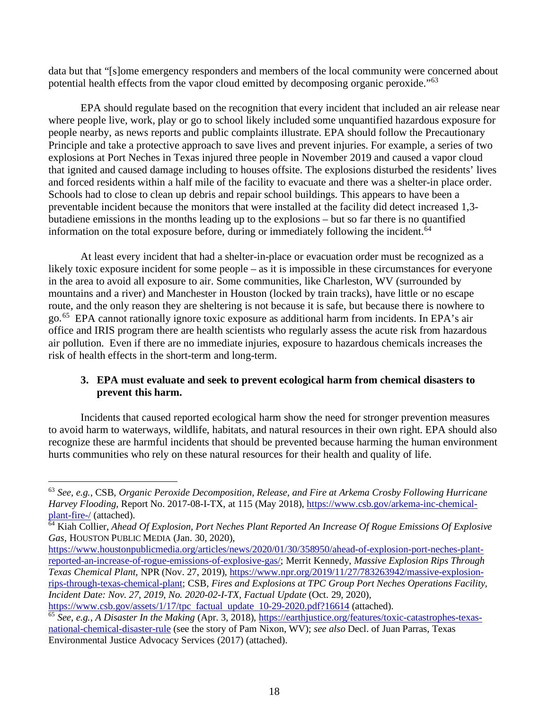data but that "[s]ome emergency responders and members of the local community were concerned about potential health effects from the vapor cloud emitted by decomposing organic peroxide."63

EPA should regulate based on the recognition that every incident that included an air release near where people live, work, play or go to school likely included some unquantified hazardous exposure for people nearby, as news reports and public complaints illustrate. EPA should follow the Precautionary Principle and take a protective approach to save lives and prevent injuries. For example, a series of two explosions at Port Neches in Texas injured three people in November 2019 and caused a vapor cloud that ignited and caused damage including to houses offsite. The explosions disturbed the residents' lives and forced residents within a half mile of the facility to evacuate and there was a shelter-in place order. Schools had to close to clean up debris and repair school buildings. This appears to have been a preventable incident because the monitors that were installed at the facility did detect increased 1,3 butadiene emissions in the months leading up to the explosions – but so far there is no quantified information on the total exposure before, during or immediately following the incident.<sup>64</sup>

At least every incident that had a shelter-in-place or evacuation order must be recognized as a likely toxic exposure incident for some people – as it is impossible in these circumstances for everyone in the area to avoid all exposure to air. Some communities, like Charleston, WV (surrounded by mountains and a river) and Manchester in Houston (locked by train tracks), have little or no escape route, and the only reason they are sheltering is not because it is safe, but because there is nowhere to go.65 EPA cannot rationally ignore toxic exposure as additional harm from incidents. In EPA's air office and IRIS program there are health scientists who regularly assess the acute risk from hazardous air pollution. Even if there are no immediate injuries, exposure to hazardous chemicals increases the risk of health effects in the short-term and long-term.

## **3. EPA must evaluate and seek to prevent ecological harm from chemical disasters to prevent this harm.**

Incidents that caused reported ecological harm show the need for stronger prevention measures to avoid harm to waterways, wildlife, habitats, and natural resources in their own right. EPA should also recognize these are harmful incidents that should be prevented because harming the human environment hurts communities who rely on these natural resources for their health and quality of life.

<sup>63</sup> *See, e.g.*, CSB, *Organic Peroxide Decomposition, Release, and Fire at Arkema Crosby Following Hurricane Harvey Flooding*, Report No. 2017-08-I-TX, at 115 (May 2018), https://www.csb.gov/arkema-inc-chemicalplant-fire-/ (attached).

<sup>64</sup> Kiah Collier, *Ahead Of Explosion, Port Neches Plant Reported An Increase Of Rogue Emissions Of Explosive Gas*, HOUSTON PUBLIC MEDIA (Jan. 30, 2020),

https://www.houstonpublicmedia.org/articles/news/2020/01/30/358950/ahead-of-explosion-port-neches-plantreported-an-increase-of-rogue-emissions-of-explosive-gas/; Merrit Kennedy, *Massive Explosion Rips Through Texas Chemical Plant*, NPR (Nov. 27, 2019), https://www.npr.org/2019/11/27/783263942/massive-explosionrips-through-texas-chemical-plant; CSB, *Fires and Explosions at TPC Group Port Neches Operations Facility, Incident Date: Nov. 27, 2019, No. 2020-02-I-TX, Factual Update* (Oct. 29, 2020), *https://www.csb.gov/assets/1/17/tpc factual update 10-29-2020.pdf*?16614 (attached).

<sup>&</sup>lt;sup>65</sup> See, e.g., *A Disaster In the Making* (Apr. 3, 2018), https://earthjustice.org/features/toxic-catastrophes-texasnational-chemical-disaster-rule (see the story of Pam Nixon, WV); *see also* Decl. of Juan Parras, Texas Environmental Justice Advocacy Services (2017) (attached).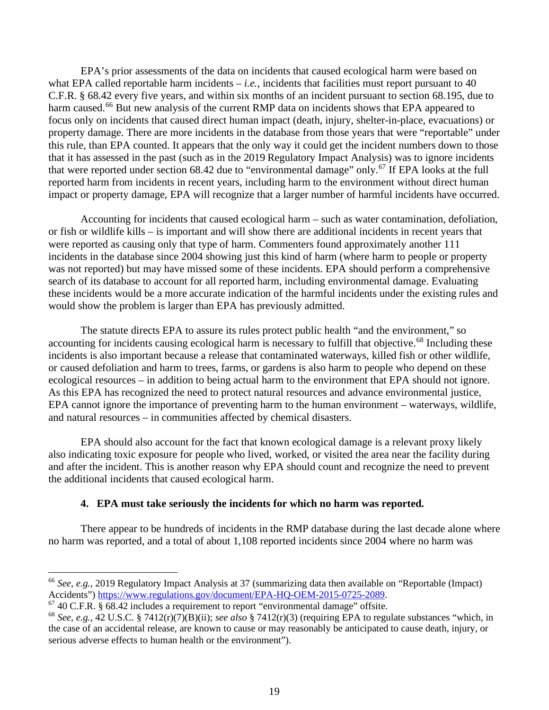EPA's prior assessments of the data on incidents that caused ecological harm were based on what EPA called reportable harm incidents  $-i.e.,$  incidents that facilities must report pursuant to 40 C.F.R. § 68.42 every five years, and within six months of an incident pursuant to section 68.195, due to harm caused.<sup>66</sup> But new analysis of the current RMP data on incidents shows that EPA appeared to focus only on incidents that caused direct human impact (death, injury, shelter-in-place, evacuations) or property damage. There are more incidents in the database from those years that were "reportable" under this rule, than EPA counted. It appears that the only way it could get the incident numbers down to those that it has assessed in the past (such as in the 2019 Regulatory Impact Analysis) was to ignore incidents that were reported under section 68.42 due to "environmental damage" only.<sup>67</sup> If EPA looks at the full reported harm from incidents in recent years, including harm to the environment without direct human impact or property damage, EPA will recognize that a larger number of harmful incidents have occurred.

Accounting for incidents that caused ecological harm – such as water contamination, defoliation, or fish or wildlife kills – is important and will show there are additional incidents in recent years that were reported as causing only that type of harm. Commenters found approximately another 111 incidents in the database since 2004 showing just this kind of harm (where harm to people or property was not reported) but may have missed some of these incidents. EPA should perform a comprehensive search of its database to account for all reported harm, including environmental damage. Evaluating these incidents would be a more accurate indication of the harmful incidents under the existing rules and would show the problem is larger than EPA has previously admitted.

The statute directs EPA to assure its rules protect public health "and the environment," so accounting for incidents causing ecological harm is necessary to fulfill that objective.<sup>68</sup> Including these incidents is also important because a release that contaminated waterways, killed fish or other wildlife, or caused defoliation and harm to trees, farms, or gardens is also harm to people who depend on these ecological resources – in addition to being actual harm to the environment that EPA should not ignore. As this EPA has recognized the need to protect natural resources and advance environmental justice, EPA cannot ignore the importance of preventing harm to the human environment – waterways, wildlife, and natural resources – in communities affected by chemical disasters.

EPA should also account for the fact that known ecological damage is a relevant proxy likely also indicating toxic exposure for people who lived, worked, or visited the area near the facility during and after the incident. This is another reason why EPA should count and recognize the need to prevent the additional incidents that caused ecological harm.

#### **4. EPA must take seriously the incidents for which no harm was reported.**

There appear to be hundreds of incidents in the RMP database during the last decade alone where no harm was reported, and a total of about 1,108 reported incidents since 2004 where no harm was

<sup>&</sup>lt;sup>66</sup> *See, e.g.*, 2019 Regulatory Impact Analysis at 37 (summarizing data then available on "Reportable (Impact) Accidents") https://www.regulations.gov/document/EPA-HQ-OEM-2015-0725-2089.

 $67$  40 C.F.R.  $\frac{2}{3}$  68.42 includes a requirement to report "environmental damage" offsite.

<sup>68</sup> *See, e.g.*, 42 U.S.C. § 7412(r)(7)(B)(ii); *see also* § 7412(r)(3) (requiring EPA to regulate substances "which, in the case of an accidental release, are known to cause or may reasonably be anticipated to cause death, injury, or serious adverse effects to human health or the environment").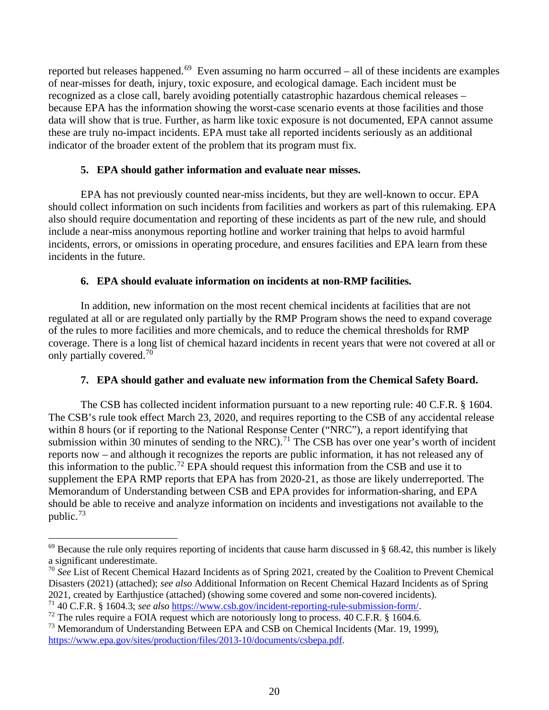reported but releases happened.<sup>69</sup> Even assuming no harm occurred – all of these incidents are examples of near-misses for death, injury, toxic exposure, and ecological damage. Each incident must be recognized as a close call, barely avoiding potentially catastrophic hazardous chemical releases – because EPA has the information showing the worst-case scenario events at those facilities and those data will show that is true. Further, as harm like toxic exposure is not documented, EPA cannot assume these are truly no-impact incidents. EPA must take all reported incidents seriously as an additional indicator of the broader extent of the problem that its program must fix.

#### **5. EPA should gather information and evaluate near misses.**

EPA has not previously counted near-miss incidents, but they are well-known to occur. EPA should collect information on such incidents from facilities and workers as part of this rulemaking. EPA also should require documentation and reporting of these incidents as part of the new rule, and should include a near-miss anonymous reporting hotline and worker training that helps to avoid harmful incidents, errors, or omissions in operating procedure, and ensures facilities and EPA learn from these incidents in the future.

## **6. EPA should evaluate information on incidents at non-RMP facilities.**

In addition, new information on the most recent chemical incidents at facilities that are not regulated at all or are regulated only partially by the RMP Program shows the need to expand coverage of the rules to more facilities and more chemicals, and to reduce the chemical thresholds for RMP coverage. There is a long list of chemical hazard incidents in recent years that were not covered at all or only partially covered.<sup>70</sup>

## **7. EPA should gather and evaluate new information from the Chemical Safety Board.**

The CSB has collected incident information pursuant to a new reporting rule: 40 C.F.R. § 1604. The CSB's rule took effect March 23, 2020, and requires reporting to the CSB of any accidental release within 8 hours (or if reporting to the National Response Center ("NRC"), a report identifying that submission within 30 minutes of sending to the NRC).<sup>71</sup> The CSB has over one year's worth of incident reports now – and although it recognizes the reports are public information, it has not released any of this information to the public.<sup>72</sup> EPA should request this information from the CSB and use it to supplement the EPA RMP reports that EPA has from 2020-21, as those are likely underreported. The Memorandum of Understanding between CSB and EPA provides for information-sharing, and EPA should be able to receive and analyze information on incidents and investigations not available to the public.<sup>73</sup>

 $69$  Because the rule only requires reporting of incidents that cause harm discussed in § 68.42, this number is likely a significant underestimate.

<sup>&</sup>lt;sup>70</sup> See List of Recent Chemical Hazard Incidents as of Spring 2021, created by the Coalition to Prevent Chemical Disasters (2021) (attached); *see also* Additional Information on Recent Chemical Hazard Incidents as of Spring 2021, created by Earthjustice (attached) (showing some covered and some non-covered incidents).

<sup>71</sup> 40 C.F.R. § 1604.3; *see also* https://www.csb.gov/incident-reporting-rule-submission-form/.

 $72$  The rules require a FOIA request which are notoriously long to process. 40 C.F.R. § 1604.6.

<sup>&</sup>lt;sup>73</sup> Memorandum of Understanding Between EPA and CSB on Chemical Incidents (Mar. 19, 1999), https://www.epa.gov/sites/production/files/2013-10/documents/csbepa.pdf.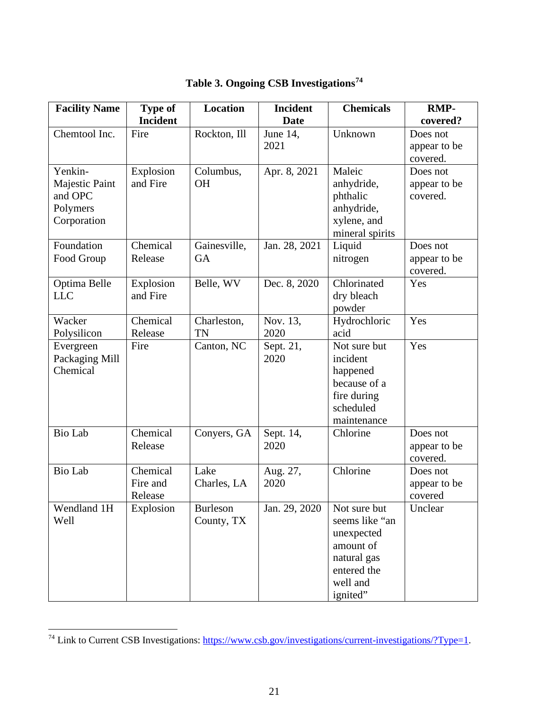| <b>Facility Name</b>       | Type of         | <b>Location</b> | <b>Incident</b>   | <b>Chemicals</b>         | <b>RMP-</b>              |
|----------------------------|-----------------|-----------------|-------------------|--------------------------|--------------------------|
|                            | <b>Incident</b> |                 | <b>Date</b>       |                          | covered?                 |
| Chemtool Inc.              | Fire            | Rockton, Ill    | June 14,          | Unknown                  | Does not                 |
|                            |                 |                 | 2021              |                          | appear to be             |
|                            |                 |                 |                   |                          | covered.                 |
| Yenkin-                    | Explosion       | Columbus,       | Apr. 8, 2021      | Maleic                   | Does not                 |
| Majestic Paint<br>and OPC  | and Fire        | <b>OH</b>       |                   | anhydride,               | appear to be<br>covered. |
| Polymers                   |                 |                 |                   | phthalic<br>anhydride,   |                          |
| Corporation                |                 |                 |                   | xylene, and              |                          |
|                            |                 |                 |                   | mineral spirits          |                          |
| Foundation                 | Chemical        | Gainesville,    | Jan. 28, 2021     | Liquid                   | Does not                 |
| Food Group                 | Release         | <b>GA</b>       |                   | nitrogen                 | appear to be             |
|                            |                 |                 |                   |                          | covered.                 |
| Optima Belle               | Explosion       | Belle, WV       | Dec. 8, 2020      | Chlorinated              | Yes                      |
| <b>LLC</b>                 | and Fire        |                 |                   | dry bleach               |                          |
|                            |                 |                 |                   | powder                   |                          |
| Wacker                     | Chemical        | Charleston,     | Nov. 13,          | Hydrochloric             | Yes                      |
| Polysilicon                | Release         | TN              | 2020              | acid                     |                          |
| Evergreen                  | Fire            | Canton, NC      | Sept. 21,<br>2020 | Not sure but<br>incident | Yes                      |
| Packaging Mill<br>Chemical |                 |                 |                   | happened                 |                          |
|                            |                 |                 |                   | because of a             |                          |
|                            |                 |                 |                   | fire during              |                          |
|                            |                 |                 |                   | scheduled                |                          |
|                            |                 |                 |                   | maintenance              |                          |
| <b>Bio Lab</b>             | Chemical        | Conyers, GA     | Sept. 14,         | Chlorine                 | Does not                 |
|                            | Release         |                 | 2020              |                          | appear to be             |
|                            |                 |                 |                   |                          | covered.                 |
| <b>Bio Lab</b>             | Chemical        | Lake            | Aug. 27,          | Chlorine                 | Does not                 |
|                            | Fire and        | Charles, LA     | 2020              |                          | appear to be             |
|                            | Release         |                 |                   |                          | covered                  |
| Wendland 1H                | Explosion       | <b>Burleson</b> | Jan. 29, 2020     | Not sure but             | Unclear                  |
| Well                       |                 | County, TX      |                   | seems like "an           |                          |
|                            |                 |                 |                   | unexpected<br>amount of  |                          |
|                            |                 |                 |                   | natural gas              |                          |
|                            |                 |                 |                   | entered the              |                          |
|                            |                 |                 |                   | well and                 |                          |
|                            |                 |                 |                   | ignited"                 |                          |

# **Table 3. Ongoing CSB Investigations<sup>74</sup>**

<sup>&</sup>lt;sup>74</sup> Link to Current CSB Investigations: https://www.csb.gov/investigations/current-investigations/?Type=1.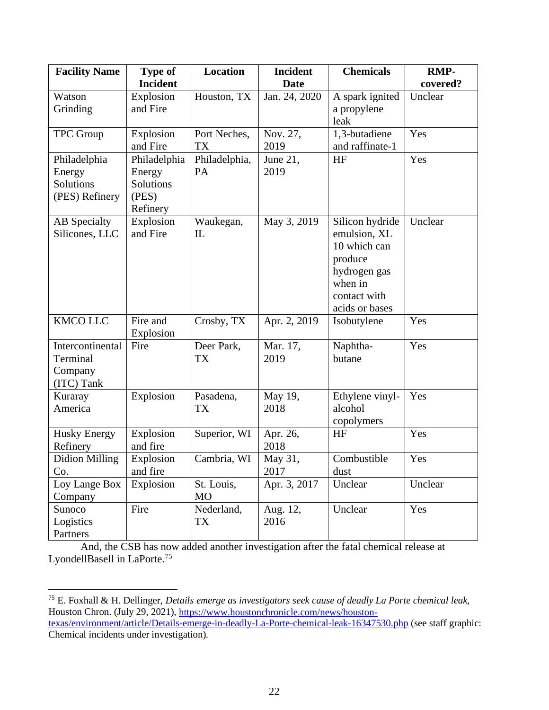| <b>Facility Name</b>                                  | <b>Type of</b>                                           | <b>Location</b>            | <b>Incident</b>  | <b>Chemicals</b>                                                                                                        | <b>RMP-</b> |
|-------------------------------------------------------|----------------------------------------------------------|----------------------------|------------------|-------------------------------------------------------------------------------------------------------------------------|-------------|
|                                                       | <b>Incident</b>                                          |                            | <b>Date</b>      |                                                                                                                         | covered?    |
| Watson<br>Grinding                                    | Explosion<br>and Fire                                    | Houston, TX                | Jan. 24, 2020    | A spark ignited<br>a propylene<br>leak                                                                                  | Unclear     |
| <b>TPC</b> Group                                      | Explosion<br>and Fire                                    | Port Neches,<br><b>TX</b>  | Nov. 27,<br>2019 | 1,3-butadiene<br>and raffinate-1                                                                                        | Yes         |
| Philadelphia<br>Energy<br>Solutions<br>(PES) Refinery | Philadelphia<br>Energy<br>Solutions<br>(PES)<br>Refinery | Philadelphia,<br><b>PA</b> | June 21,<br>2019 | HF                                                                                                                      | Yes         |
| AB Specialty<br>Silicones, LLC                        | Explosion<br>and Fire                                    | Waukegan,<br>IL            | May 3, 2019      | Silicon hydride<br>emulsion, XL<br>10 which can<br>produce<br>hydrogen gas<br>when in<br>contact with<br>acids or bases | Unclear     |
| <b>KMCO LLC</b>                                       | Fire and<br>Explosion                                    | Crosby, TX                 | Apr. 2, 2019     | Isobutylene                                                                                                             | Yes         |
| Intercontinental<br>Terminal<br>Company<br>(ITC) Tank | Fire                                                     | Deer Park,<br><b>TX</b>    | Mar. 17,<br>2019 | Naphtha-<br>butane                                                                                                      | Yes         |
| Kuraray<br>America                                    | Explosion                                                | Pasadena,<br><b>TX</b>     | May 19,<br>2018  | Ethylene vinyl-<br>alcohol<br>copolymers                                                                                | Yes         |
| <b>Husky Energy</b><br>Refinery                       | Explosion<br>and fire                                    | Superior, WI               | Apr. 26,<br>2018 | HF                                                                                                                      | Yes         |
| <b>Didion Milling</b><br>Co.                          | Explosion<br>and fire                                    | Cambria, WI                | May 31,<br>2017  | Combustible<br>dust                                                                                                     | Yes         |
| Loy Lange Box<br>Company                              | Explosion                                                | St. Louis,<br><b>MO</b>    | Apr. 3, 2017     | Unclear                                                                                                                 | Unclear     |
| Sunoco<br>Logistics<br>Partners                       | Fire                                                     | Nederland,<br>TX           | Aug. 12,<br>2016 | Unclear                                                                                                                 | Yes         |

And, the CSB has now added another investigation after the fatal chemical release at LyondellBasell in LaPorte.<sup>75</sup>

<sup>75</sup> E. Foxhall & H. Dellinger, *Details emerge as investigators seek cause of deadly La Porte chemical leak*, Houston Chron. (July 29, 2021), <u>https://www.houstonchronicle.com/news/houston-</u> texas/environment/article/Details-emerge-in-deadly-La-Porte-chemical-leak-16347530.php (see staff graphic: Chemical incidents under investigation).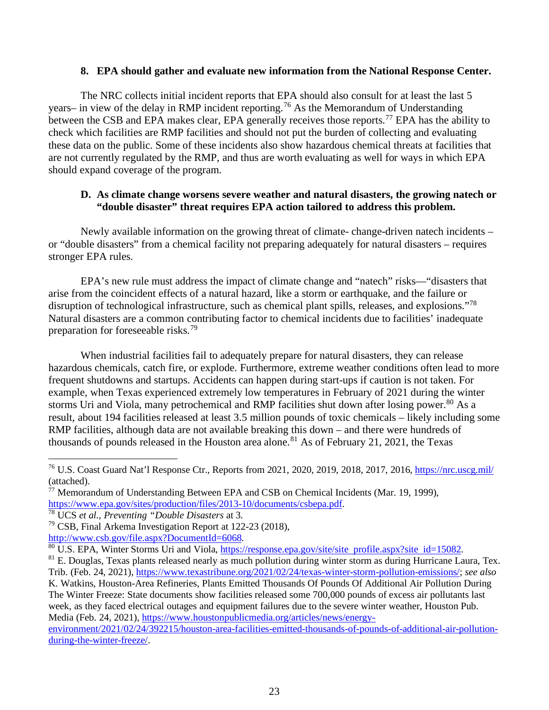#### **8. EPA should gather and evaluate new information from the National Response Center.**

The NRC collects initial incident reports that EPA should also consult for at least the last 5 years– in view of the delay in RMP incident reporting.<sup>76</sup> As the Memorandum of Understanding between the CSB and EPA makes clear, EPA generally receives those reports.<sup>77</sup> EPA has the ability to check which facilities are RMP facilities and should not put the burden of collecting and evaluating these data on the public. Some of these incidents also show hazardous chemical threats at facilities that are not currently regulated by the RMP, and thus are worth evaluating as well for ways in which EPA should expand coverage of the program.

#### **D. As climate change worsens severe weather and natural disasters, the growing natech or "double disaster" threat requires EPA action tailored to address this problem.**

Newly available information on the growing threat of climate- change-driven natech incidents – or "double disasters" from a chemical facility not preparing adequately for natural disasters – requires stronger EPA rules.

EPA's new rule must address the impact of climate change and "natech" risks—"disasters that arise from the coincident effects of a natural hazard, like a storm or earthquake, and the failure or disruption of technological infrastructure, such as chemical plant spills, releases, and explosions."78 Natural disasters are a common contributing factor to chemical incidents due to facilities' inadequate preparation for foreseeable risks.79

When industrial facilities fail to adequately prepare for natural disasters, they can release hazardous chemicals, catch fire, or explode. Furthermore, extreme weather conditions often lead to more frequent shutdowns and startups. Accidents can happen during start-ups if caution is not taken. For example, when Texas experienced extremely low temperatures in February of 2021 during the winter storms Uri and Viola, many petrochemical and RMP facilities shut down after losing power.<sup>80</sup> As a result, about 194 facilities released at least 3.5 million pounds of toxic chemicals – likely including some RMP facilities, although data are not available breaking this down – and there were hundreds of thousands of pounds released in the Houston area alone.<sup>81</sup> As of February 21, 2021, the Texas

Media (Feb. 24, 2021), https://www.houstonpublicmedia.org/articles/news/energy-

environment/2021/02/24/392215/houston-area-facilities-emitted-thousands-of-pounds-of-additional-air-pollutionduring-the-winter-freeze/.

<sup>&</sup>lt;sup>76</sup> U.S. Coast Guard Nat'l Response Ctr., Reports from 2021, 2020, 2019, 2018, 2017, 2016, https://nrc.uscg.mil/ (attached).

<sup>&</sup>lt;sup>77</sup> Memorandum of Understanding Between EPA and CSB on Chemical Incidents (Mar. 19, 1999), https://www.epa.gov/sites/production/files/2013-10/documents/csbepa.pdf.<br><sup>78</sup> UCS *et al., Preventing "Double Disasters* at 3.<br><sup>79</sup> CSB, Final Arkema Investigation Report at 122-23 (2018),<br>http://www.csb.gov/file.aspx?Docu

 $\frac{80}{12}$  U.S. EPA, Winter Storms Uri and Viola, https://response.epa.gov/site/site profile.aspx?site id=15082.<br><sup>81</sup> E. Douglas, Texas plants released nearly as much pollution during winter storm as during Hurricane Lau Trib. (Feb. 24, 2021), https://www.texastribune.org/2021/02/24/texas-winter-storm-pollution-emissions/; *see also* K. Watkins, Houston-Area Refineries, Plants Emitted Thousands Of Pounds Of Additional Air Pollution During The Winter Freeze: State documents show facilities released some 700,000 pounds of excess air pollutants last week, as they faced electrical outages and equipment failures due to the severe winter weather, Houston Pub.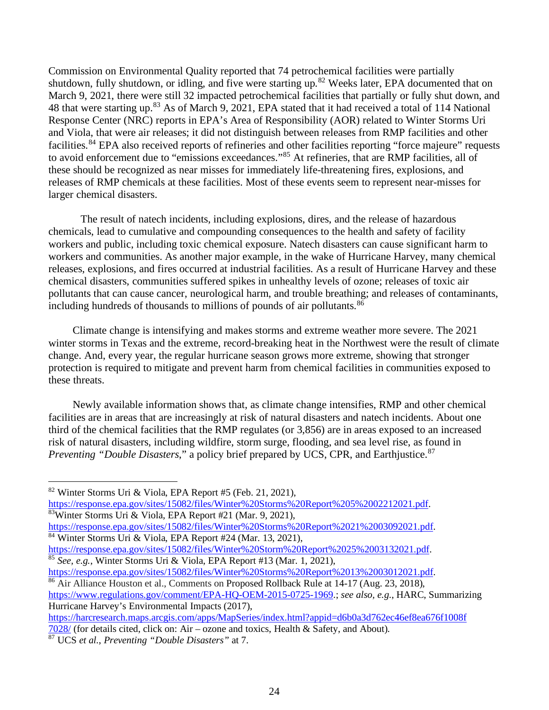Commission on Environmental Quality reported that 74 petrochemical facilities were partially shutdown, fully shutdown, or idling, and five were starting up.<sup>82</sup> Weeks later, EPA documented that on March 9, 2021, there were still 32 impacted petrochemical facilities that partially or fully shut down, and 48 that were starting up.<sup>83</sup> As of March 9, 2021, EPA stated that it had received a total of 114 National Response Center (NRC) reports in EPA's Area of Responsibility (AOR) related to Winter Storms Uri and Viola, that were air releases; it did not distinguish between releases from RMP facilities and other facilities.<sup>84</sup> EPA also received reports of refineries and other facilities reporting "force majeure" requests to avoid enforcement due to "emissions exceedances."<sup>85</sup> At refineries, that are RMP facilities, all of these should be recognized as near misses for immediately life-threatening fires, explosions, and releases of RMP chemicals at these facilities. Most of these events seem to represent near-misses for larger chemical disasters.

The result of natech incidents, including explosions, dires, and the release of hazardous chemicals, lead to cumulative and compounding consequences to the health and safety of facility workers and public, including toxic chemical exposure. Natech disasters can cause significant harm to workers and communities. As another major example, in the wake of Hurricane Harvey, many chemical releases, explosions, and fires occurred at industrial facilities. As a result of Hurricane Harvey and these chemical disasters, communities suffered spikes in unhealthy levels of ozone; releases of toxic air pollutants that can cause cancer, neurological harm, and trouble breathing; and releases of contaminants, including hundreds of thousands to millions of pounds of air pollutants.<sup>86</sup>

Climate change is intensifying and makes storms and extreme weather more severe. The 2021 winter storms in Texas and the extreme, record-breaking heat in the Northwest were the result of climate change. And, every year, the regular hurricane season grows more extreme, showing that stronger protection is required to mitigate and prevent harm from chemical facilities in communities exposed to these threats.

Newly available information shows that, as climate change intensifies, RMP and other chemical facilities are in areas that are increasingly at risk of natural disasters and natech incidents. About one third of the chemical facilities that the RMP regulates (or 3,856) are in areas exposed to an increased risk of natural disasters, including wildfire, storm surge, flooding, and sea level rise, as found in *Preventing "Double Disasters*," a policy brief prepared by UCS, CPR, and Earthjustice. 87

https://response.epa.gov/sites/15082/files/Winter%20Storms%20Report%205%2002212021.pdf. 83Winter Storms Uri & Viola, EPA Report #21 (Mar. 9, 2021),

 $\overline{\text{66}}$  Air Alliance Houston et al., Comments on Proposed Rollback Rule at 14-17 (Aug. 23, 2018),

https://www.regulations.gov/comment/EPA-HQ-OEM-2015-0725-1969.; *see also, e.g.*, HARC, Summarizing Hurricane Harvey's Environmental Impacts (2017),

https://harcresearch.maps.arcgis.com/apps/MapSeries/index.html?appid=d6b0a3d762ec46ef8ea676f1008f

7028/ (for details cited, click on: Air – ozone and toxics, Health & Safety, and About).

<sup>82</sup> Winter Storms Uri & Viola, EPA Report #5 (Feb. 21, 2021),

https://response.epa.gov/sites/15082/files/Winter%20Storms%20Report%2021%2003092021.pdf. 84 Winter Storms Uri & Viola, EPA Report #24 (Mar. 13, 2021),

https://response.epa.gov/sites/15082/files/Winter%20Storm%20Report%2025%2003132021.pdf.<br><sup>85</sup> *See, e.g.*, Winter Storms Uri & Viola, EPA Report #13 (Mar. 1, 2021),<br>https://response.epa.gov/sites/15082/files/Winter%20Storms

<sup>87</sup> UCS *et al.*, *Preventing "Double Disasters"* at 7.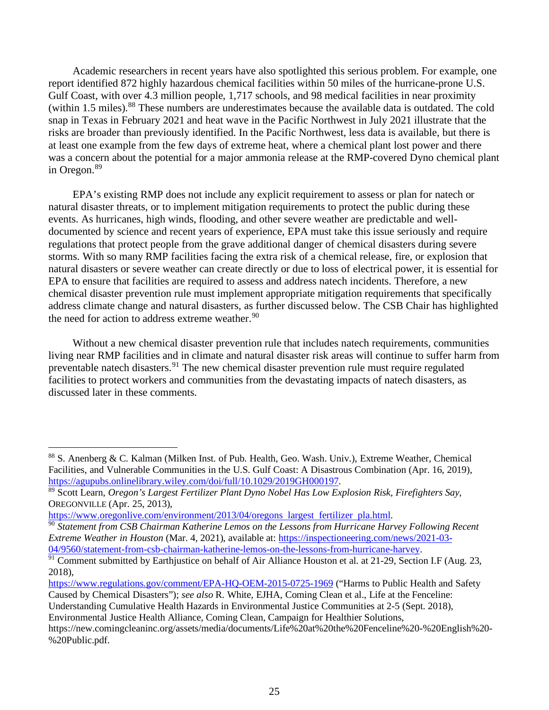Academic researchers in recent years have also spotlighted this serious problem. For example, one report identified 872 highly hazardous chemical facilities within 50 miles of the hurricane-prone U.S. Gulf Coast, with over 4.3 million people, 1,717 schools, and 98 medical facilities in near proximity (within 1.5 miles).<sup>88</sup> These numbers are underestimates because the available data is outdated. The cold snap in Texas in February 2021 and heat wave in the Pacific Northwest in July 2021 illustrate that the risks are broader than previously identified. In the Pacific Northwest, less data is available, but there is at least one example from the few days of extreme heat, where a chemical plant lost power and there was a concern about the potential for a major ammonia release at the RMP-covered Dyno chemical plant in Oregon.<sup>89</sup>

EPA's existing RMP does not include any explicit requirement to assess or plan for natech or natural disaster threats, or to implement mitigation requirements to protect the public during these events. As hurricanes, high winds, flooding, and other severe weather are predictable and welldocumented by science and recent years of experience, EPA must take this issue seriously and require regulations that protect people from the grave additional danger of chemical disasters during severe storms. With so many RMP facilities facing the extra risk of a chemical release, fire, or explosion that natural disasters or severe weather can create directly or due to loss of electrical power, it is essential for EPA to ensure that facilities are required to assess and address natech incidents. Therefore, a new chemical disaster prevention rule must implement appropriate mitigation requirements that specifically address climate change and natural disasters, as further discussed below. The CSB Chair has highlighted the need for action to address extreme weather.<sup>90</sup>

Without a new chemical disaster prevention rule that includes natech requirements, communities living near RMP facilities and in climate and natural disaster risk areas will continue to suffer harm from preventable natech disasters.<sup>91</sup> The new chemical disaster prevention rule must require regulated facilities to protect workers and communities from the devastating impacts of natech disasters, as discussed later in these comments.

https://www.regulations.gov/comment/EPA-HQ-OEM-2015-0725-1969 ("Harms to Public Health and Safety Caused by Chemical Disasters"); *see also* R. White, EJHA, Coming Clean et al., Life at the Fenceline:

Environmental Justice Health Alliance, Coming Clean, Campaign for Healthier Solutions,

<sup>88</sup> S. Anenberg & C. Kalman (Milken Inst. of Pub. Health, Geo. Wash. Univ.), Extreme Weather, Chemical Facilities, and Vulnerable Communities in the U.S. Gulf Coast: A Disastrous Combination (Apr. 16, 2019), https://agupubs.onlinelibrary.wiley.com/doi/full/10.1029/2019GH000197. 89 Scott Learn, *Oregon's Largest Fertilizer Plant Dyno Nobel Has Low Explosion Risk, Firefighters Say*,

OREGONVILLE (Apr. 25, 2013),<br>https://www.oregonlive.com/environment/2013/04/oregons largest fertilizer pla.html.

<sup>&</sup>lt;sup>90</sup> Statement from CSB Chairman Katherine Lemos on the Lessons from Hurricane Harvey Following Recent *Extreme Weather in Houston* (Mar. 4, 2021), available at: https://inspectioneering.com/news/2021-03-04/9560/statement-from-csb-chairman-katherine-lemos-on-the-lessons-from-hurricane-harvey.

<sup>&</sup>lt;sup>91</sup> Comment submitted by Earthjustice on behalf of Air Alliance Houston et al. at 21-29, Section I.F (Aug. 23, 2018),

Understanding Cumulative Health Hazards in Environmental Justice Communities at 2-5 (Sept. 2018),

https://new.comingcleaninc.org/assets/media/documents/Life%20at%20the%20Fenceline%20-%20English%20- %20Public.pdf.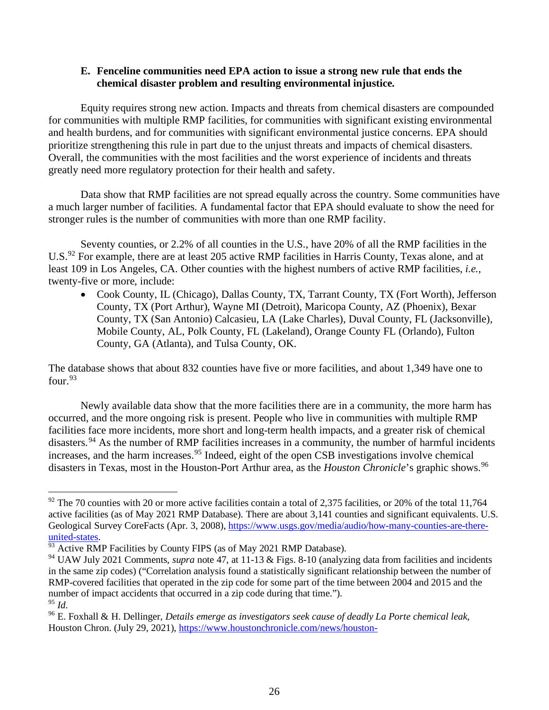#### **E. Fenceline communities need EPA action to issue a strong new rule that ends the chemical disaster problem and resulting environmental injustice.**

Equity requires strong new action. Impacts and threats from chemical disasters are compounded for communities with multiple RMP facilities, for communities with significant existing environmental and health burdens, and for communities with significant environmental justice concerns. EPA should prioritize strengthening this rule in part due to the unjust threats and impacts of chemical disasters. Overall, the communities with the most facilities and the worst experience of incidents and threats greatly need more regulatory protection for their health and safety.

Data show that RMP facilities are not spread equally across the country. Some communities have a much larger number of facilities. A fundamental factor that EPA should evaluate to show the need for stronger rules is the number of communities with more than one RMP facility.

Seventy counties, or 2.2% of all counties in the U.S., have 20% of all the RMP facilities in the U.S.<sup>92</sup> For example, there are at least 205 active RMP facilities in Harris County, Texas alone, and at least 109 in Los Angeles, CA. Other counties with the highest numbers of active RMP facilities, *i.e.*, twenty-five or more, include:

• Cook County, IL (Chicago), Dallas County, TX, Tarrant County, TX (Fort Worth), Jefferson County, TX (Port Arthur), Wayne MI (Detroit), Maricopa County, AZ (Phoenix), Bexar County, TX (San Antonio) Calcasieu, LA (Lake Charles), Duval County, FL (Jacksonville), Mobile County, AL, Polk County, FL (Lakeland), Orange County FL (Orlando), Fulton County, GA (Atlanta), and Tulsa County, OK.

The database shows that about 832 counties have five or more facilities, and about 1,349 have one to four.93

Newly available data show that the more facilities there are in a community, the more harm has occurred, and the more ongoing risk is present. People who live in communities with multiple RMP facilities face more incidents, more short and long-term health impacts, and a greater risk of chemical disasters.<sup>94</sup> As the number of RMP facilities increases in a community, the number of harmful incidents increases, and the harm increases. <sup>95</sup> Indeed, eight of the open CSB investigations involve chemical disasters in Texas, most in the Houston-Port Arthur area, as the *Houston Chronicle*'s graphic shows.<sup>96</sup>

 $92$  The 70 counties with 20 or more active facilities contain a total of 2,375 facilities, or 20% of the total 11,764 active facilities (as of May 2021 RMP Database). There are about 3,141 counties and significant equivalents. U.S. Geological Survey CoreFacts (Apr. 3, 2008), https://www.usgs.gov/media/audio/how-many-counties-are-thereunited-states.<br><sup>93</sup> Active RMP Facilities by County FIPS (as of May 2021 RMP Database).

<sup>&</sup>lt;sup>94</sup> UAW July 2021 Comments, *supra* note 47, at 11-13 & Figs. 8-10 (analyzing data from facilities and incidents in the same zip codes) ("Correlation analysis found a statistically significant relationship between the number of RMP-covered facilities that operated in the zip code for some part of the time between 2004 and 2015 and the number of impact accidents that occurred in a zip code during that time."). <sup>95</sup> *Id.*

<sup>96</sup> E. Foxhall & H. Dellinger, *Details emerge as investigators seek cause of deadly La Porte chemical leak*, Houston Chron. (July 29, 2021), https://www.houstonchronicle.com/news/houston-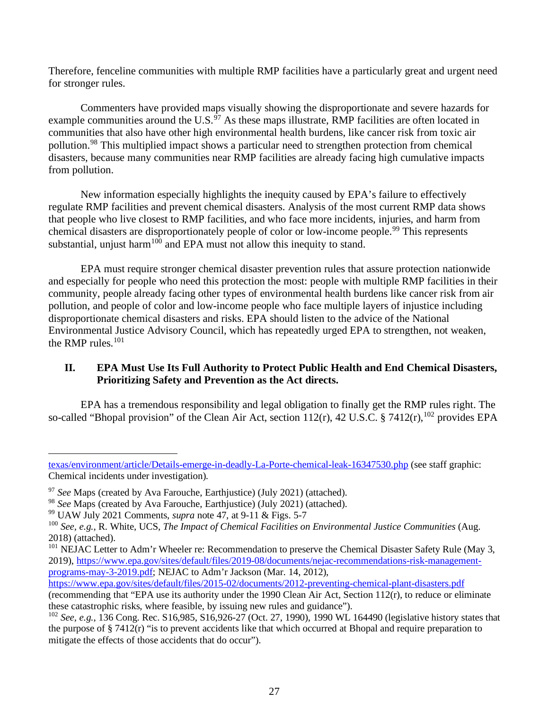Therefore, fenceline communities with multiple RMP facilities have a particularly great and urgent need for stronger rules.

Commenters have provided maps visually showing the disproportionate and severe hazards for example communities around the U.S. $\frac{97}{9}$  As these maps illustrate, RMP facilities are often located in communities that also have other high environmental health burdens, like cancer risk from toxic air pollution.<sup>98</sup> This multiplied impact shows a particular need to strengthen protection from chemical disasters, because many communities near RMP facilities are already facing high cumulative impacts from pollution.

New information especially highlights the inequity caused by EPA's failure to effectively regulate RMP facilities and prevent chemical disasters. Analysis of the most current RMP data shows that people who live closest to RMP facilities, and who face more incidents, injuries, and harm from chemical disasters are disproportionately people of color or low-income people.<sup>99</sup> This represents substantial, unjust harm<sup>100</sup> and EPA must not allow this inequity to stand.

EPA must require stronger chemical disaster prevention rules that assure protection nationwide and especially for people who need this protection the most: people with multiple RMP facilities in their community, people already facing other types of environmental health burdens like cancer risk from air pollution, and people of color and low-income people who face multiple layers of injustice including disproportionate chemical disasters and risks. EPA should listen to the advice of the National Environmental Justice Advisory Council, which has repeatedly urged EPA to strengthen, not weaken, the RMP rules. $101$ 

## **II. EPA Must Use Its Full Authority to Protect Public Health and End Chemical Disasters, Prioritizing Safety and Prevention as the Act directs.**

EPA has a tremendous responsibility and legal obligation to finally get the RMP rules right. The so-called "Bhopal provision" of the Clean Air Act, section  $112(r)$ , 42 U.S.C. § 7412 $(r)$ ,  $^{102}$  provides EPA

texas/environment/article/Details-emerge-in-deadly-La-Porte-chemical-leak-16347530.php (see staff graphic: Chemical incidents under investigation).

<sup>&</sup>lt;sup>97</sup> See Maps (created by Ava Farouche, Earthjustice) (July 2021) (attached).

<sup>98</sup> *See* Maps (created by Ava Farouche, Earthjustice) (July 2021) (attached). <sup>99</sup> UAW July 2021 Comments, *supra* note 47, at 9-11 & Figs. 5-7

<sup>100</sup> *See, e.g.*, R. White, UCS, *The Impact of Chemical Facilities on Environmental Justice Communities* (Aug. 2018) (attached).

<sup>&</sup>lt;sup>101</sup> NEJAC Letter to Adm'r Wheeler re: Recommendation to preserve the Chemical Disaster Safety Rule (May 3, 2019), https://www.epa.gov/sites/default/files/2019-08/documents/nejac-recommendations-risk-managementprograms-may-3-2019.pdf; NEJAC to Adm'r Jackson (Mar. 14, 2012),

https://www.epa.gov/sites/default/files/2015-02/documents/2012-preventing-chemical-plant-disasters.pdf (recommending that "EPA use its authority under the 1990 Clean Air Act, Section 112(r), to reduce or eliminate these catastrophic risks, where feasible, by issuing new rules and guidance").

<sup>102</sup> *See, e.g.*, 136 Cong. Rec. S16,985, S16,926-27 (Oct. 27, 1990), 1990 WL 164490 (legislative history states that the purpose of § 7412(r) "is to prevent accidents like that which occurred at Bhopal and require preparation to mitigate the effects of those accidents that do occur").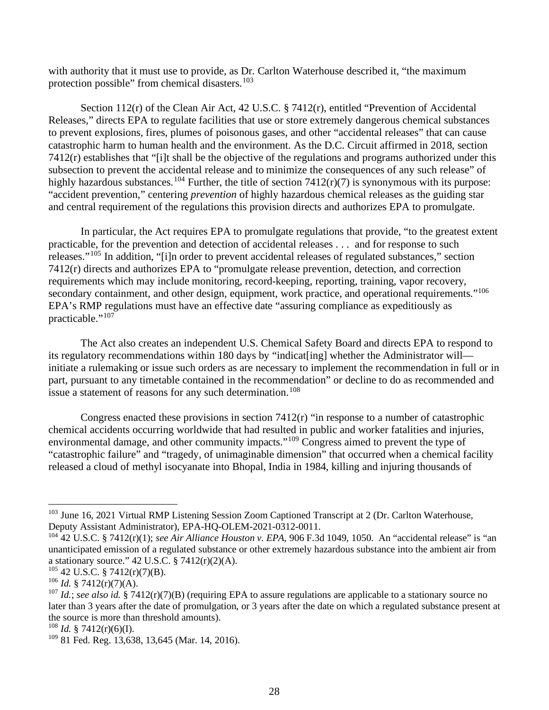with authority that it must use to provide, as Dr. Carlton Waterhouse described it, "the maximum protection possible" from chemical disasters.<sup>103</sup>

Section 112(r) of the Clean Air Act, 42 U.S.C. § 7412(r), entitled "Prevention of Accidental Releases," directs EPA to regulate facilities that use or store extremely dangerous chemical substances to prevent explosions, fires, plumes of poisonous gases, and other "accidental releases" that can cause catastrophic harm to human health and the environment. As the D.C. Circuit affirmed in 2018, section 7412(r) establishes that "[i]t shall be the objective of the regulations and programs authorized under this subsection to prevent the accidental release and to minimize the consequences of any such release" of highly hazardous substances.<sup>104</sup> Further, the title of section  $7412(r)(7)$  is synonymous with its purpose: "accident prevention," centering *prevention* of highly hazardous chemical releases as the guiding star and central requirement of the regulations this provision directs and authorizes EPA to promulgate.

In particular, the Act requires EPA to promulgate regulations that provide, "to the greatest extent practicable, for the prevention and detection of accidental releases . . . and for response to such releases."<sup>105</sup> In addition, "[i]n order to prevent accidental releases of regulated substances," section 7412(r) directs and authorizes EPA to "promulgate release prevention, detection, and correction requirements which may include monitoring, record-keeping, reporting, training, vapor recovery, secondary containment, and other design, equipment, work practice, and operational requirements."<sup>106</sup> EPA's RMP regulations must have an effective date "assuring compliance as expeditiously as practicable."<sup>107</sup>

The Act also creates an independent U.S. Chemical Safety Board and directs EPA to respond to its regulatory recommendations within 180 days by "indicat[ing] whether the Administrator will initiate a rulemaking or issue such orders as are necessary to implement the recommendation in full or in part, pursuant to any timetable contained in the recommendation" or decline to do as recommended and issue a statement of reasons for any such determination.<sup>108</sup>

Congress enacted these provisions in section  $7412(r)$  "in response to a number of catastrophic chemical accidents occurring worldwide that had resulted in public and worker fatalities and injuries, environmental damage, and other community impacts."<sup>109</sup> Congress aimed to prevent the type of "catastrophic failure" and "tragedy, of unimaginable dimension" that occurred when a chemical facility released a cloud of methyl isocyanate into Bhopal, India in 1984, killing and injuring thousands of

<sup>&</sup>lt;sup>103</sup> June 16, 2021 Virtual RMP Listening Session Zoom Captioned Transcript at 2 (Dr. Carlton Waterhouse, Deputy Assistant Administrator), EPA-HQ-OLEM-2021-0312-0011.

<sup>104</sup> 42 U.S.C. § 7412(r)(1); *see Air Alliance Houston v. EPA*, 906 F.3d 1049, 1050. An "accidental release" is "an unanticipated emission of a regulated substance or other extremely hazardous substance into the ambient air from a stationary source."  $42$  U.S.C.  $\S$  7412(r)(2)(A).

 $105$  42 U.S.C. § 7412(r)(7)(B).

 $106$  *Id.* § 7412(r)(7)(A).

<sup>107</sup> *Id.*; *see also id.* § 7412(r)(7)(B) (requiring EPA to assure regulations are applicable to a stationary source no later than 3 years after the date of promulgation, or 3 years after the date on which a regulated substance present at the source is more than threshold amounts).

<sup>&</sup>lt;sup>108</sup> *Id.* § 7412(r)(6)(I).

<sup>109</sup> 81 Fed. Reg. 13,638, 13,645 (Mar. 14, 2016).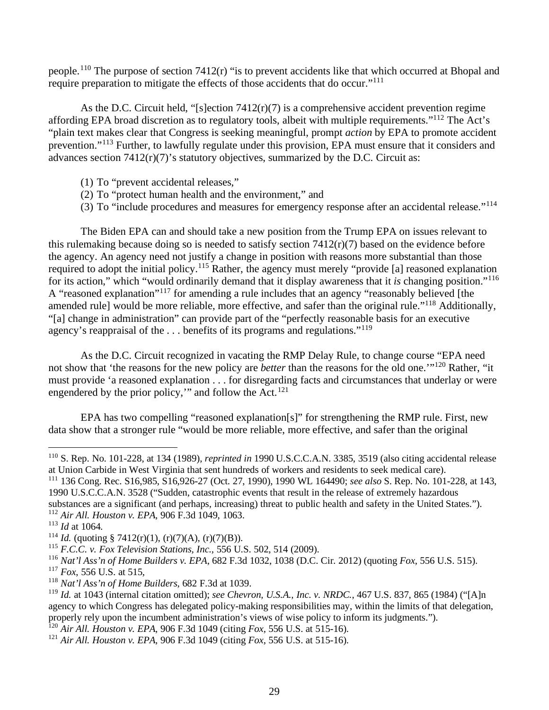people.<sup>110</sup> The purpose of section 7412(r) "is to prevent accidents like that which occurred at Bhopal and require preparation to mitigate the effects of those accidents that do occur."<sup>111</sup>

As the D.C. Circuit held, "[s]ection 7412(r)(7) is a comprehensive accident prevention regime affording EPA broad discretion as to regulatory tools, albeit with multiple requirements."<sup>112</sup> The Act's "plain text makes clear that Congress is seeking meaningful, prompt *action* by EPA to promote accident prevention."<sup>113</sup> Further, to lawfully regulate under this provision, EPA must ensure that it considers and advances section  $7412(r)(7)$ 's statutory objectives, summarized by the D.C. Circuit as:

- (1) To "prevent accidental releases,"
- (2) To "protect human health and the environment," and
- (3) To "include procedures and measures for emergency response after an accidental release."<sup>114</sup>

The Biden EPA can and should take a new position from the Trump EPA on issues relevant to this rulemaking because doing so is needed to satisfy section 7412(r)(7) based on the evidence before the agency. An agency need not justify a change in position with reasons more substantial than those required to adopt the initial policy.<sup>115</sup> Rather, the agency must merely "provide [a] reasoned explanation for its action," which "would ordinarily demand that it display awareness that it *is* changing position."<sup>116</sup> A "reasoned explanation"<sup>117</sup> for amending a rule includes that an agency "reasonably believed [the amended rule] would be more reliable, more effective, and safer than the original rule."<sup>118</sup> Additionally, "[a] change in administration" can provide part of the "perfectly reasonable basis for an executive agency's reappraisal of the  $\dots$  benefits of its programs and regulations."<sup>119</sup>

As the D.C. Circuit recognized in vacating the RMP Delay Rule, to change course "EPA need not show that 'the reasons for the new policy are *better* than the reasons for the old one.'"<sup>120</sup> Rather, "it must provide 'a reasoned explanation . . . for disregarding facts and circumstances that underlay or were engendered by the prior policy," and follow the Act. $121$ 

EPA has two compelling "reasoned explanation[s]" for strengthening the RMP rule. First, new data show that a stronger rule "would be more reliable, more effective, and safer than the original

<sup>120</sup> *Air All. Houston v. EPA*, 906 F.3d 1049 (citing *Fox*, 556 U.S. at 515-16).

<sup>110</sup> S. Rep. No. 101-228, at 134 (1989), *reprinted in* 1990 U.S.C.C.A.N. 3385, 3519 (also citing accidental release at Union Carbide in West Virginia that sent hundreds of workers and residents to seek medical care).

<sup>111</sup> 136 Cong. Rec. S16,985, S16,926-27 (Oct. 27, 1990), 1990 WL 164490; *see also* S. Rep. No. 101-228, at 143, 1990 U.S.C.C.A.N. 3528 ("Sudden, catastrophic events that result in the release of extremely hazardous substances are a significant (and perhaps, increasing) threat to public health and safety in the United States.").

<sup>&</sup>lt;sup>112</sup> *Air All. Houston v. EPA*, 906 F.3d 1049, 1063.<br><sup>113</sup> *Id* at 1064.<br><sup>114</sup> *Id.* (quoting § 7412(r)(1), (r)(7)(A), (r)(7)(B)).

<sup>115</sup> *F.C.C. v. Fox Television Stations, Inc.*, 556 U.S. 502, 514 (2009).

<sup>116</sup> *Nat'l Ass'n of Home Builders v. EPA*, 682 F.3d 1032, 1038 (D.C. Cir. 2012) (quoting *Fox*, 556 U.S. 515).

<sup>117</sup> *Fox*, 556 U.S. at 515,

<sup>118</sup> *Nat'l Ass'n of Home Builders*, 682 F.3d at 1039.

<sup>119</sup> *Id.* at 1043 (internal citation omitted); *see Chevron, U.S.A., Inc. v. NRDC.*, 467 U.S. 837, 865 (1984) ("[A]n agency to which Congress has delegated policy-making responsibilities may, within the limits of that delegation, properly rely upon the incumbent administration's views of wise policy to inform its judgments.").

<sup>121</sup> *Air All. Houston v. EPA*, 906 F.3d 1049 (citing *Fox*, 556 U.S. at 515-16).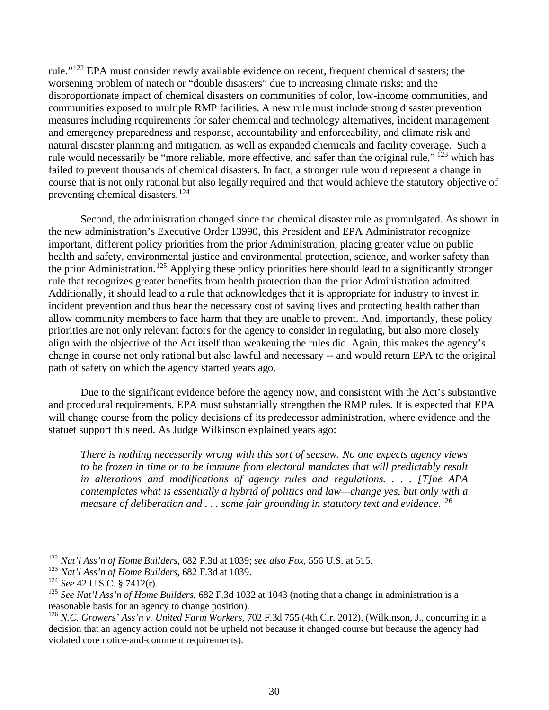rule."<sup>122</sup> EPA must consider newly available evidence on recent, frequent chemical disasters; the worsening problem of natech or "double disasters" due to increasing climate risks; and the disproportionate impact of chemical disasters on communities of color, low-income communities, and communities exposed to multiple RMP facilities. A new rule must include strong disaster prevention measures including requirements for safer chemical and technology alternatives, incident management and emergency preparedness and response, accountability and enforceability, and climate risk and natural disaster planning and mitigation, as well as expanded chemicals and facility coverage. Such a rule would necessarily be "more reliable, more effective, and safer than the original rule," <sup>123</sup> which has failed to prevent thousands of chemical disasters. In fact, a stronger rule would represent a change in course that is not only rational but also legally required and that would achieve the statutory objective of preventing chemical disasters.<sup>124</sup>

Second, the administration changed since the chemical disaster rule as promulgated. As shown in the new administration's Executive Order 13990, this President and EPA Administrator recognize important, different policy priorities from the prior Administration, placing greater value on public health and safety, environmental justice and environmental protection, science, and worker safety than the prior Administration.<sup>125</sup> Applying these policy priorities here should lead to a significantly stronger rule that recognizes greater benefits from health protection than the prior Administration admitted. Additionally, it should lead to a rule that acknowledges that it is appropriate for industry to invest in incident prevention and thus bear the necessary cost of saving lives and protecting health rather than allow community members to face harm that they are unable to prevent. And, importantly, these policy priorities are not only relevant factors for the agency to consider in regulating, but also more closely align with the objective of the Act itself than weakening the rules did. Again, this makes the agency's change in course not only rational but also lawful and necessary -- and would return EPA to the original path of safety on which the agency started years ago.

Due to the significant evidence before the agency now, and consistent with the Act's substantive and procedural requirements, EPA must substantially strengthen the RMP rules. It is expected that EPA will change course from the policy decisions of its predecessor administration, where evidence and the statuet support this need. As Judge Wilkinson explained years ago:

*There is nothing necessarily wrong with this sort of seesaw. No one expects agency views*  to be frozen in time or to be immune from electoral mandates that will predictably result *in alterations and modifications of agency rules and regulations. . . . [T]he APA contemplates what is essentially a hybrid of politics and law—change yes, but only with a measure of deliberation and . . . some fair grounding in statutory text and evidence*. 126

<sup>122</sup> *Nat'l Ass'n of Home Builders*, 682 F.3d at 1039; *see also Fox*, 556 U.S. at 515.

<sup>123</sup> *Nat'l Ass'n of Home Builders*, 682 F.3d at 1039.

<sup>124</sup> *See* 42 U.S.C. § 7412(r).

<sup>125</sup> *See Nat'l Ass'n of Home Builders*, 682 F.3d 1032 at 1043 (noting that a change in administration is a reasonable basis for an agency to change position).

<sup>126</sup> *N.C. Growers' Ass'n v. United Farm Workers*, 702 F.3d 755 (4th Cir. 2012). (Wilkinson, J., concurring in a decision that an agency action could not be upheld not because it changed course but because the agency had violated core notice-and-comment requirements).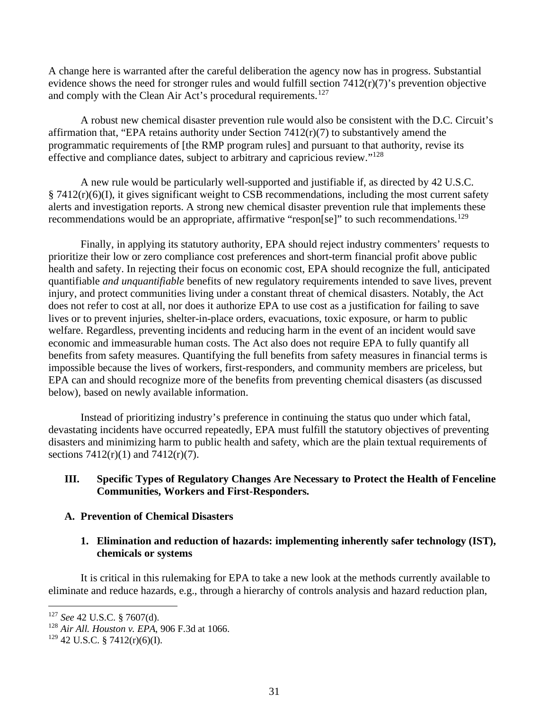A change here is warranted after the careful deliberation the agency now has in progress. Substantial evidence shows the need for stronger rules and would fulfill section 7412(r)(7)'s prevention objective and comply with the Clean Air Act's procedural requirements.<sup>127</sup>

A robust new chemical disaster prevention rule would also be consistent with the D.C. Circuit's affirmation that, "EPA retains authority under Section  $7412(r)(7)$  to substantively amend the programmatic requirements of [the RMP program rules] and pursuant to that authority, revise its effective and compliance dates, subject to arbitrary and capricious review."128

A new rule would be particularly well-supported and justifiable if, as directed by 42 U.S.C.  $\S 7412(r)(6)(I)$ , it gives significant weight to CSB recommendations, including the most current safety alerts and investigation reports. A strong new chemical disaster prevention rule that implements these recommendations would be an appropriate, affirmative "respon[se]" to such recommendations.<sup>129</sup>

Finally, in applying its statutory authority, EPA should reject industry commenters' requests to prioritize their low or zero compliance cost preferences and short-term financial profit above public health and safety. In rejecting their focus on economic cost, EPA should recognize the full, anticipated quantifiable *and unquantifiable* benefits of new regulatory requirements intended to save lives, prevent injury, and protect communities living under a constant threat of chemical disasters. Notably, the Act does not refer to cost at all, nor does it authorize EPA to use cost as a justification for failing to save lives or to prevent injuries, shelter-in-place orders, evacuations, toxic exposure, or harm to public welfare. Regardless, preventing incidents and reducing harm in the event of an incident would save economic and immeasurable human costs. The Act also does not require EPA to fully quantify all benefits from safety measures. Quantifying the full benefits from safety measures in financial terms is impossible because the lives of workers, first-responders, and community members are priceless, but EPA can and should recognize more of the benefits from preventing chemical disasters (as discussed below), based on newly available information.

Instead of prioritizing industry's preference in continuing the status quo under which fatal, devastating incidents have occurred repeatedly, EPA must fulfill the statutory objectives of preventing disasters and minimizing harm to public health and safety, which are the plain textual requirements of sections  $7412(r)(1)$  and  $7412(r)(7)$ .

#### **III. Specific Types of Regulatory Changes Are Necessary to Protect the Health of Fenceline Communities, Workers and First-Responders.**

## **A. Prevention of Chemical Disasters**

#### **1. Elimination and reduction of hazards: implementing inherently safer technology (IST), chemicals or systems**

It is critical in this rulemaking for EPA to take a new look at the methods currently available to eliminate and reduce hazards, e.g., through a hierarchy of controls analysis and hazard reduction plan,

<sup>127</sup> *See* 42 U.S.C. § 7607(d).

<sup>128</sup> *Air All. Houston v. EPA*, 906 F.3d at 1066.

 $129$  42 U.S.C. § 7412(r)(6)(I).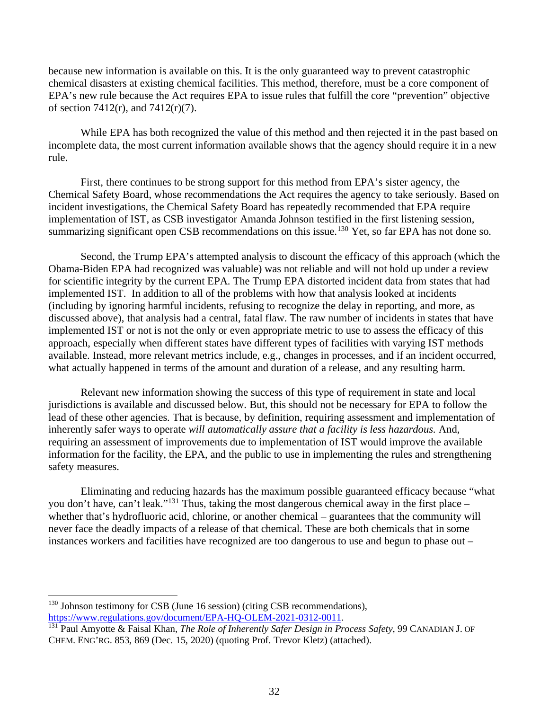because new information is available on this. It is the only guaranteed way to prevent catastrophic chemical disasters at existing chemical facilities. This method, therefore, must be a core component of EPA's new rule because the Act requires EPA to issue rules that fulfill the core "prevention" objective of section 7412(r), and 7412(r)(7).

While EPA has both recognized the value of this method and then rejected it in the past based on incomplete data, the most current information available shows that the agency should require it in a new rule.

First, there continues to be strong support for this method from EPA's sister agency, the Chemical Safety Board, whose recommendations the Act requires the agency to take seriously. Based on incident investigations, the Chemical Safety Board has repeatedly recommended that EPA require implementation of IST, as CSB investigator Amanda Johnson testified in the first listening session, summarizing significant open CSB recommendations on this issue.<sup>130</sup> Yet, so far EPA has not done so.

Second, the Trump EPA's attempted analysis to discount the efficacy of this approach (which the Obama-Biden EPA had recognized was valuable) was not reliable and will not hold up under a review for scientific integrity by the current EPA. The Trump EPA distorted incident data from states that had implemented IST. In addition to all of the problems with how that analysis looked at incidents (including by ignoring harmful incidents, refusing to recognize the delay in reporting, and more, as discussed above), that analysis had a central, fatal flaw. The raw number of incidents in states that have implemented IST or not is not the only or even appropriate metric to use to assess the efficacy of this approach, especially when different states have different types of facilities with varying IST methods available. Instead, more relevant metrics include, e.g., changes in processes, and if an incident occurred, what actually happened in terms of the amount and duration of a release, and any resulting harm.

Relevant new information showing the success of this type of requirement in state and local jurisdictions is available and discussed below. But, this should not be necessary for EPA to follow the lead of these other agencies. That is because, by definition, requiring assessment and implementation of inherently safer ways to operate *will automatically assure that a facility is less hazardous*. And, requiring an assessment of improvements due to implementation of IST would improve the available information for the facility, the EPA, and the public to use in implementing the rules and strengthening safety measures.

Eliminating and reducing hazards has the maximum possible guaranteed efficacy because "what you don't have, can't leak."<sup>131</sup> Thus, taking the most dangerous chemical away in the first place – whether that's hydrofluoric acid, chlorine, or another chemical – guarantees that the community will never face the deadly impacts of a release of that chemical. These are both chemicals that in some instances workers and facilities have recognized are too dangerous to use and begun to phase out –

<sup>130</sup> Johnson testimony for CSB (June 16 session) (citing CSB recommendations), https://www.regulations.gov/document/EPA-HQ-OLEM-2021-0312-0011.

<sup>131</sup> Paul Amyotte & Faisal Khan, *The Role of Inherently Safer Design in Process Safety*, 99 CANADIAN J. OF CHEM. ENG'RG. 853, 869 (Dec. 15, 2020) (quoting Prof. Trevor Kletz) (attached).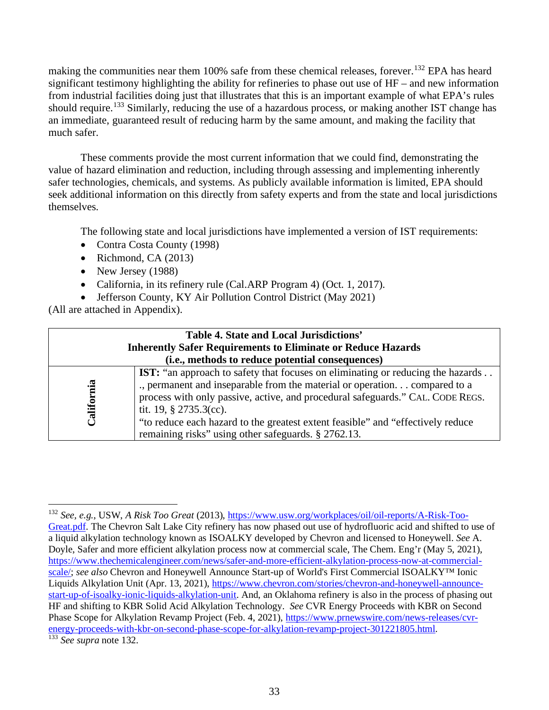making the communities near them 100% safe from these chemical releases, forever.<sup>132</sup> EPA has heard significant testimony highlighting the ability for refineries to phase out use of HF – and new information from industrial facilities doing just that illustrates that this is an important example of what EPA's rules should require.<sup>133</sup> Similarly, reducing the use of a hazardous process, or making another IST change has an immediate, guaranteed result of reducing harm by the same amount, and making the facility that much safer.

These comments provide the most current information that we could find, demonstrating the value of hazard elimination and reduction, including through assessing and implementing inherently safer technologies, chemicals, and systems. As publicly available information is limited, EPA should seek additional information on this directly from safety experts and from the state and local jurisdictions themselves.

The following state and local jurisdictions have implemented a version of IST requirements:

- Contra Costa County (1998)
- Richmond, CA  $(2013)$
- New Jersey (1988)
- California, in its refinery rule (Cal.ARP Program 4) (Oct. 1, 2017).
- Jefferson County, KY Air Pollution Control District (May 2021)

(All are attached in Appendix).

| Table 4. State and Local Jurisdictions'<br><b>Inherently Safer Requirements to Eliminate or Reduce Hazards</b><br>(i.e., methods to reduce potential consequences) |                                                                                                                                                                                                                                                                                                                                                                                                                               |  |  |
|--------------------------------------------------------------------------------------------------------------------------------------------------------------------|-------------------------------------------------------------------------------------------------------------------------------------------------------------------------------------------------------------------------------------------------------------------------------------------------------------------------------------------------------------------------------------------------------------------------------|--|--|
| California                                                                                                                                                         | <b>IST:</b> "an approach to safety that focuses on eliminating or reducing the hazards<br>., permanent and inseparable from the material or operation compared to a<br>process with only passive, active, and procedural safeguards." CAL. CODE REGS.<br>tit. 19, $\S$ 2735.3(cc).<br>"to reduce each hazard to the greatest extent feasible" and "effectively reduce"<br>remaining risks" using other safeguards. § 2762.13. |  |  |

<sup>132</sup> *See, e.g.*, USW, *A Risk Too Great* (2013), https://www.usw.org/workplaces/oil/oil-reports/A-Risk-Too-Great.pdf. The Chevron Salt Lake City refinery has now phased out use of hydrofluoric acid and shifted to use of a liquid alkylation technology known as ISOALKY developed by Chevron and licensed to Honeywell. *See* A. Doyle, Safer and more efficient alkylation process now at commercial scale, The Chem. Eng'r (May 5, 2021), https://www.thechemicalengineer.com/news/safer-and-more-efficient-alkylation-process-now-at-commercialscale/; *see also* Chevron and Honeywell Announce Start-up of World's First Commercial ISOALKY<sup>™</sup> Ionic Liquids Alkylation Unit (Apr. 13, 2021), https://www.chevron.com/stories/chevron-and-honeywell-announcestart-up-of-isoalky-ionic-liquids-alkylation-unit. And, an Oklahoma refinery is also in the process of phasing out HF and shifting to KBR Solid Acid Alkylation Technology. *See* CVR Energy Proceeds with KBR on Second Phase Scope for Alkylation Revamp Project (Feb. 4, 2021), https://www.prnewswire.com/news-releases/cvrenergy-proceeds-with-kbr-on-second-phase-scope-for-alkylation-revamp-project-301221805.html. 133 *See supra* note 132.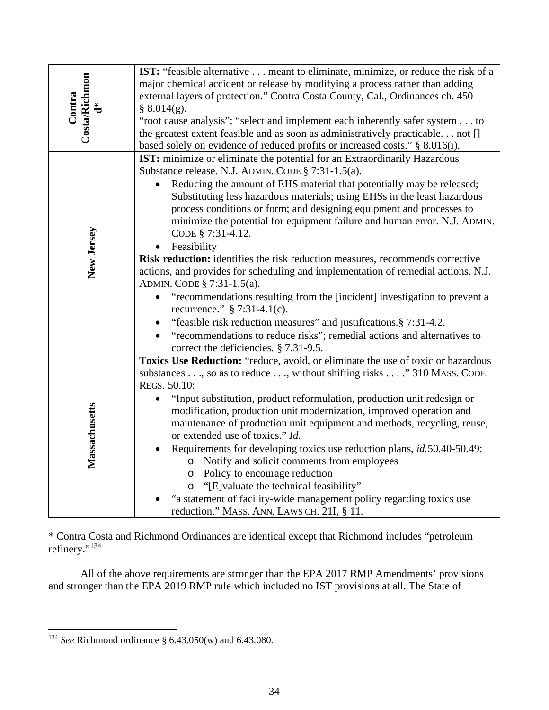|                                     | <b>IST:</b> "feasible alternative meant to eliminate, minimize, or reduce the risk of a |
|-------------------------------------|-----------------------------------------------------------------------------------------|
| <b>Costa/Richmon</b>                | major chemical accident or release by modifying a process rather than adding            |
|                                     | external layers of protection." Contra Costa County, Cal., Ordinances ch. 450           |
| Contra<br>$\overset{*}{\mathbf{d}}$ | § 8.014(g).                                                                             |
|                                     | "root cause analysis"; "select and implement each inherently safer system to            |
|                                     | the greatest extent feasible and as soon as administratively practicable not []         |
|                                     | based solely on evidence of reduced profits or increased costs." § 8.016(i).            |
|                                     | <b>IST:</b> minimize or eliminate the potential for an Extraordinarily Hazardous        |
|                                     | Substance release. N.J. ADMIN. CODE § 7:31-1.5(a).                                      |
|                                     | Reducing the amount of EHS material that potentially may be released;                   |
|                                     | Substituting less hazardous materials; using EHSs in the least hazardous                |
|                                     | process conditions or form; and designing equipment and processes to                    |
|                                     | minimize the potential for equipment failure and human error. N.J. ADMIN.               |
|                                     | CODE § 7:31-4.12.                                                                       |
| New Jersey                          | Feasibility                                                                             |
|                                     | Risk reduction: identifies the risk reduction measures, recommends corrective           |
|                                     | actions, and provides for scheduling and implementation of remedial actions. N.J.       |
|                                     | ADMIN. CODE § 7:31-1.5(a).                                                              |
|                                     | "recommendations resulting from the [incident] investigation to prevent a               |
|                                     | recurrence." $\S$ 7:31-4.1(c).                                                          |
|                                     | "feasible risk reduction measures" and justifications. § 7:31-4.2.                      |
|                                     | "recommendations to reduce risks"; remedial actions and alternatives to<br>$\bullet$    |
|                                     | correct the deficiencies. § 7.31-9.5.                                                   |
|                                     | Toxics Use Reduction: "reduce, avoid, or eliminate the use of toxic or hazardous        |
|                                     | substances, so as to reduce, without shifting risks " 310 MASS. CODE                    |
|                                     | REGS. 50.10:                                                                            |
|                                     | "Input substitution, product reformulation, production unit redesign or                 |
|                                     | modification, production unit modernization, improved operation and                     |
|                                     | maintenance of production unit equipment and methods, recycling, reuse,                 |
|                                     | or extended use of toxics." Id.                                                         |
|                                     | Requirements for developing toxics use reduction plans, id.50.40-50.49:<br>$\bullet$    |
| Massachusetts                       | Notify and solicit comments from employees<br>$\circ$                                   |
|                                     | o Policy to encourage reduction                                                         |
|                                     | o "[E] valuate the technical feasibility"                                               |
|                                     | "a statement of facility-wide management policy regarding toxics use                    |
|                                     | reduction." MASS. ANN. LAWS CH. 21I, § 11.                                              |

\* Contra Costa and Richmond Ordinances are identical except that Richmond includes "petroleum refinery."<sup>134</sup>

All of the above requirements are stronger than the EPA 2017 RMP Amendments' provisions and stronger than the EPA 2019 RMP rule which included no IST provisions at all. The State of

<sup>134</sup> *See* Richmond ordinance § 6.43.050(w) and 6.43.080.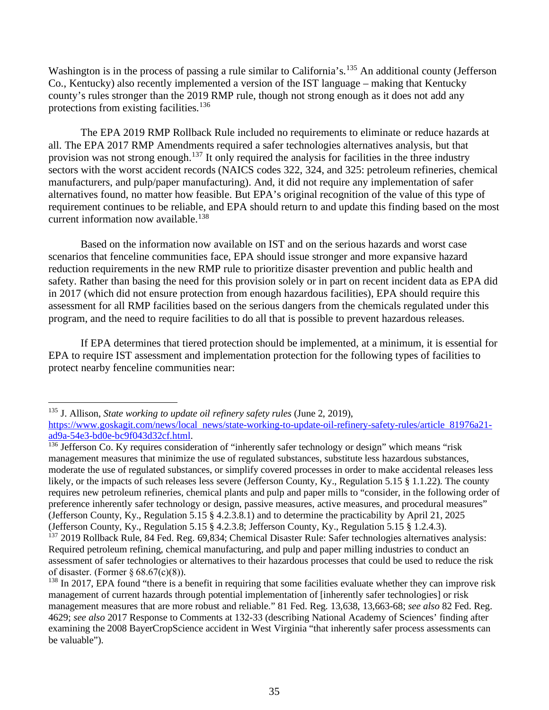Washington is in the process of passing a rule similar to California's.<sup>135</sup> An additional county (Jefferson Co., Kentucky) also recently implemented a version of the IST language – making that Kentucky county's rules stronger than the 2019 RMP rule, though not strong enough as it does not add any protections from existing facilities.<sup>136</sup>

The EPA 2019 RMP Rollback Rule included no requirements to eliminate or reduce hazards at all. The EPA 2017 RMP Amendments required a safer technologies alternatives analysis, but that provision was not strong enough.<sup>137</sup> It only required the analysis for facilities in the three industry sectors with the worst accident records (NAICS codes 322, 324, and 325: petroleum refineries, chemical manufacturers, and pulp/paper manufacturing). And, it did not require any implementation of safer alternatives found, no matter how feasible. But EPA's original recognition of the value of this type of requirement continues to be reliable, and EPA should return to and update this finding based on the most current information now available.<sup>138</sup>

Based on the information now available on IST and on the serious hazards and worst case scenarios that fenceline communities face, EPA should issue stronger and more expansive hazard reduction requirements in the new RMP rule to prioritize disaster prevention and public health and safety. Rather than basing the need for this provision solely or in part on recent incident data as EPA did in 2017 (which did not ensure protection from enough hazardous facilities), EPA should require this assessment for all RMP facilities based on the serious dangers from the chemicals regulated under this program, and the need to require facilities to do all that is possible to prevent hazardous releases.

If EPA determines that tiered protection should be implemented, at a minimum, it is essential for EPA to require IST assessment and implementation protection for the following types of facilities to protect nearby fenceline communities near:

<sup>135</sup> J. Allison, *State working to update oil refinery safety rules* (June 2, 2019), https://www.goskagit.com/news/local\_news/state-working-to-update-oil-refinery-safety-rules/article 81976a21-<br>ad9a-54e3-bd0e-bc9f043d32cf.html.

 $\frac{136}{136}$  Jefferson Co. Ky requires consideration of "inherently safer technology or design" which means "risk" management measures that minimize the use of regulated substances, substitute less hazardous substances, moderate the use of regulated substances, or simplify covered processes in order to make accidental releases less likely, or the impacts of such releases less severe (Jefferson County, Ky., Regulation 5.15 § 1.1.22). The county requires new petroleum refineries, chemical plants and pulp and paper mills to "consider, in the following order of preference inherently safer technology or design, passive measures, active measures, and procedural measures" (Jefferson County, Ky., Regulation 5.15 § 4.2.3.8.1) and to determine the practicability by April 21, 2025 (Jefferson County, Ky., Regulation 5.15 § 4.2.3.8; Jefferson County, Ky., Regulation 5.15 § 1.2.4.3). <sup>137</sup> 2019 Rollback Rule, 84 Fed. Reg. 69,834; Chemical Disaster Rule: Safer technologies alternatives analysis: Required petroleum refining, chemical manufacturing, and pulp and paper milling industries to conduct an

assessment of safer technologies or alternatives to their hazardous processes that could be used to reduce the risk of disaster. (Former  $\S 68.67(c)(8)$ ).

 $^{138}$  In 2017, EPA found "there is a benefit in requiring that some facilities evaluate whether they can improve risk management of current hazards through potential implementation of [inherently safer technologies] or risk management measures that are more robust and reliable." 81 Fed. Reg. 13,638, 13,663-68; *see also* 82 Fed. Reg. 4629; *see also* 2017 Response to Comments at 132-33 (describing National Academy of Sciences' finding after examining the 2008 BayerCropScience accident in West Virginia "that inherently safer process assessments can be valuable").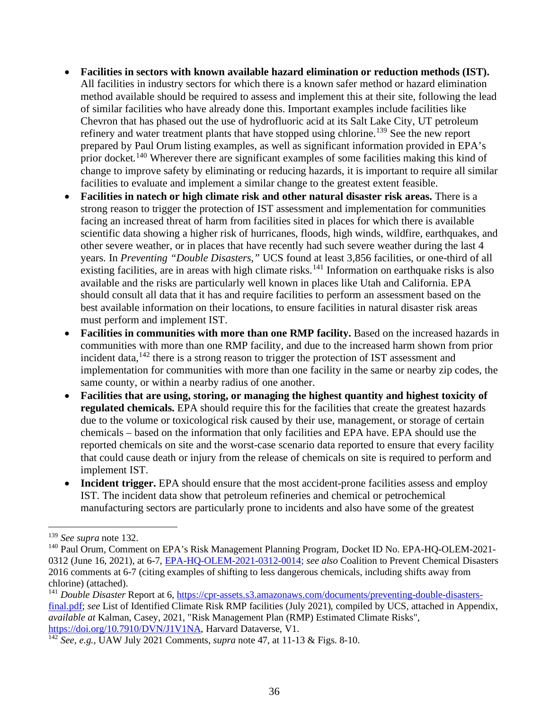- **Facilities in sectors with known available hazard elimination or reduction methods (IST).**  All facilities in industry sectors for which there is a known safer method or hazard elimination method available should be required to assess and implement this at their site, following the lead of similar facilities who have already done this. Important examples include facilities like Chevron that has phased out the use of hydrofluoric acid at its Salt Lake City, UT petroleum refinery and water treatment plants that have stopped using chlorine.<sup>139</sup> See the new report prepared by Paul Orum listing examples, as well as significant information provided in EPA's prior docket.<sup>140</sup> Wherever there are significant examples of some facilities making this kind of change to improve safety by eliminating or reducing hazards, it is important to require all similar facilities to evaluate and implement a similar change to the greatest extent feasible.
- **Facilities in natech or high climate risk and other natural disaster risk areas.** There is a strong reason to trigger the protection of IST assessment and implementation for communities facing an increased threat of harm from facilities sited in places for which there is available scientific data showing a higher risk of hurricanes, floods, high winds, wildfire, earthquakes, and other severe weather, or in places that have recently had such severe weather during the last 4 years. In *Preventing "Double Disasters,"* UCS found at least 3,856 facilities, or one-third of all existing facilities, are in areas with high climate risks.<sup>141</sup> Information on earthquake risks is also available and the risks are particularly well known in places like Utah and California. EPA should consult all data that it has and require facilities to perform an assessment based on the best available information on their locations, to ensure facilities in natural disaster risk areas must perform and implement IST.
- **Facilities in communities with more than one RMP facility.** Based on the increased hazards in communities with more than one RMP facility, and due to the increased harm shown from prior incident data,<sup>142</sup> there is a strong reason to trigger the protection of IST assessment and implementation for communities with more than one facility in the same or nearby zip codes, the same county, or within a nearby radius of one another.
- **Facilities that are using, storing, or managing the highest quantity and highest toxicity of regulated chemicals.** EPA should require this for the facilities that create the greatest hazards due to the volume or toxicological risk caused by their use, management, or storage of certain chemicals – based on the information that only facilities and EPA have. EPA should use the reported chemicals on site and the worst-case scenario data reported to ensure that every facility that could cause death or injury from the release of chemicals on site is required to perform and implement IST.
- **Incident trigger.** EPA should ensure that the most accident-prone facilities assess and employ IST. The incident data show that petroleum refineries and chemical or petrochemical manufacturing sectors are particularly prone to incidents and also have some of the greatest

<sup>&</sup>lt;sup>139</sup> *See supra* note 132.<br><sup>140</sup> Paul Orum, Comment on EPA's Risk Management Planning Program, Docket ID No. EPA-HQ-OLEM-2021-0312 (June 16, 2021), at 6-7, EPA-HQ-OLEM-2021-0312-0014; *see also* Coalition to Prevent Chemical Disasters 2016 comments at 6-7 (citing examples of shifting to less dangerous chemicals, including shifts away from chlorine) (attached).

<sup>&</sup>lt;sup>141</sup> *Double Disaster* Report at 6, https://cpr-assets.s3.amazonaws.com/documents/preventing-double-disastersfinal.pdf; *see* List of Identified Climate Risk RMP facilities (July 2021), compiled by UCS, attached in Appendix, *available at* Kalman, Casey, 2021, "Risk Management Plan (RMP) Estimated Climate Risks", https://doi.org/10.7910/DVN/J1V1NA, Harvard Dataverse, V1.

<sup>142</sup> *See, e.g.*, UAW July 2021 Comments, *supra* note 47, at 11-13 & Figs. 8-10.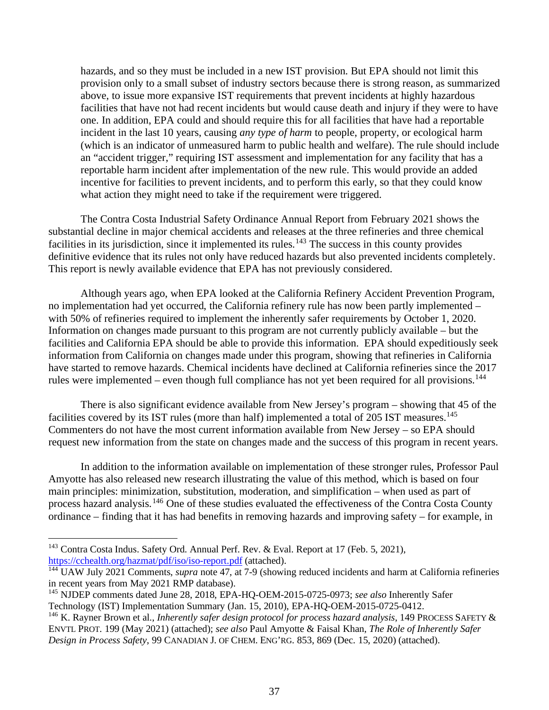hazards, and so they must be included in a new IST provision. But EPA should not limit this provision only to a small subset of industry sectors because there is strong reason, as summarized above, to issue more expansive IST requirements that prevent incidents at highly hazardous facilities that have not had recent incidents but would cause death and injury if they were to have one. In addition, EPA could and should require this for all facilities that have had a reportable incident in the last 10 years, causing *any type of harm* to people, property, or ecological harm (which is an indicator of unmeasured harm to public health and welfare). The rule should include an "accident trigger," requiring IST assessment and implementation for any facility that has a reportable harm incident after implementation of the new rule. This would provide an added incentive for facilities to prevent incidents, and to perform this early, so that they could know what action they might need to take if the requirement were triggered.

The Contra Costa Industrial Safety Ordinance Annual Report from February 2021 shows the substantial decline in major chemical accidents and releases at the three refineries and three chemical facilities in its jurisdiction, since it implemented its rules.<sup>143</sup> The success in this county provides definitive evidence that its rules not only have reduced hazards but also prevented incidents completely. This report is newly available evidence that EPA has not previously considered.

Although years ago, when EPA looked at the California Refinery Accident Prevention Program, no implementation had yet occurred, the California refinery rule has now been partly implemented – with 50% of refineries required to implement the inherently safer requirements by October 1, 2020. Information on changes made pursuant to this program are not currently publicly available – but the facilities and California EPA should be able to provide this information. EPA should expeditiously seek information from California on changes made under this program, showing that refineries in California have started to remove hazards. Chemical incidents have declined at California refineries since the 2017 rules were implemented – even though full compliance has not yet been required for all provisions.<sup>144</sup>

There is also significant evidence available from New Jersey's program – showing that 45 of the facilities covered by its IST rules (more than half) implemented a total of 205 IST measures.<sup>145</sup> Commenters do not have the most current information available from New Jersey – so EPA should request new information from the state on changes made and the success of this program in recent years.

In addition to the information available on implementation of these stronger rules, Professor Paul Amyotte has also released new research illustrating the value of this method, which is based on four main principles: minimization, substitution, moderation, and simplification – when used as part of process hazard analysis.<sup>146</sup> One of these studies evaluated the effectiveness of the Contra Costa County ordinance – finding that it has had benefits in removing hazards and improving safety – for example, in

<sup>&</sup>lt;sup>143</sup> Contra Costa Indus. Safety Ord. Annual Perf. Rev. & Eval. Report at 17 (Feb. 5, 2021), https://cchealth.org/hazmat/pdf/iso/iso-report.pdf (attached).

<sup>&</sup>lt;sup>144</sup> UAW July 2021 Comments, *supra* note 47, at 7-9 (showing reduced incidents and harm at California refineries in recent years from May 2021 RMP database).

<sup>145</sup> NJDEP comments dated June 28, 2018, EPA-HQ-OEM-2015-0725-0973; *see also* Inherently Safer Technology (IST) Implementation Summary (Jan. 15, 2010), EPA-HQ-OEM-2015-0725-0412.

<sup>146</sup> K. Rayner Brown et al*.*, *Inherently safer design protocol for process hazard analysis*, 149 PROCESS SAFETY & ENVTL PROT. 199 (May 2021) (attached); *see also* Paul Amyotte & Faisal Khan, *The Role of Inherently Safer Design in Process Safety*, 99 CANADIAN J. OF CHEM. ENG'RG. 853, 869 (Dec. 15, 2020) (attached).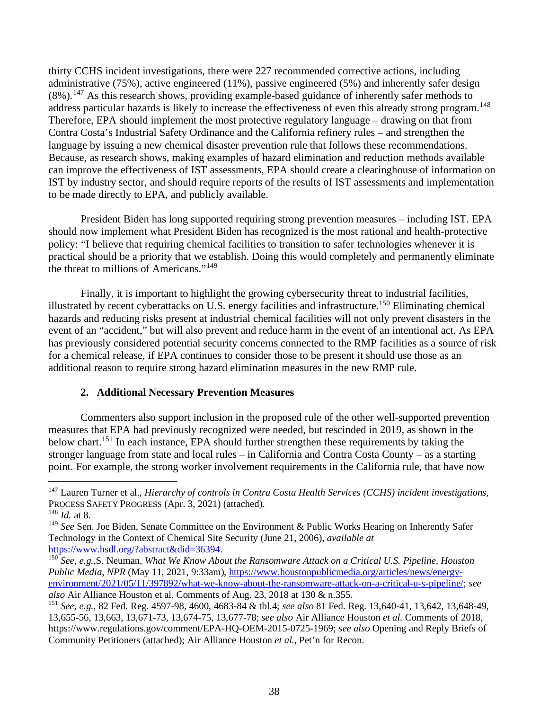thirty CCHS incident investigations, there were 227 recommended corrective actions, including administrative (75%), active engineered (11%), passive engineered (5%) and inherently safer design  $(8\%)$ .<sup>147</sup> As this research shows, providing example-based guidance of inherently safer methods to address particular hazards is likely to increase the effectiveness of even this already strong program.<sup>148</sup> Therefore, EPA should implement the most protective regulatory language – drawing on that from Contra Costa's Industrial Safety Ordinance and the California refinery rules – and strengthen the language by issuing a new chemical disaster prevention rule that follows these recommendations. Because, as research shows, making examples of hazard elimination and reduction methods available can improve the effectiveness of IST assessments, EPA should create a clearinghouse of information on IST by industry sector, and should require reports of the results of IST assessments and implementation to be made directly to EPA, and publicly available.

President Biden has long supported requiring strong prevention measures – including IST. EPA should now implement what President Biden has recognized is the most rational and health-protective policy: "I believe that requiring chemical facilities to transition to safer technologies whenever it is practical should be a priority that we establish. Doing this would completely and permanently eliminate the threat to millions of Americans."<sup>149</sup>

Finally, it is important to highlight the growing cybersecurity threat to industrial facilities, illustrated by recent cyberattacks on U.S. energy facilities and infrastructure.<sup>150</sup> Eliminating chemical hazards and reducing risks present at industrial chemical facilities will not only prevent disasters in the event of an "accident," but will also prevent and reduce harm in the event of an intentional act. As EPA has previously considered potential security concerns connected to the RMP facilities as a source of risk for a chemical release, if EPA continues to consider those to be present it should use those as an additional reason to require strong hazard elimination measures in the new RMP rule.

#### **2. Additional Necessary Prevention Measures**

Commenters also support inclusion in the proposed rule of the other well-supported prevention measures that EPA had previously recognized were needed, but rescinded in 2019, as shown in the below chart. <sup>151</sup> In each instance, EPA should further strengthen these requirements by taking the stronger language from state and local rules – in California and Contra Costa County – as a starting point. For example, the strong worker involvement requirements in the California rule, that have now

<sup>147</sup> Lauren Turner et al., *Hierarchy of controls in Contra Costa Health Services (CCHS) incident investigations*, PROCESS SAFETY PROGRESS (Apr. 3, 2021) (attached).

<sup>148</sup> *Id.* at 8.

<sup>&</sup>lt;sup>149</sup> See Sen. Joe Biden, Senate Committee on the Environment & Public Works Hearing on Inherently Safer Technology in the Context of Chemical Site Security (June 21, 2006), *available at* 

<sup>&</sup>lt;sup>150</sup> See, e.g.,S. Neuman, *What We Know About the Ransomware Attack on a Critical U.S. Pipeline, Houston* Public Media, NPR (May 11, 2021, 9:33am), https://www.houstonpublicmedia.org/articles/news/energyenvironment/2021/05/11/397892/what-we-know-about-the-ransomware-attack-on-a-critical-u-s-pipeline/; *see also* Air Alliance Houston et al. Comments of Aug. 23, 2018 at 130 & n.355.

<sup>151</sup> *See, e.g.*, 82 Fed. Reg. 4597-98, 4600, 4683-84 & tbl.4; *see also* 81 Fed. Reg. 13,640-41, 13,642, 13,648-49, 13,655-56, 13,663, 13,671-73, 13,674-75, 13,677-78; *see also* Air Alliance Houston *et al.* Comments of 2018, https://www.regulations.gov/comment/EPA-HQ-OEM-2015-0725-1969; *see also* Opening and Reply Briefs of Community Petitioners (attached); Air Alliance Houston *et al.*, Pet'n for Recon.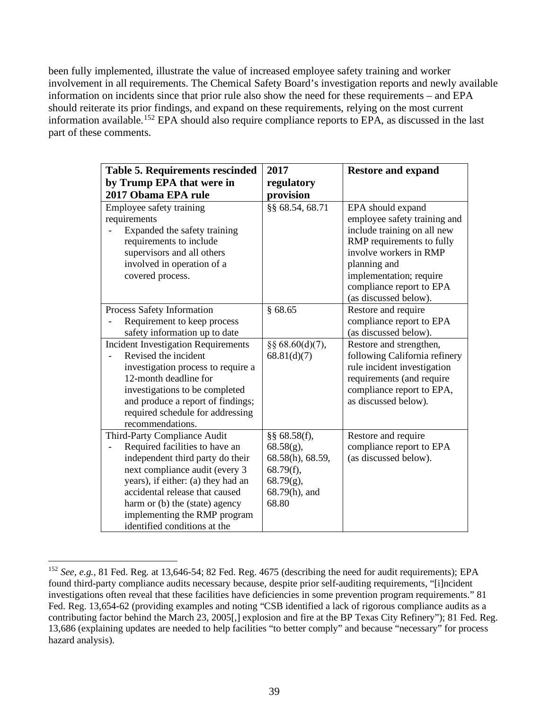been fully implemented, illustrate the value of increased employee safety training and worker involvement in all requirements. The Chemical Safety Board's investigation reports and newly available information on incidents since that prior rule also show the need for these requirements – and EPA should reiterate its prior findings, and expand on these requirements, relying on the most current information available.<sup>152</sup> EPA should also require compliance reports to EPA, as discussed in the last part of these comments.

| <b>Table 5. Requirements rescinded</b>                                                                                                                                                                                                                                                                         | 2017                                                                                                       | <b>Restore and expand</b>                                                                                                                                                                                                               |
|----------------------------------------------------------------------------------------------------------------------------------------------------------------------------------------------------------------------------------------------------------------------------------------------------------------|------------------------------------------------------------------------------------------------------------|-----------------------------------------------------------------------------------------------------------------------------------------------------------------------------------------------------------------------------------------|
| by Trump EPA that were in                                                                                                                                                                                                                                                                                      | regulatory                                                                                                 |                                                                                                                                                                                                                                         |
| 2017 Obama EPA rule                                                                                                                                                                                                                                                                                            | provision                                                                                                  |                                                                                                                                                                                                                                         |
| Employee safety training<br>requirements<br>Expanded the safety training<br>requirements to include<br>supervisors and all others<br>involved in operation of a<br>covered process.                                                                                                                            | §§ 68.54, 68.71                                                                                            | EPA should expand<br>employee safety training and<br>include training on all new<br>RMP requirements to fully<br>involve workers in RMP<br>planning and<br>implementation; require<br>compliance report to EPA<br>(as discussed below). |
| Process Safety Information<br>Requirement to keep process<br>safety information up to date                                                                                                                                                                                                                     | §68.65                                                                                                     | Restore and require<br>compliance report to EPA<br>(as discussed below).                                                                                                                                                                |
| <b>Incident Investigation Requirements</b><br>Revised the incident<br>investigation process to require a<br>12-month deadline for<br>investigations to be completed<br>and produce a report of findings;<br>required schedule for addressing<br>recommendations.                                               | $\S$ § 68.60(d)(7),<br>68.81(d)(7)                                                                         | Restore and strengthen,<br>following California refinery<br>rule incident investigation<br>requirements (and require<br>compliance report to EPA,<br>as discussed below).                                                               |
| Third-Party Compliance Audit<br>Required facilities to have an<br>independent third party do their<br>next compliance audit (every 3<br>years), if either: (a) they had an<br>accidental release that caused<br>harm or (b) the (state) agency<br>implementing the RMP program<br>identified conditions at the | §§ $68.58(f)$ ,<br>$68.58(g)$ ,<br>68.58(h), 68.59,<br>68.79(f),<br>$68.79(g)$ ,<br>68.79(h), and<br>68.80 | Restore and require<br>compliance report to EPA<br>(as discussed below).                                                                                                                                                                |

<sup>&</sup>lt;sup>152</sup> *See, e.g.*, 81 Fed. Reg. at 13,646-54; 82 Fed. Reg. 4675 (describing the need for audit requirements); EPA found third-party compliance audits necessary because, despite prior self-auditing requirements, "[i]ncident investigations often reveal that these facilities have deficiencies in some prevention program requirements." 81 Fed. Reg. 13,654-62 (providing examples and noting "CSB identified a lack of rigorous compliance audits as a contributing factor behind the March 23, 2005[,] explosion and fire at the BP Texas City Refinery"); 81 Fed. Reg. 13,686 (explaining updates are needed to help facilities "to better comply" and because "necessary" for process hazard analysis).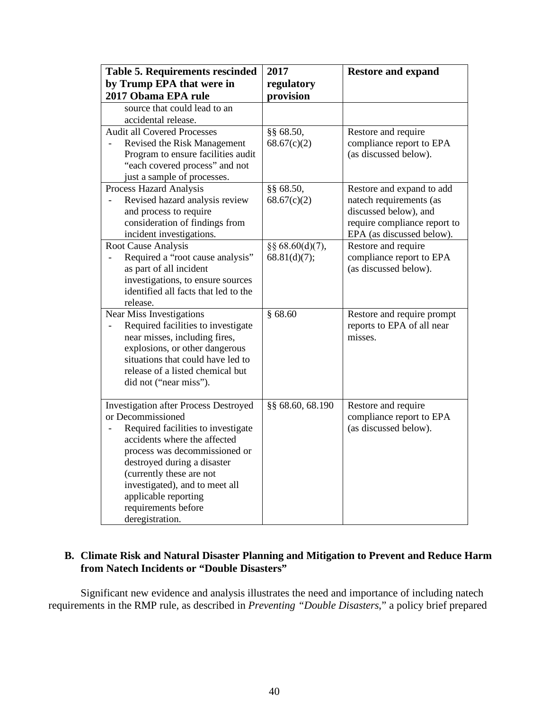| <b>Table 5. Requirements rescinded</b>                                                                                                                                                                                                                                                  | 2017             | <b>Restore and expand</b>                                                                                     |
|-----------------------------------------------------------------------------------------------------------------------------------------------------------------------------------------------------------------------------------------------------------------------------------------|------------------|---------------------------------------------------------------------------------------------------------------|
| by Trump EPA that were in                                                                                                                                                                                                                                                               | regulatory       |                                                                                                               |
| 2017 Obama EPA rule<br>source that could lead to an                                                                                                                                                                                                                                     | provision        |                                                                                                               |
| accidental release.                                                                                                                                                                                                                                                                     |                  |                                                                                                               |
| <b>Audit all Covered Processes</b>                                                                                                                                                                                                                                                      | §§ 68.50,        | Restore and require                                                                                           |
| Revised the Risk Management<br>Program to ensure facilities audit<br>"each covered process" and not<br>just a sample of processes.                                                                                                                                                      | 68.67(c)(2)      | compliance report to EPA<br>(as discussed below).                                                             |
| Process Hazard Analysis                                                                                                                                                                                                                                                                 | §§ 68.50,        | Restore and expand to add                                                                                     |
| Revised hazard analysis review<br>and process to require<br>consideration of findings from<br>incident investigations.                                                                                                                                                                  | 68.67(c)(2)      | natech requirements (as<br>discussed below), and<br>require compliance report to<br>EPA (as discussed below). |
| Root Cause Analysis                                                                                                                                                                                                                                                                     | §§ 68.60(d)(7),  | Restore and require                                                                                           |
| Required a "root cause analysis"<br>as part of all incident<br>investigations, to ensure sources<br>identified all facts that led to the<br>release.                                                                                                                                    | 68.81(d)(7);     | compliance report to EPA<br>(as discussed below).                                                             |
| Near Miss Investigations                                                                                                                                                                                                                                                                | \$68.60          | Restore and require prompt                                                                                    |
| Required facilities to investigate<br>near misses, including fires,<br>explosions, or other dangerous<br>situations that could have led to<br>release of a listed chemical but<br>did not ("near miss").                                                                                |                  | reports to EPA of all near<br>misses.                                                                         |
| <b>Investigation after Process Destroyed</b>                                                                                                                                                                                                                                            | §§ 68.60, 68.190 | Restore and require                                                                                           |
| or Decommissioned<br>Required facilities to investigate<br>accidents where the affected<br>process was decommissioned or<br>destroyed during a disaster<br>(currently these are not<br>investigated), and to meet all<br>applicable reporting<br>requirements before<br>deregistration. |                  | compliance report to EPA<br>(as discussed below).                                                             |

## **B. Climate Risk and Natural Disaster Planning and Mitigation to Prevent and Reduce Harm from Natech Incidents or "Double Disasters"**

Significant new evidence and analysis illustrates the need and importance of including natech requirements in the RMP rule, as described in *Preventing "Double Disasters*," a policy brief prepared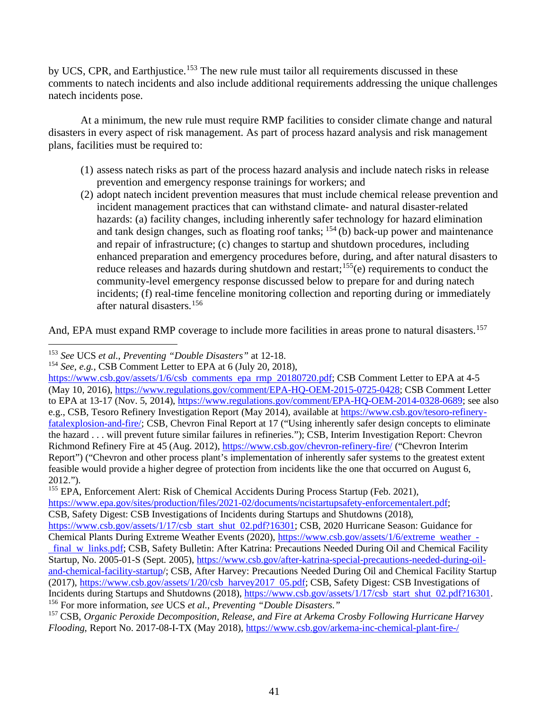by UCS, CPR, and Earthjustice.<sup>153</sup> The new rule must tailor all requirements discussed in these comments to natech incidents and also include additional requirements addressing the unique challenges natech incidents pose.

At a minimum, the new rule must require RMP facilities to consider climate change and natural disasters in every aspect of risk management. As part of process hazard analysis and risk management plans, facilities must be required to:

- (1) assess natech risks as part of the process hazard analysis and include natech risks in release prevention and emergency response trainings for workers; and
- (2) adopt natech incident prevention measures that must include chemical release prevention and incident management practices that can withstand climate- and natural disaster-related hazards: (a) facility changes, including inherently safer technology for hazard elimination and tank design changes, such as floating roof tanks;  $154$  (b) back-up power and maintenance and repair of infrastructure; (c) changes to startup and shutdown procedures, including enhanced preparation and emergency procedures before, during, and after natural disasters to reduce releases and hazards during shutdown and restart;<sup>155</sup>(e) requirements to conduct the community-level emergency response discussed below to prepare for and during natech incidents; (f) real-time fenceline monitoring collection and reporting during or immediately after natural disasters. 156

And, EPA must expand RMP coverage to include more facilities in areas prone to natural disasters.<sup>157</sup>

<sup>155</sup> EPA, Enforcement Alert: Risk of Chemical Accidents During Process Startup (Feb. 2021),

https://www.epa.gov/sites/production/files/2021-02/documents/ncistartupsafety-enforcementalert.pdf; CSB, Safety Digest: CSB Investigations of Incidents during Startups and Shutdowns (2018),

<sup>153</sup> *See* UCS *et al.*, *Preventing "Double Disasters"* at 12-18.

<sup>154</sup> *See, e.g.*, CSB Comment Letter to EPA at 6 (July 20, 2018),

https://www.csb.gov/assets/1/6/csb comments epa rmp 20180720.pdf; CSB Comment Letter to EPA at 4-5 (May 10, 2016), https://www.regulations.gov/comment/EPA-HQ-OEM-2015-0725-0428; CSB Comment Letter to EPA at 13-17 (Nov. 5, 2014), https://www.regulations.gov/comment/EPA-HQ-OEM-2014-0328-0689; see also e.g., CSB, Tesoro Refinery Investigation Report (May 2014), available at https://www.csb.gov/tesoro-refineryfatalexplosion-and-fire/; CSB, Chevron Final Report at 17 ("Using inherently safer design concepts to eliminate the hazard . . . will prevent future similar failures in refineries."); CSB, Interim Investigation Report: Chevron Richmond Refinery Fire at 45 (Aug. 2012), https://www.csb.gov/chevron-refinery-fire/ ("Chevron Interim Report") ("Chevron and other process plant's implementation of inherently safer systems to the greatest extent feasible would provide a higher degree of protection from incidents like the one that occurred on August 6, 2012.").

https://www.csb.gov/assets/1/17/csb start shut 02.pdf?16301; CSB, 2020 Hurricane Season: Guidance for Chemical Plants During Extreme Weather Events (2020), https://www.csb.gov/assets/1/6/extreme weather final w links.pdf; CSB, Safety Bulletin: After Katrina: Precautions Needed During Oil and Chemical Facility Startup, No. 2005-01-S (Sept. 2005), https://www.csb.gov/after-katrina-special-precautions-needed-during-oiland-chemical-facility-startup/; CSB, After Harvey: Precautions Needed During Oil and Chemical Facility Startup (2017), https://www.csb.gov/assets/1/20/csb harvey2017 05.pdf; CSB, Safety Digest: CSB Investigations of Incidents during Startups and Shutdowns (2018), https://www.csb.gov/assets/1/17/csb start shut 02.pdf?16301. 156 For more information, *see* UCS *et al.*, *Preventing "Double Disasters."*

<sup>157</sup> CSB, *Organic Peroxide Decomposition, Release, and Fire at Arkema Crosby Following Hurricane Harvey Flooding*, Report No. 2017-08-I-TX (May 2018), https://www.csb.gov/arkema-inc-chemical-plant-fire-/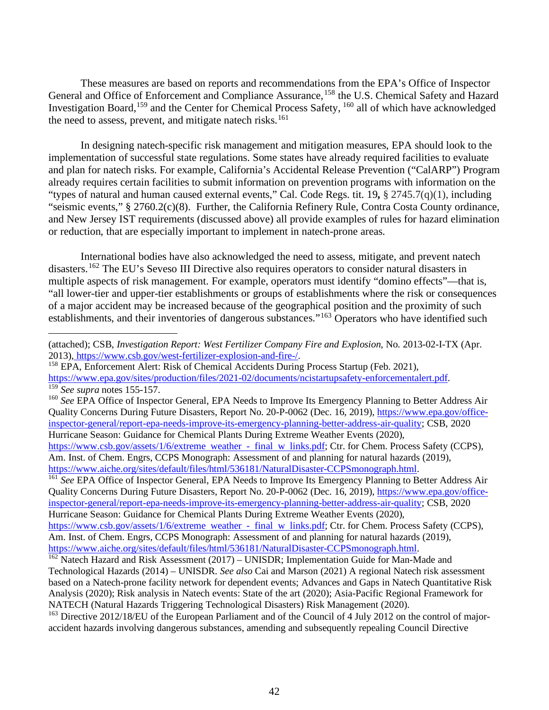These measures are based on reports and recommendations from the EPA's Office of Inspector General and Office of Enforcement and Compliance Assurance, <sup>158</sup> the U.S. Chemical Safety and Hazard Investigation Board, <sup>159</sup> and the Center for Chemical Process Safety, <sup>160</sup> all of which have acknowledged the need to assess, prevent, and mitigate natech risks.<sup>161</sup>

In designing natech-specific risk management and mitigation measures, EPA should look to the implementation of successful state regulations. Some states have already required facilities to evaluate and plan for natech risks. For example, California's Accidental Release Prevention ("CalARP") Program already requires certain facilities to submit information on prevention programs with information on the "types of natural and human caused external events," Cal. Code Regs. tit. 19**,** § 2745.7(q)(1), including "seismic events," § 2760.2(c)(8). Further, the California Refinery Rule, Contra Costa County ordinance, and New Jersey IST requirements (discussed above) all provide examples of rules for hazard elimination or reduction, that are especially important to implement in natech-prone areas.

International bodies have also acknowledged the need to assess, mitigate, and prevent natech disasters.162 The EU's Seveso III Directive also requires operators to consider natural disasters in multiple aspects of risk management. For example, operators must identify "domino effects"—that is, "all lower-tier and upper-tier establishments or groups of establishments where the risk or consequences of a major accident may be increased because of the geographical position and the proximity of such establishments, and their inventories of dangerous substances."<sup>163</sup> Operators who have identified such

<sup>(</sup>attached); CSB, *Investigation Report: West Fertilizer Company Fire and Explosion*, No. 2013-02-I-TX (Apr.

<sup>2013),</sup> https://www.csb.gov/west-fertilizer-explosion-and-fire-/.<br><sup>158</sup> EPA, Enforcement Alert: Risk of Chemical Accidents During Process Startup (Feb. 2021),<br>https://www.epa.gov/sites/production/files/2021-02/documents/nci

 $159$  See supra notes 155-157.<br>  $160$  See EPA Office of Inspector General, EPA Needs to Improve Its Emergency Planning to Better Address Air Quality Concerns During Future Disasters, Report No. 20-P-0062 (Dec. 16, 2019), https://www.epa.gov/officeinspector-general/report-epa-needs-improve-its-emergency-planning-better-address-air-quality; CSB, 2020 Hurricane Season: Guidance for Chemical Plants During Extreme Weather Events (2020),

https://www.csb.gov/assets/1/6/extreme weather - final w links.pdf; Ctr. for Chem. Process Safety (CCPS), Am. Inst. of Chem. Engrs, CCPS Monograph: Assessment of and planning for natural hazards (2019), https://www.aiche.org/sites/default/files/html/536181/NaturalDisaster-CCPSmonograph.html.

<sup>&</sup>lt;sup>161</sup> See EPA Office of Inspector General, EPA Needs to Improve Its Emergency Planning to Better Address Air Quality Concerns During Future Disasters, Report No. 20-P-0062 (Dec. 16, 2019), https://www.epa.gov/officeinspector-general/report-epa-needs-improve-its-emergency-planning-better-address-air-quality; CSB, 2020 Hurricane Season: Guidance for Chemical Plants During Extreme Weather Events (2020),

https://www.csb.gov/assets/1/6/extreme weather - final w links.pdf; Ctr. for Chem. Process Safety (CCPS), Am. Inst. of Chem. Engrs, CCPS Monograph: Assessment of and planning for natural hazards (2019), https://www.aiche.org/sites/default/files/html/536181/NaturalDisaster-CCPSmonograph.html.

 $h^{162}$  Natech Hazard and Risk Assessment (2017) – UNISDR; Implementation Guide for Man-Made and Technological Hazards (2014) – UNISDR. *See also* Cai and Marson (2021) A regional Natech risk assessment based on a Natech-prone facility network for dependent events; Advances and Gaps in Natech Quantitative Risk Analysis (2020); Risk analysis in Natech events: State of the art (2020); Asia-Pacific Regional Framework for NATECH (Natural Hazards Triggering Technological Disasters) Risk Management (2020).

<sup>&</sup>lt;sup>163</sup> Directive 2012/18/EU of the European Parliament and of the Council of 4 July 2012 on the control of majoraccident hazards involving dangerous substances, amending and subsequently repealing Council Directive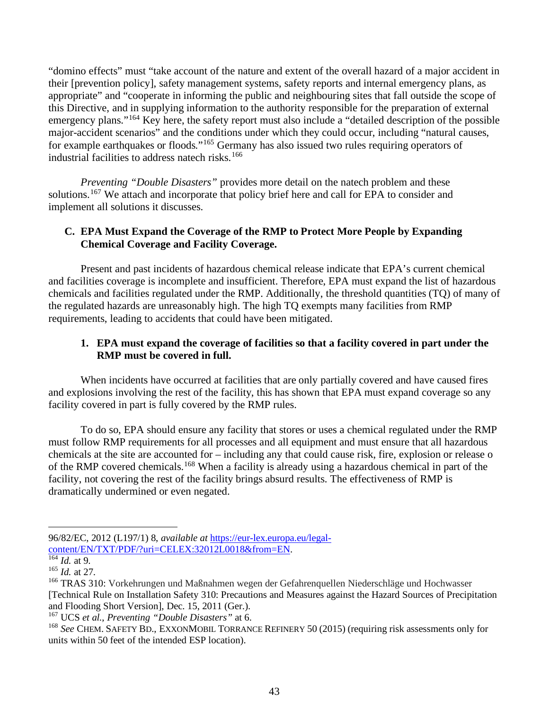"domino effects" must "take account of the nature and extent of the overall hazard of a major accident in their [prevention policy], safety management systems, safety reports and internal emergency plans, as appropriate" and "cooperate in informing the public and neighbouring sites that fall outside the scope of this Directive, and in supplying information to the authority responsible for the preparation of external emergency plans."<sup>164</sup> Key here, the safety report must also include a "detailed description of the possible major-accident scenarios" and the conditions under which they could occur, including "natural causes, for example earthquakes or floods."<sup>165</sup> Germany has also issued two rules requiring operators of industrial facilities to address natech risks.<sup>166</sup>

*Preventing "Double Disasters"* provides more detail on the natech problem and these solutions.<sup>167</sup> We attach and incorporate that policy brief here and call for EPA to consider and implement all solutions it discusses.

## **C. EPA Must Expand the Coverage of the RMP to Protect More People by Expanding Chemical Coverage and Facility Coverage.**

Present and past incidents of hazardous chemical release indicate that EPA's current chemical and facilities coverage is incomplete and insufficient. Therefore, EPA must expand the list of hazardous chemicals and facilities regulated under the RMP. Additionally, the threshold quantities (TQ) of many of the regulated hazards are unreasonably high. The high TQ exempts many facilities from RMP requirements, leading to accidents that could have been mitigated.

## **1. EPA must expand the coverage of facilities so that a facility covered in part under the RMP must be covered in full.**

When incidents have occurred at facilities that are only partially covered and have caused fires and explosions involving the rest of the facility, this has shown that EPA must expand coverage so any facility covered in part is fully covered by the RMP rules.

To do so, EPA should ensure any facility that stores or uses a chemical regulated under the RMP must follow RMP requirements for all processes and all equipment and must ensure that all hazardous chemicals at the site are accounted for – including any that could cause risk, fire, explosion or release o of the RMP covered chemicals.<sup>168</sup> When a facility is already using a hazardous chemical in part of the facility, not covering the rest of the facility brings absurd results. The effectiveness of RMP is dramatically undermined or even negated.

<sup>96/82/</sup>EC, 2012 (L197/1) 8, *available at* https://eur-lex.europa.eu/legalcontent/EN/TXT/PDF/?uri=CELEX:32012L0018&from=EN.

<sup>164</sup> *Id.* at 9.

<sup>165</sup> *Id.* at 27.

<sup>&</sup>lt;sup>166</sup> TRAS 310: Vorkehrungen und Maßnahmen wegen der Gefahrenquellen Niederschläge und Hochwasser [Technical Rule on Installation Safety 310: Precautions and Measures against the Hazard Sources of Precipitation and Flooding Short Version], Dec. 15, 2011 (Ger.).

<sup>167</sup> UCS *et al.*, *Preventing "Double Disasters"* at 6.

<sup>168</sup> *See* CHEM. SAFETY BD., EXXONMOBIL TORRANCE REFINERY 50 (2015) (requiring risk assessments only for units within 50 feet of the intended ESP location).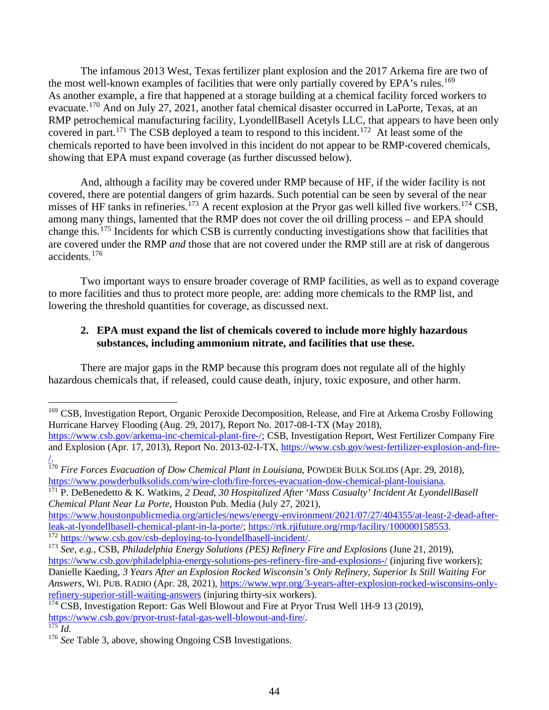The infamous 2013 West, Texas fertilizer plant explosion and the 2017 Arkema fire are two of the most well-known examples of facilities that were only partially covered by EPA's rules.<sup>169</sup> As another example, a fire that happened at a storage building at a chemical facility forced workers to evacuate.<sup>170</sup> And on July 27, 2021, another fatal chemical disaster occurred in LaPorte, Texas, at an RMP petrochemical manufacturing facility, LyondellBasell Acetyls LLC, that appears to have been only covered in part.<sup>171</sup> The CSB deployed a team to respond to this incident.<sup>172</sup> At least some of the chemicals reported to have been involved in this incident do not appear to be RMP-covered chemicals, showing that EPA must expand coverage (as further discussed below).

And, although a facility may be covered under RMP because of HF, if the wider facility is not covered, there are potential dangers of grim hazards. Such potential can be seen by several of the near misses of HF tanks in refineries.<sup>173</sup> A recent explosion at the Pryor gas well killed five workers.<sup>174</sup> CSB, among many things, lamented that the RMP does not cover the oil drilling process – and EPA should change this.<sup>175</sup> Incidents for which CSB is currently conducting investigations show that facilities that are covered under the RMP *and* those that are not covered under the RMP still are at risk of dangerous accidents.<sup>176</sup>

Two important ways to ensure broader coverage of RMP facilities, as well as to expand coverage to more facilities and thus to protect more people, are: adding more chemicals to the RMP list, and lowering the threshold quantities for coverage, as discussed next.

## **2. EPA must expand the list of chemicals covered to include more highly hazardous substances, including ammonium nitrate, and facilities that use these.**

There are major gaps in the RMP because this program does not regulate all of the highly hazardous chemicals that, if released, could cause death, injury, toxic exposure, and other harm.

<sup>171</sup> P. DeBenedetto & K. Watkins, *2 Dead, 30 Hospitalized After 'Mass Casualty' Incident At LyondellBasell Chemical Plant Near La Porte*, Houston Pub. Media (July 27, 2021),

https://www.houstonpublicmedia.org/articles/news/energy-environment/2021/07/27/404355/at-least-2-dead-afterleak-at-lyondellbasell-chemical-plant-in-la-porte/; https://rtk.rjifuture.org/rmp/facility/100000158553.<br>
<sup>172</sup> https://www.csb.gov/csb-deploying-to-lyondellbasell-incident/.<br>
<sup>173</sup> See, e.g., CSB, *Philadelphia Energy Sol* 

 $\overline{\overline{175}}$  *Id.* 

<sup>&</sup>lt;sup>169</sup> CSB, Investigation Report, Organic Peroxide Decomposition, Release, and Fire at Arkema Crosby Following Hurricane Harvey Flooding (Aug. 29, 2017), Report No. 2017-08-I-TX (May 2018),

https://www.csb.gov/arkema-inc-chemical-plant-fire-/; CSB, Investigation Report, West Fertilizer Company Fire and Explosion (Apr. 17, 2013), Report No. 2013-02-I-TX, https://www.csb.gov/west-fertilizer-explosion-and-fire- /.

<sup>170</sup> *Fire Forces Evacuation of Dow Chemical Plant in Louisiana*, POWDER BULK SOLIDS (Apr. 29, 2018), https://www.powderbulksolids.com/wire-cloth/fire-forces-evacuation-dow-chemical-plant-louisiana.

https://www.csb.gov/philadelphia-energy-solutions-pes-refinery-fire-and-explosions-/ (injuring five workers); Danielle Kaeding, *3 Years After an Explosion Rocked Wisconsin's Only Refinery, Superior Is Still Waiting For Answers*, WI. PUB. RADIO (Apr. 28, 2021), https://www.wpr.org/3-years-after-explosion-rocked-wisconsins-onlyrefinery-superior-still-waiting-answers (injuring thirty-six workers).

<sup>&</sup>lt;sup>174</sup> CSB, Investigation Report: Gas Well Blowout and Fire at Pryor Trust Well 1H-9 13 (2019), https://www.csb.gov/pryor-trust-fatal-gas-well-blowout-and-fire/.

<sup>&</sup>lt;sup>176</sup> *See* Table 3, above, showing Ongoing CSB Investigations.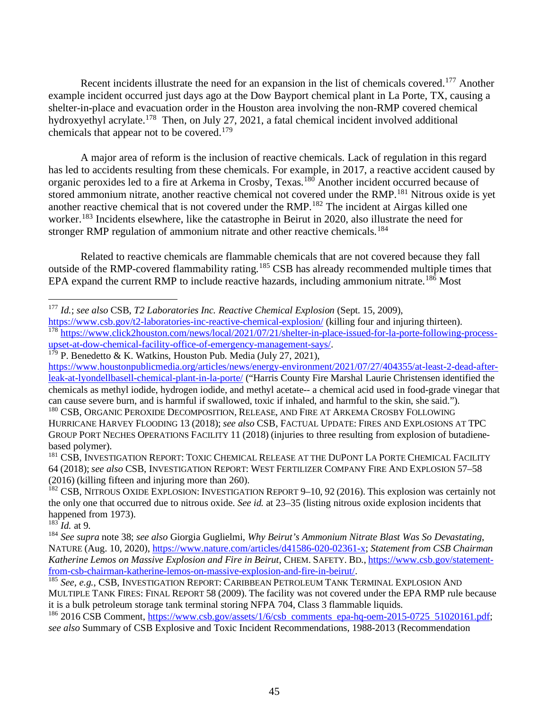Recent incidents illustrate the need for an expansion in the list of chemicals covered.<sup>177</sup> Another example incident occurred just days ago at the Dow Bayport chemical plant in La Porte, TX, causing a shelter-in-place and evacuation order in the Houston area involving the non-RMP covered chemical hydroxyethyl acrylate.<sup>178</sup> Then, on July 27, 2021, a fatal chemical incident involved additional chemicals that appear not to be covered.<sup>179</sup>

A major area of reform is the inclusion of reactive chemicals. Lack of regulation in this regard has led to accidents resulting from these chemicals. For example, in 2017, a reactive accident caused by organic peroxides led to a fire at Arkema in Crosby, Texas.<sup>180</sup> Another incident occurred because of stored ammonium nitrate, another reactive chemical not covered under the RMP.<sup>181</sup> Nitrous oxide is yet another reactive chemical that is not covered under the RMP.<sup>182</sup> The incident at Airgas killed one worker.<sup>183</sup> Incidents elsewhere, like the catastrophe in Beirut in 2020, also illustrate the need for stronger RMP regulation of ammonium nitrate and other reactive chemicals.<sup>184</sup>

Related to reactive chemicals are flammable chemicals that are not covered because they fall outside of the RMP-covered flammability rating.<sup>185</sup> CSB has already recommended multiple times that EPA expand the current RMP to include reactive hazards, including ammonium nitrate.<sup>186</sup> Most

 $1^{79}$  P. Benedetto & K. Watkins, Houston Pub. Media (July 27, 2021),

 $^{183}$ *Id.* at 9.

<sup>177</sup> *Id.*; *see also* CSB, *T2 Laboratories Inc. Reactive Chemical Explosion* (Sept. 15, 2009),

https://www.csb.gov/t2-laboratories-inc-reactive-chemical-explosion/ (killing four and injuring thirteen). <sup>178</sup> https://www.click2houston.com/news/local/2021/07/21/shelter-in-place-issued-for-la-porte-following-process-<br>upset-at-dow-chemical-facility-office-of-emergency-management-says/.

https://www.houstonpublicmedia.org/articles/news/energy-environment/2021/07/27/404355/at-least-2-dead-afterleak-at-lyondellbasell-chemical-plant-in-la-porte/ ("Harris County Fire Marshal Laurie Christensen identified the chemicals as methyl iodide, hydrogen iodide, and methyl acetate-- a chemical acid used in food-grade vinegar that can cause severe burn, and is harmful if swallowed, toxic if inhaled, and harmful to the skin, she said.").

<sup>&</sup>lt;sup>180</sup> CSB, ORGANIC PEROXIDE DECOMPOSITION, RELEASE, AND FIRE AT ARKEMA CROSBY FOLLOWING HURRICANE HARVEY FLOODING 13 (2018); *see also* CSB, FACTUAL UPDATE: FIRES AND EXPLOSIONS AT TPC GROUP PORT NECHES OPERATIONS FACILITY 11 (2018) (injuries to three resulting from explosion of butadienebased polymer).

<sup>&</sup>lt;sup>181</sup> CSB, INVESTIGATION REPORT: TOXIC CHEMICAL RELEASE AT THE DUPONT LA PORTE CHEMICAL FACILITY 64 (2018); *see also* CSB, INVESTIGATION REPORT: WEST FERTILIZER COMPANY FIRE AND EXPLOSION 57–58 (2016) (killing fifteen and injuring more than 260).

 $182$  CSB, NITROUS OXIDE EXPLOSION: INVESTIGATION REPORT 9–10, 92 (2016). This explosion was certainly not the only one that occurred due to nitrous oxide. *See id.* at 23–35 (listing nitrous oxide explosion incidents that happened from 1973).

<sup>184</sup> *See supra* note 38; *see also* Giorgia Guglielmi, *Why Beirut's Ammonium Nitrate Blast Was So Devastating*, NATURE (Aug. 10, 2020), https://www.nature.com/articles/d41586-020-02361-x; *Statement from CSB Chairman Katherine Lemos on Massive Explosion and Fire in Beirut*, CHEM. SAFETY. BD., https://www.csb.gov/statementfrom-csb-chairman-katherine-lemos-on-massive-explosion-and-fire-in-beirut/. 185 *See, e.g.*, CSB, INVESTIGATION REPORT: CARIBBEAN PETROLEUM TANK TERMINAL EXPLOSION AND

MULTIPLE TANK FIRES: FINAL REPORT 58 (2009). The facility was not covered under the EPA RMP rule because it is a bulk petroleum storage tank terminal storing NFPA 704, Class 3 flammable liquids.

<sup>&</sup>lt;sup>186</sup> 2016 CSB Comment, https://www.csb.gov/assets/1/6/csb comments epa-hq-oem-2015-0725 51020161.pdf; *see also* Summary of CSB Explosive and Toxic Incident Recommendations, 1988-2013 (Recommendation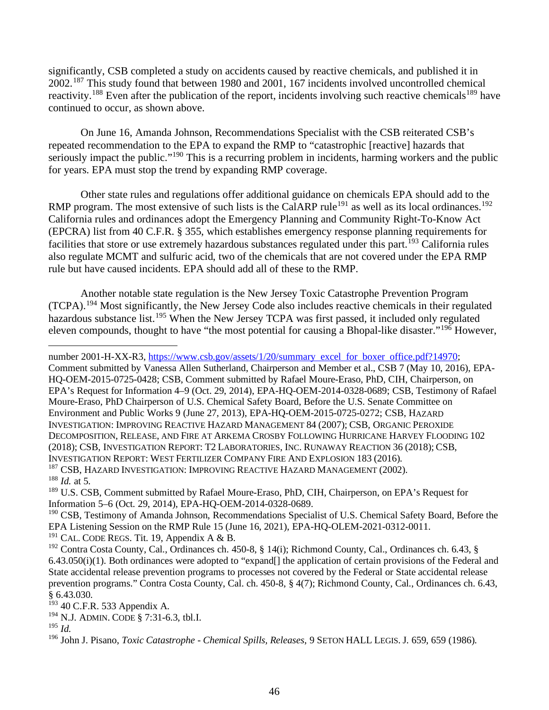significantly, CSB completed a study on accidents caused by reactive chemicals, and published it in 2002.<sup>187</sup> This study found that between 1980 and 2001, 167 incidents involved uncontrolled chemical reactivity.<sup>188</sup> Even after the publication of the report, incidents involving such reactive chemicals<sup>189</sup> have continued to occur, as shown above.

On June 16, Amanda Johnson, Recommendations Specialist with the CSB reiterated CSB's repeated recommendation to the EPA to expand the RMP to "catastrophic [reactive] hazards that seriously impact the public."<sup>190</sup> This is a recurring problem in incidents, harming workers and the public for years. EPA must stop the trend by expanding RMP coverage.

Other state rules and regulations offer additional guidance on chemicals EPA should add to the RMP program. The most extensive of such lists is the CalARP rule<sup>191</sup> as well as its local ordinances.<sup>192</sup> California rules and ordinances adopt the Emergency Planning and Community Right-To-Know Act (EPCRA) list from 40 C.F.R. § 355, which establishes emergency response planning requirements for facilities that store or use extremely hazardous substances regulated under this part.<sup>193</sup> California rules also regulate MCMT and sulfuric acid, two of the chemicals that are not covered under the EPA RMP rule but have caused incidents. EPA should add all of these to the RMP.

Another notable state regulation is the New Jersey Toxic Catastrophe Prevention Program (TCPA).<sup>194</sup> Most significantly, the New Jersey Code also includes reactive chemicals in their regulated hazardous substance list.<sup>195</sup> When the New Jersey TCPA was first passed, it included only regulated eleven compounds, thought to have "the most potential for causing a Bhopal-like disaster."<sup>196</sup> However,

number 2001-H-XX-R3, https://www.csb.gov/assets/1/20/summary excel for boxer office.pdf?14970;

Comment submitted by Vanessa Allen Sutherland, Chairperson and Member et al., CSB 7 (May 10, 2016), EPA-HQ-OEM-2015-0725-0428; CSB, Comment submitted by Rafael Moure-Eraso, PhD, CIH, Chairperson, on EPA's Request for Information 4–9 (Oct. 29, 2014), EPA-HQ-OEM-2014-0328-0689; CSB, Testimony of Rafael Moure-Eraso, PhD Chairperson of U.S. Chemical Safety Board, Before the U.S. Senate Committee on Environment and Public Works 9 (June 27, 2013), EPA-HQ-OEM-2015-0725-0272; CSB, HAZARD INVESTIGATION: IMPROVING REACTIVE HAZARD MANAGEMENT 84 (2007); CSB, ORGANIC PEROXIDE DECOMPOSITION, RELEASE, AND FIRE AT ARKEMA CROSBY FOLLOWING HURRICANE HARVEY FLOODING 102 (2018); CSB, INVESTIGATION REPORT: T2 LABORATORIES, INC. RUNAWAY REACTION 36 (2018); CSB, INVESTIGATION REPORT: WEST FERTILIZER COMPANY FIRE AND EXPLOSION 183 (2016). <sup>187</sup> CSB, HAZARD INVESTIGATION: IMPROVING REACTIVE HAZARD MANAGEMENT (2002).

<sup>188</sup> *Id.* at 5.

<sup>190</sup> CSB, Testimony of Amanda Johnson, Recommendations Specialist of U.S. Chemical Safety Board, Before the EPA Listening Session on the RMP Rule 15 (June 16, 2021), EPA-HQ-OLEM-2021-0312-0011.

<sup>191</sup> CAL. CODE REGS. Tit. 19, Appendix A & B.

<sup>&</sup>lt;sup>189</sup> U.S. CSB, Comment submitted by Rafael Moure-Eraso, PhD, CIH, Chairperson, on EPA's Request for Information 5–6 (Oct. 29, 2014), EPA-HQ-OEM-2014-0328-0689.

<sup>&</sup>lt;sup>192</sup> Contra Costa County, Cal., Ordinances ch. 450-8, § 14(i); Richmond County, Cal., Ordinances ch. 6.43, §  $6.43.050(i)(1)$ . Both ordinances were adopted to "expand[] the application of certain provisions of the Federal and State accidental release prevention programs to processes not covered by the Federal or State accidental release prevention programs." Contra Costa County, Cal. ch. 450-8, § 4(7); Richmond County, Cal., Ordinances ch. 6.43, § 6.43.030.

 $193$  40 C.F.R. 533 Appendix A.

<sup>194</sup> N.J. ADMIN. CODE § 7:31-6.3, tbl.I.

 $^{195}$  *Id.* 

<sup>196</sup> John J. Pisano, *Toxic Catastrophe - Chemical Spills, Releases*, 9 SETON HALL LEGIS. J. 659, 659 (1986).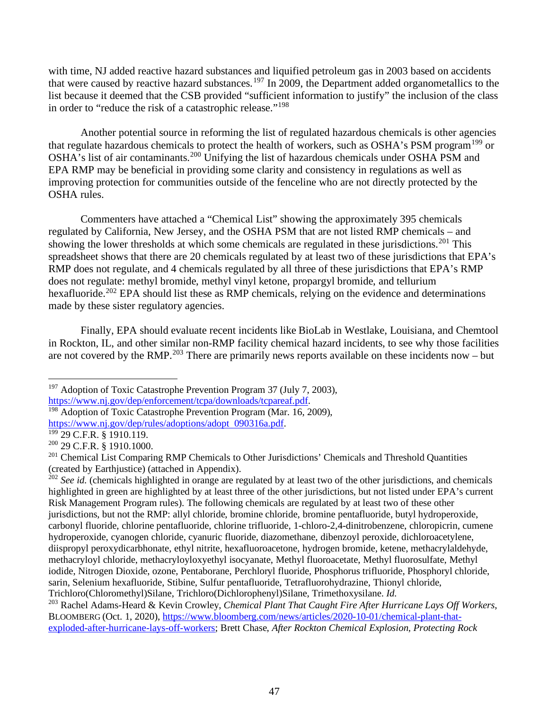with time, NJ added reactive hazard substances and liquified petroleum gas in 2003 based on accidents that were caused by reactive hazard substances.<sup>197</sup> In 2009, the Department added organometallics to the list because it deemed that the CSB provided "sufficient information to justify" the inclusion of the class in order to "reduce the risk of a catastrophic release."<sup>198</sup>

Another potential source in reforming the list of regulated hazardous chemicals is other agencies that regulate hazardous chemicals to protect the health of workers, such as OSHA's PSM program<sup>199</sup> or OSHA's list of air contaminants.<sup>200</sup> Unifying the list of hazardous chemicals under OSHA PSM and EPA RMP may be beneficial in providing some clarity and consistency in regulations as well as improving protection for communities outside of the fenceline who are not directly protected by the OSHA rules.

Commenters have attached a "Chemical List" showing the approximately 395 chemicals regulated by California, New Jersey, and the OSHA PSM that are not listed RMP chemicals – and showing the lower thresholds at which some chemicals are regulated in these jurisdictions.<sup>201</sup> This spreadsheet shows that there are 20 chemicals regulated by at least two of these jurisdictions that EPA's RMP does not regulate, and 4 chemicals regulated by all three of these jurisdictions that EPA's RMP does not regulate: methyl bromide, methyl vinyl ketone, propargyl bromide, and tellurium hexafluoride.<sup>202</sup> EPA should list these as RMP chemicals, relying on the evidence and determinations made by these sister regulatory agencies.

Finally, EPA should evaluate recent incidents like BioLab in Westlake, Louisiana, and Chemtool in Rockton, IL, and other similar non-RMP facility chemical hazard incidents, to see why those facilities are not covered by the RMP.<sup>203</sup> There are primarily news reports available on these incidents now – but

<sup>&</sup>lt;sup>197</sup> Adoption of Toxic Catastrophe Prevention Program 37 (July 7, 2003), https://www.ni.gov/dep/enforcement/tcpa/downloads/tcpareaf.pdf.

 $\frac{198}{198}$  Adoption of Toxic Catastrophe Prevention Program (Mar. 16, 2009), https://www.nj.gov/dep/rules/adoptions/adopt 090316a.pdf.<br><sup>199</sup> 29 C.F.R. § 1910.119.

<sup>200</sup> 29 C.F.R. § 1910.1000.

<sup>&</sup>lt;sup>201</sup> Chemical List Comparing RMP Chemicals to Other Jurisdictions' Chemicals and Threshold Quantities (created by Earthjustice) (attached in Appendix).

<sup>&</sup>lt;sup>202</sup> See id. (chemicals highlighted in orange are regulated by at least two of the other jurisdictions, and chemicals highlighted in green are highlighted by at least three of the other jurisdictions, but not listed under EPA's current Risk Management Program rules). The following chemicals are regulated by at least two of these other jurisdictions, but not the RMP: allyl chloride, bromine chloride, bromine pentafluoride, butyl hydroperoxide, carbonyl fluoride, chlorine pentafluoride, chlorine trifluoride, 1-chloro-2,4-dinitrobenzene, chloropicrin, cumene hydroperoxide, cyanogen chloride, cyanuric fluoride, diazomethane, dibenzoyl peroxide, dichloroacetylene, diispropyl peroxydicarbhonate, ethyl nitrite, hexafluoroacetone, hydrogen bromide, ketene, methacrylaldehyde, methacryloyl chloride, methacryloyloxyethyl isocyanate, Methyl fluoroacetate, Methyl fluorosulfate, Methyl iodide, Nitrogen Dioxide, ozone, Pentaborane, Perchloryl fluoride, Phosphorus trifluoride, Phosphoryl chloride, sarin, Selenium hexafluoride, Stibine, Sulfur pentafluoride, Tetrafluorohydrazine, Thionyl chloride, Trichloro(Chloromethyl)Silane, Trichloro(Dichlorophenyl)Silane, Trimethoxysilane. *Id.* 203 Rachel Adams-Heard & Kevin Crowley, *Chemical Plant That Caught Fire After Hurricane Lays Off Workers*,

BLOOMBERG (Oct. 1, 2020), https://www.bloomberg.com/news/articles/2020-10-01/chemical-plant-thatexploded-after-hurricane-lays-off-workers; Brett Chase, *After Rockton Chemical Explosion, Protecting Rock*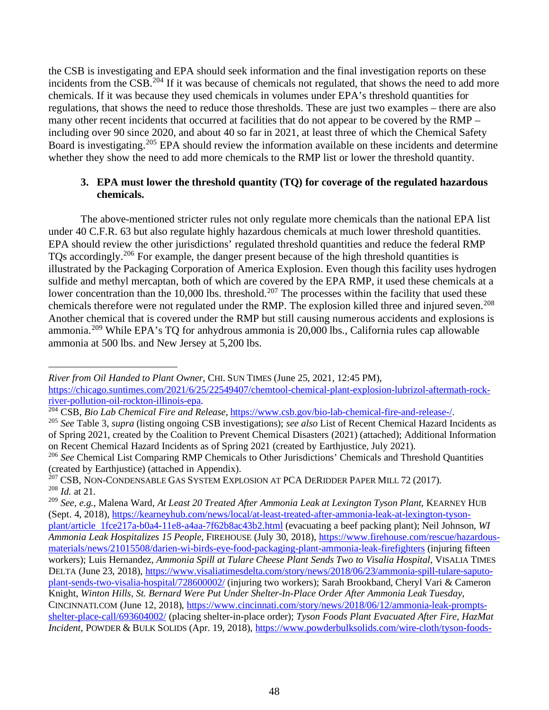the CSB is investigating and EPA should seek information and the final investigation reports on these incidents from the CSB.<sup>204</sup> If it was because of chemicals not regulated, that shows the need to add more chemicals. If it was because they used chemicals in volumes under EPA's threshold quantities for regulations, that shows the need to reduce those thresholds. These are just two examples – there are also many other recent incidents that occurred at facilities that do not appear to be covered by the RMP – including over 90 since 2020, and about 40 so far in 2021, at least three of which the Chemical Safety Board is investigating.<sup>205</sup> EPA should review the information available on these incidents and determine whether they show the need to add more chemicals to the RMP list or lower the threshold quantity.

## **3. EPA must lower the threshold quantity (TQ) for coverage of the regulated hazardous chemicals.**

The above-mentioned stricter rules not only regulate more chemicals than the national EPA list under 40 C.F.R. 63 but also regulate highly hazardous chemicals at much lower threshold quantities. EPA should review the other jurisdictions' regulated threshold quantities and reduce the federal RMP TQs accordingly.<sup>206</sup> For example, the danger present because of the high threshold quantities is illustrated by the Packaging Corporation of America Explosion. Even though this facility uses hydrogen sulfide and methyl mercaptan, both of which are covered by the EPA RMP, it used these chemicals at a lower concentration than the 10,000 lbs. threshold.<sup>207</sup> The processes within the facility that used these chemicals therefore were not regulated under the RMP. The explosion killed three and injured seven.<sup>208</sup> Another chemical that is covered under the RMP but still causing numerous accidents and explosions is ammonia.<sup>209</sup> While EPA's TQ for anhydrous ammonia is 20,000 lbs., California rules cap allowable ammonia at 500 lbs. and New Jersey at 5,200 lbs.

*River from Oil Handed to Plant Owner*, CHI. SUN TIMES (June 25, 2021, 12:45 PM), https://chicago.suntimes.com/2021/6/25/22549407/chemtool-chemical-plant-explosion-lubrizol-aftermath-rockriver-pollution-oil-rockton-illinois-epa.<br><sup>204</sup> CSB, *Bio Lab Chemical Fire and Release*, https://www.csb.gov/bio-lab-chemical-fire-and-release-/.

<sup>&</sup>lt;sup>205</sup> See Table 3, *supra* (listing ongoing CSB investigations); *see also* List of Recent Chemical Hazard Incidents as of Spring 2021, created by the Coalition to Prevent Chemical Disasters (2021) (attached); Additional Information<br>on Recent Chemical Hazard Incidents as of Spring 2021 (created by Earthjustice, July 2021).

<sup>&</sup>lt;sup>206</sup> See Chemical List Comparing RMP Chemicals to Other Jurisdictions' Chemicals and Threshold Quantities (created by Earthjustice) (attached in Appendix).

<sup>&</sup>lt;sup>207</sup> CSB, NON-CONDENSABLE GAS SYSTEM EXPLOSION AT PCA DERIDDER PAPER MILL 72 (2017). <sup>208</sup> *Id.* at 21.

<sup>209</sup> *See, e.g.*, Malena Ward, *At Least 20 Treated After Ammonia Leak at Lexington Tyson Plant*, KEARNEY HUB (Sept. 4, 2018), https://kearneyhub.com/news/local/at-least-treated-after-ammonia-leak-at-lexington-tysonplant/article 1fce217a-b0a4-11e8-a4aa-7f62b8ac43b2.html (evacuating a beef packing plant); Neil Johnson, *WI Ammonia Leak Hospitalizes 15 People*, FIREHOUSE (July 30, 2018), https://www.firehouse.com/rescue/hazardousmaterials/news/21015508/darien-wi-birds-eye-food-packaging-plant-ammonia-leak-firefighters (injuring fifteen workers); Luis Hernandez, *Ammonia Spill at Tulare Cheese Plant Sends Two to Visalia Hospital*, VISALIA TIMES DELTA (June 23, 2018), https://www.visaliatimesdelta.com/story/news/2018/06/23/ammonia-spill-tulare-saputoplant-sends-two-visalia-hospital/728600002/ (injuring two workers); Sarah Brookband, Cheryl Vari & Cameron Knight, *Winton Hills, St. Bernard Were Put Under Shelter-In-Place Order After Ammonia Leak Tuesday*, CINCINNATI.COM (June 12, 2018), https://www.cincinnati.com/story/news/2018/06/12/ammonia-leak-promptsshelter-place-call/693604002/ (placing shelter-in-place order); *Tyson Foods Plant Evacuated After Fire, HazMat Incident*, POWDER & BULK SOLIDS (Apr. 19, 2018), https://www.powderbulksolids.com/wire-cloth/tyson-foods-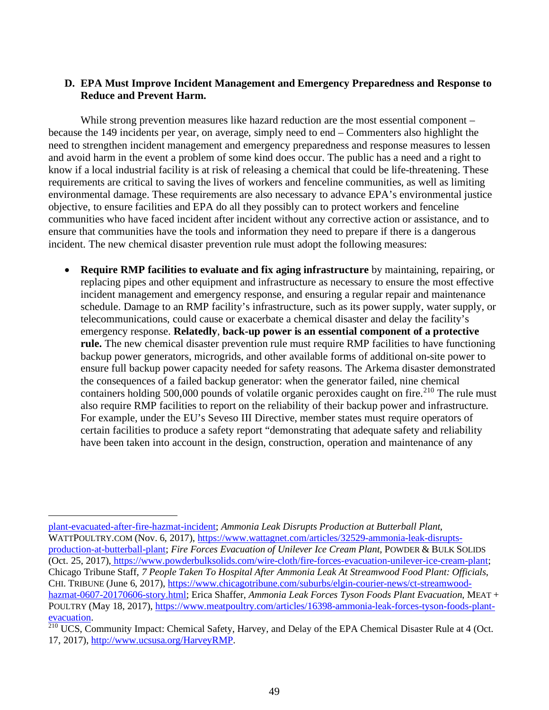#### **D. EPA Must Improve Incident Management and Emergency Preparedness and Response to Reduce and Prevent Harm.**

While strong prevention measures like hazard reduction are the most essential component – because the 149 incidents per year, on average, simply need to end – Commenters also highlight the need to strengthen incident management and emergency preparedness and response measures to lessen and avoid harm in the event a problem of some kind does occur. The public has a need and a right to know if a local industrial facility is at risk of releasing a chemical that could be life-threatening. These requirements are critical to saving the lives of workers and fenceline communities, as well as limiting environmental damage. These requirements are also necessary to advance EPA's environmental justice objective, to ensure facilities and EPA do all they possibly can to protect workers and fenceline communities who have faced incident after incident without any corrective action or assistance, and to ensure that communities have the tools and information they need to prepare if there is a dangerous incident. The new chemical disaster prevention rule must adopt the following measures:

• **Require RMP facilities to evaluate and fix aging infrastructure** by maintaining, repairing, or replacing pipes and other equipment and infrastructure as necessary to ensure the most effective incident management and emergency response, and ensuring a regular repair and maintenance schedule. Damage to an RMP facility's infrastructure, such as its power supply, water supply, or telecommunications, could cause or exacerbate a chemical disaster and delay the facility's emergency response. **Relatedly**, **back-up power is an essential component of a protective rule.** The new chemical disaster prevention rule must require RMP facilities to have functioning backup power generators, microgrids, and other available forms of additional on-site power to ensure full backup power capacity needed for safety reasons. The Arkema disaster demonstrated the consequences of a failed backup generator: when the generator failed, nine chemical containers holding 500,000 pounds of volatile organic peroxides caught on fire.<sup>210</sup> The rule must also require RMP facilities to report on the reliability of their backup power and infrastructure. For example, under the EU's Seveso III Directive, member states must require operators of certain facilities to produce a safety report "demonstrating that adequate safety and reliability have been taken into account in the design, construction, operation and maintenance of any

plant-evacuated-after-fire-hazmat-incident; *Ammonia Leak Disrupts Production at Butterball Plant*, WATTPOULTRY.COM (Nov. 6, 2017), https://www.wattagnet.com/articles/32529-ammonia-leak-disruptsproduction-at-butterball-plant; *Fire Forces Evacuation of Unilever Ice Cream Plant*, POWDER & BULK SOLIDS (Oct. 25, 2017), https://www.powderbulksolids.com/wire-cloth/fire-forces-evacuation-unilever-ice-cream-plant; Chicago Tribune Staff, *7 People Taken To Hospital After Ammonia Leak At Streamwood Food Plant: Officials*, CHI. TRIBUNE (June 6, 2017), https://www.chicagotribune.com/suburbs/elgin-courier-news/ct-streamwoodhazmat-0607-20170606-story.html; Erica Shaffer, *Ammonia Leak Forces Tyson Foods Plant Evacuation*, MEAT + POULTRY (May 18, 2017), https://www.meatpoultry.com/articles/16398-ammonia-leak-forces-tyson-foods-plantevacuation.

 $210$  UCS, Community Impact: Chemical Safety, Harvey, and Delay of the EPA Chemical Disaster Rule at 4 (Oct. 17, 2017), http://www.ucsusa.org/HarveyRMP.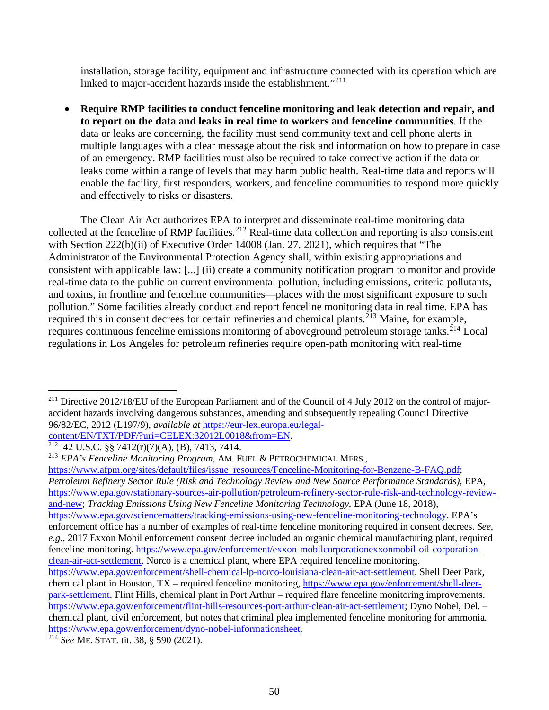installation, storage facility, equipment and infrastructure connected with its operation which are linked to major-accident hazards inside the establishment."<sup>211</sup>

• **Require RMP facilities to conduct fenceline monitoring and leak detection and repair, and to report on the data and leaks in real time to workers and fenceline communities**. If the data or leaks are concerning, the facility must send community text and cell phone alerts in multiple languages with a clear message about the risk and information on how to prepare in case of an emergency. RMP facilities must also be required to take corrective action if the data or leaks come within a range of levels that may harm public health. Real-time data and reports will enable the facility, first responders, workers, and fenceline communities to respond more quickly and effectively to risks or disasters.

The Clean Air Act authorizes EPA to interpret and disseminate real-time monitoring data collected at the fenceline of RMP facilities. <sup>212</sup> Real-time data collection and reporting is also consistent with Section 222(b)(ii) of Executive Order 14008 (Jan. 27, 2021), which requires that "The Administrator of the Environmental Protection Agency shall, within existing appropriations and consistent with applicable law: [...] (ii) create a community notification program to monitor and provide real-time data to the public on current environmental pollution, including emissions, criteria pollutants, and toxins, in frontline and fenceline communities—places with the most significant exposure to such pollution." Some facilities already conduct and report fenceline monitoring data in real time. EPA has required this in consent decrees for certain refineries and chemical plants.<sup>213</sup> Maine, for example, requires continuous fenceline emissions monitoring of aboveground petroleum storage tanks.<sup>214</sup> Local regulations in Los Angeles for petroleum refineries require open-path monitoring with real-time

content/EN/TXT/PDF/?uri=CELEX:32012L0018&from=EN.<br><sup>212</sup> 42 U.S.C. §§ 7412(r)(7)(A), (B), 7413, 7414.

https://www.afpm.org/sites/default/files/issue resources/Fenceline-Monitoring-for-Benzene-B-FAQ.pdf; *Petroleum Refinery Sector Rule (Risk and Technology Review and New Source Performance Standards)*, EPA, https://www.epa.gov/stationary-sources-air-pollution/petroleum-refinery-sector-rule-risk-and-technology-reviewand-new; *Tracking Emissions Using New Fenceline Monitoring Technology*, EPA (June 18, 2018), https://www.epa.gov/sciencematters/tracking-emissions-using-new-fenceline-monitoring-technology. EPA's enforcement office has a number of examples of real-time fenceline monitoring required in consent decrees. *See, e.g.*, 2017 Exxon Mobil enforcement consent decree included an organic chemical manufacturing plant, required fenceline monitoring. https://www.epa.gov/enforcement/exxon-mobilcorporationexxonmobil-oil-corporationclean-air-act-settlement. Norco is a chemical plant, where EPA required fenceline monitoring. https://www.epa.gov/enforcement/shell-chemical-lp-norco-louisiana-clean-air-act-settlement. Shell Deer Park, chemical plant in Houston, TX – required fenceline monitoring, https://www.epa.gov/enforcement/shell-deerpark-settlement. Flint Hills, chemical plant in Port Arthur – required flare fenceline monitoring improvements. https://www.epa.gov/enforcement/flint-hills-resources-port-arthur-clean-air-act-settlement; Dyno Nobel, Del. –

chemical plant, civil enforcement, but notes that criminal plea implemented fenceline monitoring for ammonia. https://www.epa.gov/enforcement/dyno-nobel-informationsheet. 214 *See* ME. STAT. tit. 38, § 590 (2021).

<sup>&</sup>lt;sup>211</sup> Directive 2012/18/EU of the European Parliament and of the Council of 4 July 2012 on the control of majoraccident hazards involving dangerous substances, amending and subsequently repealing Council Directive 96/82/EC, 2012 (L197/9), *available at* https://eur-lex.europa.eu/legal-

<sup>213</sup> *EPA's Fenceline Monitoring Program*, AM. FUEL & PETROCHEMICAL MFRS.,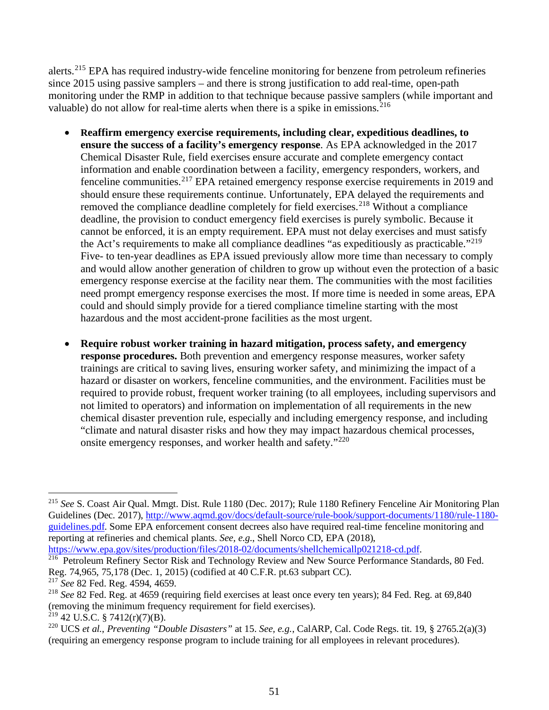alerts.<sup>215</sup> EPA has required industry-wide fenceline monitoring for benzene from petroleum refineries since 2015 using passive samplers – and there is strong justification to add real-time, open-path monitoring under the RMP in addition to that technique because passive samplers (while important and valuable) do not allow for real-time alerts when there is a spike in emissions.<sup>216</sup>

- **Reaffirm emergency exercise requirements, including clear, expeditious deadlines, to ensure the success of a facility's emergency response**. As EPA acknowledged in the 2017 Chemical Disaster Rule, field exercises ensure accurate and complete emergency contact information and enable coordination between a facility, emergency responders, workers, and fenceline communities.<sup>217</sup> EPA retained emergency response exercise requirements in 2019 and should ensure these requirements continue. Unfortunately, EPA delayed the requirements and removed the compliance deadline completely for field exercises.<sup>218</sup> Without a compliance deadline, the provision to conduct emergency field exercises is purely symbolic. Because it cannot be enforced, it is an empty requirement. EPA must not delay exercises and must satisfy the Act's requirements to make all compliance deadlines "as expeditiously as practicable."<sup>219</sup> Five- to ten-year deadlines as EPA issued previously allow more time than necessary to comply and would allow another generation of children to grow up without even the protection of a basic emergency response exercise at the facility near them. The communities with the most facilities need prompt emergency response exercises the most. If more time is needed in some areas, EPA could and should simply provide for a tiered compliance timeline starting with the most hazardous and the most accident-prone facilities as the most urgent.
- **Require robust worker training in hazard mitigation, process safety, and emergency response procedures.** Both prevention and emergency response measures, worker safety trainings are critical to saving lives, ensuring worker safety, and minimizing the impact of a hazard or disaster on workers, fenceline communities, and the environment. Facilities must be required to provide robust, frequent worker training (to all employees, including supervisors and not limited to operators) and information on implementation of all requirements in the new chemical disaster prevention rule, especially and including emergency response, and including "climate and natural disaster risks and how they may impact hazardous chemical processes, onsite emergency responses, and worker health and safety."<sup>220</sup>

<sup>215</sup> *See* S. Coast Air Qual. Mmgt. Dist. Rule 1180 (Dec. 2017); Rule 1180 Refinery Fenceline Air Monitoring Plan Guidelines (Dec. 2017), http://www.aqmd.gov/docs/default-source/rule-book/support-documents/1180/rule-1180 guidelines.pdf. Some EPA enforcement consent decrees also have required real-time fenceline monitoring and reporting at refineries and chemical plants. *See, e.g.*, Shell Norco CD, EPA (2018), https://www.epa.gov/sites/production/files/2018-02/documents/shellchemicallp021218-cd.pdf.

<sup>&</sup>lt;sup>216</sup> Petroleum Refinery Sector Risk and Technology Review and New Source Performance Standards, 80 Fed. Reg. 74,965, 75,178 (Dec. 1, 2015) (codified at 40 C.F.R. pt.63 subpart CC). <sup>217</sup> *See* 82 Fed. Reg. 4594, 4659.

<sup>218</sup> *See* 82 Fed. Reg. at 4659 (requiring field exercises at least once every ten years); 84 Fed. Reg. at 69,840 (removing the minimum frequency requirement for field exercises).

 $219$  42 U.S.C. § 7412(r)(7)(B).

<sup>220</sup> UCS *et al.*, *Preventing "Double Disasters"* at 15. *See, e.g.*, CalARP, Cal. Code Regs. tit. 19, § 2765.2(a)(3) (requiring an emergency response program to include training for all employees in relevant procedures).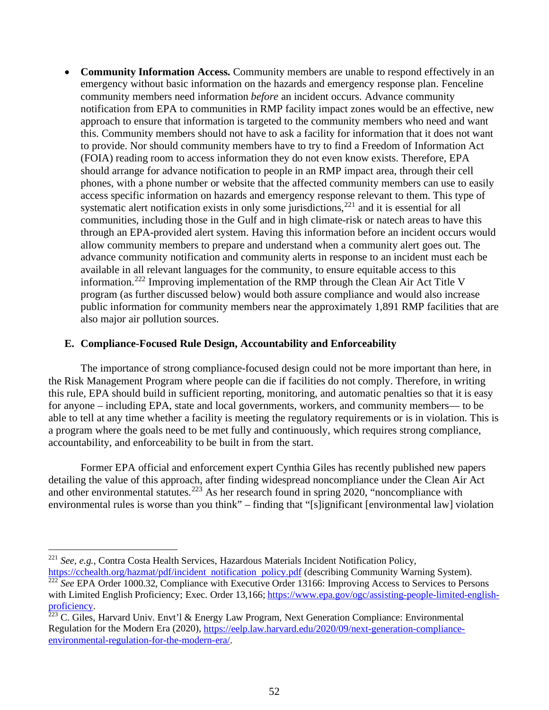• **Community Information Access.** Community members are unable to respond effectively in an emergency without basic information on the hazards and emergency response plan. Fenceline community members need information *before* an incident occurs. Advance community notification from EPA to communities in RMP facility impact zones would be an effective, new approach to ensure that information is targeted to the community members who need and want this. Community members should not have to ask a facility for information that it does not want to provide. Nor should community members have to try to find a Freedom of Information Act (FOIA) reading room to access information they do not even know exists. Therefore, EPA should arrange for advance notification to people in an RMP impact area, through their cell phones, with a phone number or website that the affected community members can use to easily access specific information on hazards and emergency response relevant to them. This type of systematic alert notification exists in only some jurisdictions,<sup>221</sup> and it is essential for all communities, including those in the Gulf and in high climate-risk or natech areas to have this through an EPA-provided alert system. Having this information before an incident occurs would allow community members to prepare and understand when a community alert goes out. The advance community notification and community alerts in response to an incident must each be available in all relevant languages for the community, to ensure equitable access to this information.<sup>222</sup> Improving implementation of the RMP through the Clean Air Act Title V program (as further discussed below) would both assure compliance and would also increase public information for community members near the approximately 1,891 RMP facilities that are also major air pollution sources.

#### **E. Compliance-Focused Rule Design, Accountability and Enforceability**

The importance of strong compliance-focused design could not be more important than here, in the Risk Management Program where people can die if facilities do not comply. Therefore, in writing this rule, EPA should build in sufficient reporting, monitoring, and automatic penalties so that it is easy for anyone – including EPA, state and local governments, workers, and community members— to be able to tell at any time whether a facility is meeting the regulatory requirements or is in violation. This is a program where the goals need to be met fully and continuously, which requires strong compliance, accountability, and enforceability to be built in from the start.

Former EPA official and enforcement expert Cynthia Giles has recently published new papers detailing the value of this approach, after finding widespread noncompliance under the Clean Air Act and other environmental statutes.<sup>223</sup> As her research found in spring 2020, "noncompliance with environmental rules is worse than you think" – finding that "[s]ignificant [environmental law] violation

<sup>221</sup> *See, e.g.*, Contra Costa Health Services, Hazardous Materials Incident Notification Policy, https://cchealth.org/hazmat/pdf/incident notification policy.pdf (describing Community Warning System).

<sup>&</sup>lt;sup>222</sup> See EPA Order 1000.32, Compliance with Executive Order 13166: Improving Access to Services to Persons with Limited English Proficiency; Exec. Order 13,166; https://www.epa.gov/ogc/assisting-people-limited-englishproficiency.<br><sup>223</sup> C. Giles, Harvard Univ. Envt'l & Energy Law Program, Next Generation Compliance: Environmental

Regulation for the Modern Era (2020), https://eelp.law.harvard.edu/2020/09/next-generation-complianceenvironmental-regulation-for-the-modern-era/.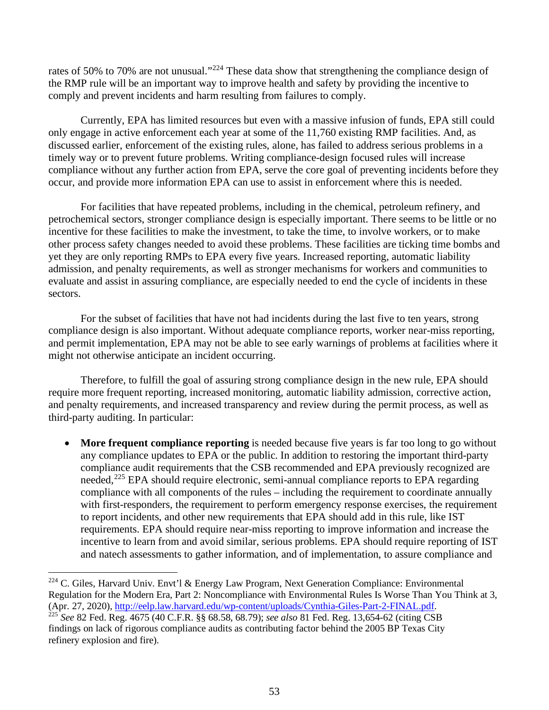rates of 50% to 70% are not unusual."<sup>224</sup> These data show that strengthening the compliance design of the RMP rule will be an important way to improve health and safety by providing the incentive to comply and prevent incidents and harm resulting from failures to comply.

Currently, EPA has limited resources but even with a massive infusion of funds, EPA still could only engage in active enforcement each year at some of the 11,760 existing RMP facilities. And, as discussed earlier, enforcement of the existing rules, alone, has failed to address serious problems in a timely way or to prevent future problems. Writing compliance-design focused rules will increase compliance without any further action from EPA, serve the core goal of preventing incidents before they occur, and provide more information EPA can use to assist in enforcement where this is needed.

For facilities that have repeated problems, including in the chemical, petroleum refinery, and petrochemical sectors, stronger compliance design is especially important. There seems to be little or no incentive for these facilities to make the investment, to take the time, to involve workers, or to make other process safety changes needed to avoid these problems. These facilities are ticking time bombs and yet they are only reporting RMPs to EPA every five years. Increased reporting, automatic liability admission, and penalty requirements, as well as stronger mechanisms for workers and communities to evaluate and assist in assuring compliance, are especially needed to end the cycle of incidents in these sectors.

For the subset of facilities that have not had incidents during the last five to ten years, strong compliance design is also important. Without adequate compliance reports, worker near-miss reporting, and permit implementation, EPA may not be able to see early warnings of problems at facilities where it might not otherwise anticipate an incident occurring.

Therefore, to fulfill the goal of assuring strong compliance design in the new rule, EPA should require more frequent reporting, increased monitoring, automatic liability admission, corrective action, and penalty requirements, and increased transparency and review during the permit process, as well as third-party auditing. In particular:

**More frequent compliance reporting** is needed because five years is far too long to go without any compliance updates to EPA or the public. In addition to restoring the important third-party compliance audit requirements that the CSB recommended and EPA previously recognized are needed,<sup>225</sup> EPA should require electronic, semi-annual compliance reports to EPA regarding compliance with all components of the rules – including the requirement to coordinate annually with first-responders, the requirement to perform emergency response exercises, the requirement to report incidents, and other new requirements that EPA should add in this rule, like IST requirements. EPA should require near-miss reporting to improve information and increase the incentive to learn from and avoid similar, serious problems. EPA should require reporting of IST and natech assessments to gather information, and of implementation, to assure compliance and

<sup>&</sup>lt;sup>224</sup> C. Giles, Harvard Univ. Envt'l & Energy Law Program, Next Generation Compliance: Environmental Regulation for the Modern Era, Part 2: Noncompliance with Environmental Rules Is Worse Than You Think at 3, (Apr. 27, 2020), http://eelp.law.harvard.edu/wp-content/uploads/Cynthia-Giles-Part-2-FINAL.pdf. <sup>225</sup> See 82 Fed. Reg. 4675 (40 C.F.R. §§ 68.58, 68.79); *see also* 81 Fed. Reg. 13,654-62 (citing CSB

findings on lack of rigorous compliance audits as contributing factor behind the 2005 BP Texas City refinery explosion and fire).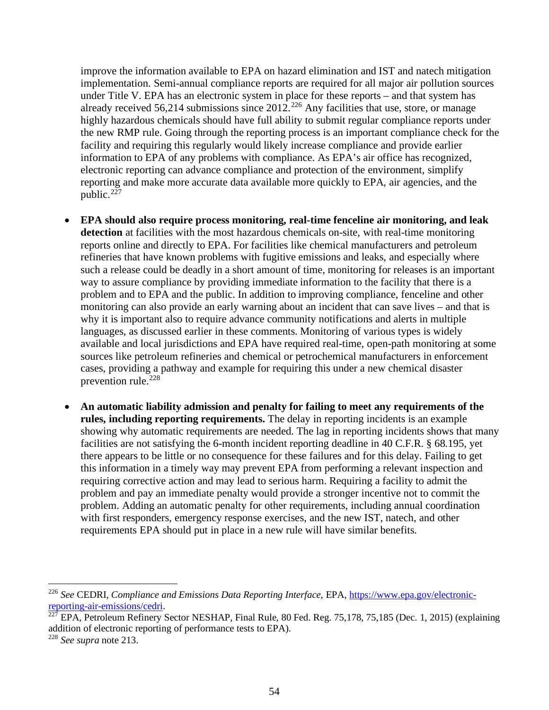improve the information available to EPA on hazard elimination and IST and natech mitigation implementation. Semi-annual compliance reports are required for all major air pollution sources under Title V. EPA has an electronic system in place for these reports – and that system has already received 56,214 submissions since  $2012$ <sup>226</sup> Any facilities that use, store, or manage highly hazardous chemicals should have full ability to submit regular compliance reports under the new RMP rule. Going through the reporting process is an important compliance check for the facility and requiring this regularly would likely increase compliance and provide earlier information to EPA of any problems with compliance. As EPA's air office has recognized, electronic reporting can advance compliance and protection of the environment, simplify reporting and make more accurate data available more quickly to EPA, air agencies, and the public. $227$ 

- **EPA should also require process monitoring, real-time fenceline air monitoring, and leak detection** at facilities with the most hazardous chemicals on-site, with real-time monitoring reports online and directly to EPA. For facilities like chemical manufacturers and petroleum refineries that have known problems with fugitive emissions and leaks, and especially where such a release could be deadly in a short amount of time, monitoring for releases is an important way to assure compliance by providing immediate information to the facility that there is a problem and to EPA and the public. In addition to improving compliance, fenceline and other monitoring can also provide an early warning about an incident that can save lives – and that is why it is important also to require advance community notifications and alerts in multiple languages, as discussed earlier in these comments. Monitoring of various types is widely available and local jurisdictions and EPA have required real-time, open-path monitoring at some sources like petroleum refineries and chemical or petrochemical manufacturers in enforcement cases, providing a pathway and example for requiring this under a new chemical disaster prevention rule. 228
- **An automatic liability admission and penalty for failing to meet any requirements of the rules, including reporting requirements.** The delay in reporting incidents is an example showing why automatic requirements are needed. The lag in reporting incidents shows that many facilities are not satisfying the 6-month incident reporting deadline in 40 C.F.R. § 68.195, yet there appears to be little or no consequence for these failures and for this delay. Failing to get this information in a timely way may prevent EPA from performing a relevant inspection and requiring corrective action and may lead to serious harm. Requiring a facility to admit the problem and pay an immediate penalty would provide a stronger incentive not to commit the problem. Adding an automatic penalty for other requirements, including annual coordination with first responders, emergency response exercises, and the new IST, natech, and other requirements EPA should put in place in a new rule will have similar benefits.

<sup>226</sup> *See* CEDRI, *Compliance and Emissions Data Reporting Interface*, EPA, https://www.epa.gov/electronicreporting-air-emissions/cedri.

 $^{227}$  EPA, Petroleum Refinery Sector NESHAP, Final Rule, 80 Fed. Reg. 75,178, 75,185 (Dec. 1, 2015) (explaining addition of electronic reporting of performance tests to EPA).

<sup>228</sup> *See supra* note 213.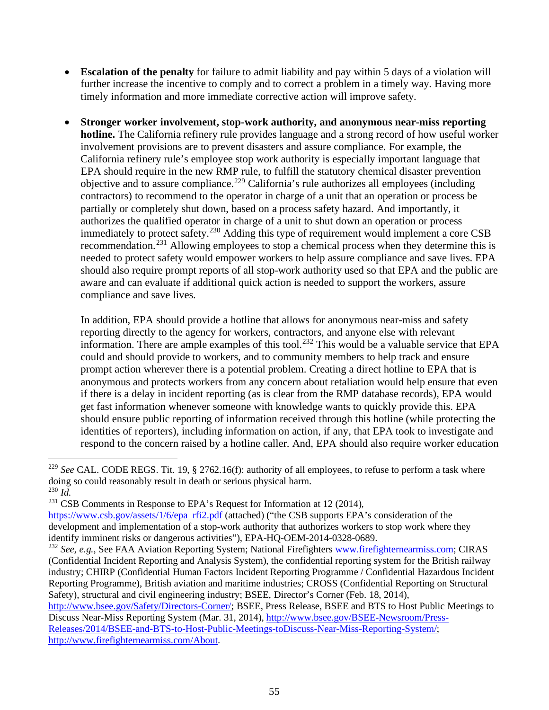- **Escalation of the penalty** for failure to admit liability and pay within 5 days of a violation will further increase the incentive to comply and to correct a problem in a timely way. Having more timely information and more immediate corrective action will improve safety.
- **Stronger worker involvement, stop-work authority, and anonymous near-miss reporting hotline.** The California refinery rule provides language and a strong record of how useful worker involvement provisions are to prevent disasters and assure compliance. For example, the California refinery rule's employee stop work authority is especially important language that EPA should require in the new RMP rule, to fulfill the statutory chemical disaster prevention objective and to assure compliance.<sup>229</sup> California's rule authorizes all employees (including contractors) to recommend to the operator in charge of a unit that an operation or process be partially or completely shut down, based on a process safety hazard. And importantly, it authorizes the qualified operator in charge of a unit to shut down an operation or process immediately to protect safety.<sup>230</sup> Adding this type of requirement would implement a core CSB recommendation.<sup>231</sup> Allowing employees to stop a chemical process when they determine this is needed to protect safety would empower workers to help assure compliance and save lives. EPA should also require prompt reports of all stop-work authority used so that EPA and the public are aware and can evaluate if additional quick action is needed to support the workers, assure compliance and save lives.

In addition, EPA should provide a hotline that allows for anonymous near-miss and safety reporting directly to the agency for workers, contractors, and anyone else with relevant information. There are ample examples of this tool.<sup>232</sup> This would be a valuable service that EPA could and should provide to workers, and to community members to help track and ensure prompt action wherever there is a potential problem. Creating a direct hotline to EPA that is anonymous and protects workers from any concern about retaliation would help ensure that even if there is a delay in incident reporting (as is clear from the RMP database records), EPA would get fast information whenever someone with knowledge wants to quickly provide this. EPA should ensure public reporting of information received through this hotline (while protecting the identities of reporters), including information on action, if any, that EPA took to investigate and respond to the concern raised by a hotline caller. And, EPA should also require worker education

<sup>&</sup>lt;sup>229</sup> See CAL. CODE REGS. Tit. 19, § 2762.16(f): authority of all employees, to refuse to perform a task where doing so could reasonably result in death or serious physical harm. <sup>230</sup> *Id.*

 $231$  CSB Comments in Response to EPA's Request for Information at 12 (2014),

https://www.csb.gov/assets/1/6/epa rfi2.pdf (attached) ("the CSB supports EPA's consideration of the development and implementation of a stop-work authority that authorizes workers to stop work where they identify imminent risks or dangerous activities"), EPA-HQ-OEM-2014-0328-0689.

<sup>&</sup>lt;sup>232</sup> See, e.g., See FAA Aviation Reporting System; National Firefighters www.firefighternearmiss.com; CIRAS (Confidential Incident Reporting and Analysis System), the confidential reporting system for the British railway industry; CHIRP (Confidential Human Factors Incident Reporting Programme / Confidential Hazardous Incident Reporting Programme), British aviation and maritime industries; CROSS (Confidential Reporting on Structural Safety), structural and civil engineering industry; BSEE, Director's Corner (Feb. 18, 2014),

http://www.bsee.gov/Safety/Directors-Corner/; BSEE, Press Release, BSEE and BTS to Host Public Meetings to Discuss Near-Miss Reporting System (Mar. 31, 2014), http://www.bsee.gov/BSEE-Newsroom/Press-Releases/2014/BSEE-and-BTS-to-Host-Public-Meetings-toDiscuss-Near-Miss-Reporting-System/; http://www.firefighternearmiss.com/About.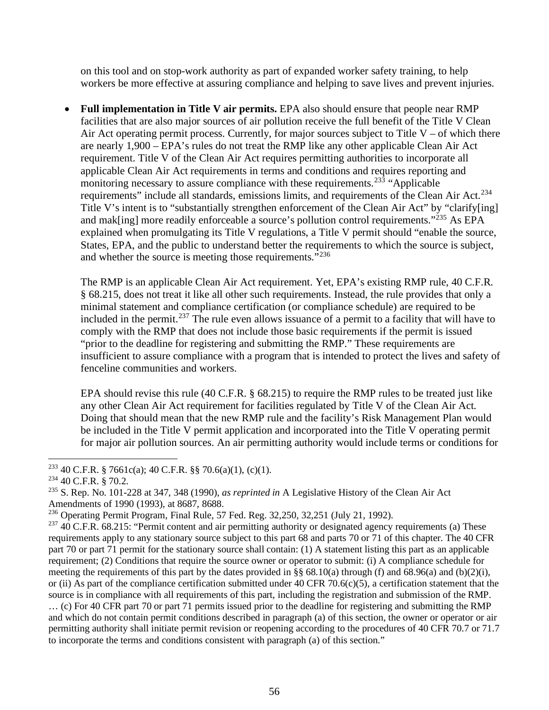on this tool and on stop-work authority as part of expanded worker safety training, to help workers be more effective at assuring compliance and helping to save lives and prevent injuries.

• **Full implementation in Title V air permits.** EPA also should ensure that people near RMP facilities that are also major sources of air pollution receive the full benefit of the Title V Clean Air Act operating permit process. Currently, for major sources subject to Title  $V - of$  which there are nearly 1,900 – EPA's rules do not treat the RMP like any other applicable Clean Air Act requirement. Title V of the Clean Air Act requires permitting authorities to incorporate all applicable Clean Air Act requirements in terms and conditions and requires reporting and monitoring necessary to assure compliance with these requirements.<sup>233</sup> "Applicable" requirements" include all standards, emissions limits, and requirements of the Clean Air Act.<sup>234</sup> Title V's intent is to "substantially strengthen enforcement of the Clean Air Act" by "clarify[ing] and mak[ing] more readily enforceable a source's pollution control requirements." $^{235}$  As EPA explained when promulgating its Title V regulations, a Title V permit should "enable the source, States, EPA, and the public to understand better the requirements to which the source is subject, and whether the source is meeting those requirements."<sup>236</sup>

The RMP is an applicable Clean Air Act requirement. Yet, EPA's existing RMP rule, 40 C.F.R. § 68.215, does not treat it like all other such requirements. Instead, the rule provides that only a minimal statement and compliance certification (or compliance schedule) are required to be included in the permit.<sup>237</sup> The rule even allows issuance of a permit to a facility that will have to comply with the RMP that does not include those basic requirements if the permit is issued "prior to the deadline for registering and submitting the RMP." These requirements are insufficient to assure compliance with a program that is intended to protect the lives and safety of fenceline communities and workers.

EPA should revise this rule (40 C.F.R. § 68.215) to require the RMP rules to be treated just like any other Clean Air Act requirement for facilities regulated by Title V of the Clean Air Act. Doing that should mean that the new RMP rule and the facility's Risk Management Plan would be included in the Title V permit application and incorporated into the Title V operating permit for major air pollution sources. An air permitting authority would include terms or conditions for

<sup>233</sup> 40 C.F.R. § 7661c(a); 40 C.F.R. §§ 70.6(a)(1), (c)(1).

<sup>234</sup> 40 C.F.R. § 70.2.

<sup>235</sup> S. Rep. No. 101-228 at 347, 348 (1990), *as reprinted in* A Legislative History of the Clean Air Act Amendments of 1990 (1993), at 8687, 8688.

<sup>236</sup> Operating Permit Program, Final Rule, 57 Fed. Reg. 32,250, 32,251 (July 21, 1992).

 $237$  40 C.F.R. 68.215: "Permit content and air permitting authority or designated agency requirements (a) These requirements apply to any stationary source subject to this part 68 and parts 70 or 71 of this chapter. The 40 CFR part 70 or part 71 permit for the stationary source shall contain: (1) A statement listing this part as an applicable requirement; (2) Conditions that require the source owner or operator to submit: (i) A compliance schedule for meeting the requirements of this part by the dates provided in §§ 68.10(a) through (f) and 68.96(a) and (b)(2)(i), or (ii) As part of the compliance certification submitted under 40 CFR 70.6(c)(5), a certification statement that the source is in compliance with all requirements of this part, including the registration and submission of the RMP. … (c) For 40 CFR part 70 or part 71 permits issued prior to the deadline for registering and submitting the RMP and which do not contain permit conditions described in paragraph (a) of this section, the owner or operator or air permitting authority shall initiate permit revision or reopening according to the procedures of 40 CFR 70.7 or 71.7 to incorporate the terms and conditions consistent with paragraph (a) of this section."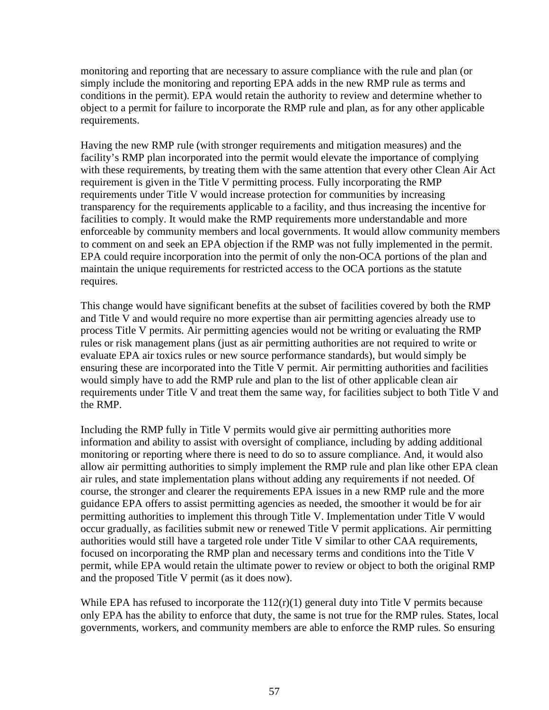monitoring and reporting that are necessary to assure compliance with the rule and plan (or simply include the monitoring and reporting EPA adds in the new RMP rule as terms and conditions in the permit). EPA would retain the authority to review and determine whether to object to a permit for failure to incorporate the RMP rule and plan, as for any other applicable requirements.

Having the new RMP rule (with stronger requirements and mitigation measures) and the facility's RMP plan incorporated into the permit would elevate the importance of complying with these requirements, by treating them with the same attention that every other Clean Air Act requirement is given in the Title V permitting process. Fully incorporating the RMP requirements under Title V would increase protection for communities by increasing transparency for the requirements applicable to a facility, and thus increasing the incentive for facilities to comply. It would make the RMP requirements more understandable and more enforceable by community members and local governments. It would allow community members to comment on and seek an EPA objection if the RMP was not fully implemented in the permit. EPA could require incorporation into the permit of only the non-OCA portions of the plan and maintain the unique requirements for restricted access to the OCA portions as the statute requires.

This change would have significant benefits at the subset of facilities covered by both the RMP and Title V and would require no more expertise than air permitting agencies already use to process Title V permits. Air permitting agencies would not be writing or evaluating the RMP rules or risk management plans (just as air permitting authorities are not required to write or evaluate EPA air toxics rules or new source performance standards), but would simply be ensuring these are incorporated into the Title V permit. Air permitting authorities and facilities would simply have to add the RMP rule and plan to the list of other applicable clean air requirements under Title V and treat them the same way, for facilities subject to both Title V and the RMP.

Including the RMP fully in Title V permits would give air permitting authorities more information and ability to assist with oversight of compliance, including by adding additional monitoring or reporting where there is need to do so to assure compliance. And, it would also allow air permitting authorities to simply implement the RMP rule and plan like other EPA clean air rules, and state implementation plans without adding any requirements if not needed. Of course, the stronger and clearer the requirements EPA issues in a new RMP rule and the more guidance EPA offers to assist permitting agencies as needed, the smoother it would be for air permitting authorities to implement this through Title V. Implementation under Title V would occur gradually, as facilities submit new or renewed Title V permit applications. Air permitting authorities would still have a targeted role under Title V similar to other CAA requirements, focused on incorporating the RMP plan and necessary terms and conditions into the Title V permit, while EPA would retain the ultimate power to review or object to both the original RMP and the proposed Title V permit (as it does now).

While EPA has refused to incorporate the  $112(r)(1)$  general duty into Title V permits because only EPA has the ability to enforce that duty, the same is not true for the RMP rules. States, local governments, workers, and community members are able to enforce the RMP rules. So ensuring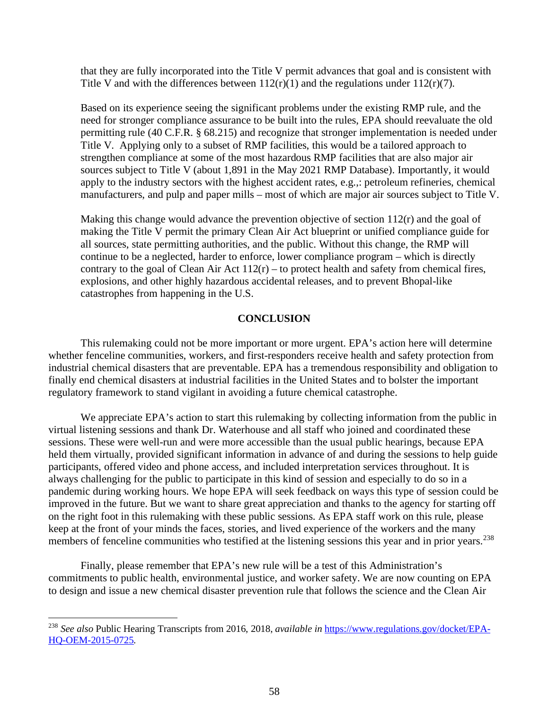that they are fully incorporated into the Title V permit advances that goal and is consistent with Title V and with the differences between  $112(r)(1)$  and the regulations under  $112(r)(7)$ .

Based on its experience seeing the significant problems under the existing RMP rule, and the need for stronger compliance assurance to be built into the rules, EPA should reevaluate the old permitting rule (40 C.F.R. § 68.215) and recognize that stronger implementation is needed under Title V. Applying only to a subset of RMP facilities, this would be a tailored approach to strengthen compliance at some of the most hazardous RMP facilities that are also major air sources subject to Title V (about 1,891 in the May 2021 RMP Database). Importantly, it would apply to the industry sectors with the highest accident rates, e.g.,: petroleum refineries, chemical manufacturers, and pulp and paper mills – most of which are major air sources subject to Title V.

Making this change would advance the prevention objective of section  $112(r)$  and the goal of making the Title V permit the primary Clean Air Act blueprint or unified compliance guide for all sources, state permitting authorities, and the public. Without this change, the RMP will continue to be a neglected, harder to enforce, lower compliance program – which is directly contrary to the goal of Clean Air Act  $112(r)$  – to protect health and safety from chemical fires, explosions, and other highly hazardous accidental releases, and to prevent Bhopal-like catastrophes from happening in the U.S.

#### **CONCLUSION**

This rulemaking could not be more important or more urgent. EPA's action here will determine whether fenceline communities, workers, and first-responders receive health and safety protection from industrial chemical disasters that are preventable. EPA has a tremendous responsibility and obligation to finally end chemical disasters at industrial facilities in the United States and to bolster the important regulatory framework to stand vigilant in avoiding a future chemical catastrophe.

We appreciate EPA's action to start this rulemaking by collecting information from the public in virtual listening sessions and thank Dr. Waterhouse and all staff who joined and coordinated these sessions. These were well-run and were more accessible than the usual public hearings, because EPA held them virtually, provided significant information in advance of and during the sessions to help guide participants, offered video and phone access, and included interpretation services throughout. It is always challenging for the public to participate in this kind of session and especially to do so in a pandemic during working hours. We hope EPA will seek feedback on ways this type of session could be improved in the future. But we want to share great appreciation and thanks to the agency for starting off on the right foot in this rulemaking with these public sessions. As EPA staff work on this rule, please keep at the front of your minds the faces, stories, and lived experience of the workers and the many members of fenceline communities who testified at the listening sessions this year and in prior years.<sup>238</sup>

Finally, please remember that EPA's new rule will be a test of this Administration's commitments to public health, environmental justice, and worker safety. We are now counting on EPA to design and issue a new chemical disaster prevention rule that follows the science and the Clean Air

<sup>238</sup> *See also* Public Hearing Transcripts from 2016, 2018, *available in* https://www.regulations.gov/docket/EPA-HQ-OEM-2015-0725*.*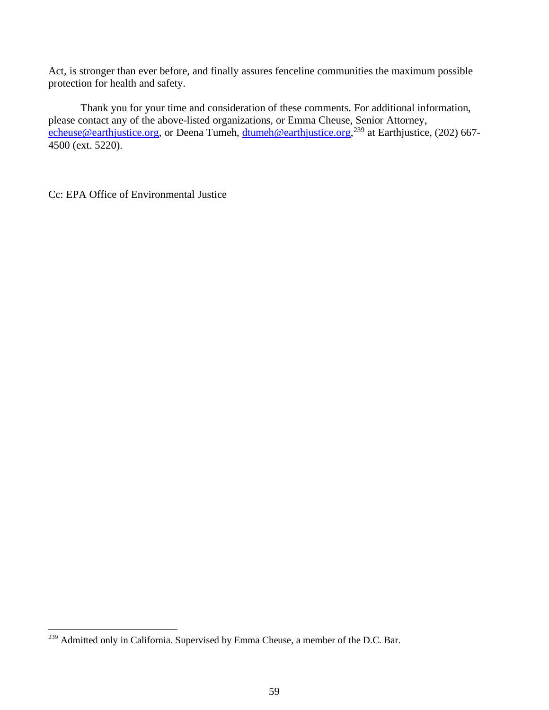Act, is stronger than ever before, and finally assures fenceline communities the maximum possible protection for health and safety.

Thank you for your time and consideration of these comments. For additional information, please contact any of the above-listed organizations, or Emma Cheuse, Senior Attorney, echeuse@earthjustice.org, or Deena Tumeh, dtumeh@earthjustice.org,<sup>239</sup> at Earthjustice, (202) 667-4500 (ext. 5220).

Cc: EPA Office of Environmental Justice

<sup>&</sup>lt;sup>239</sup> Admitted only in California. Supervised by Emma Cheuse, a member of the D.C. Bar.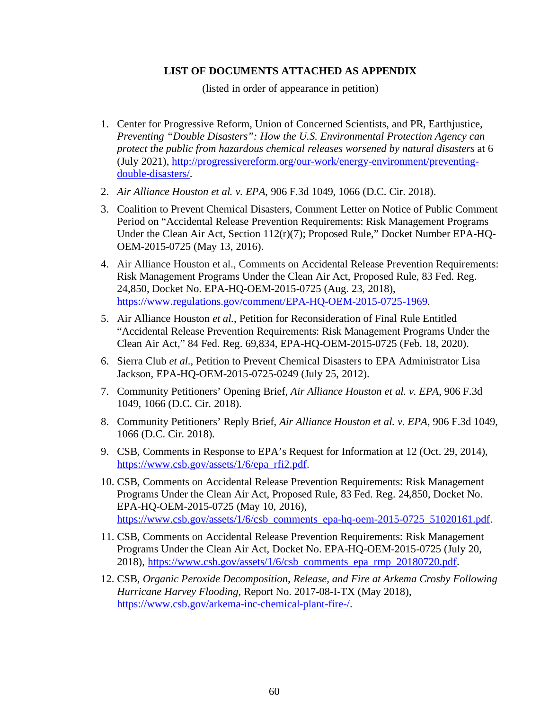#### **LIST OF DOCUMENTS ATTACHED AS APPENDIX**

(listed in order of appearance in petition)

- 1. Center for Progressive Reform, Union of Concerned Scientists, and PR, Earthjustice, *Preventing "Double Disasters": How the U.S. Environmental Protection Agency can protect the public from hazardous chemical releases worsened by natural disasters* at 6 (July 2021), http://progressivereform.org/our-work/energy-environment/preventingdouble-disasters/.
- 2. *Air Alliance Houston et al. v. EPA*, 906 F.3d 1049, 1066 (D.C. Cir. 2018).
- 3. Coalition to Prevent Chemical Disasters, Comment Letter on Notice of Public Comment Period on "Accidental Release Prevention Requirements: Risk Management Programs Under the Clean Air Act, Section 112(r)(7); Proposed Rule," Docket Number EPA-HQ-OEM-2015-0725 (May 13, 2016).
- 4. Air Alliance Houston et al., Comments on Accidental Release Prevention Requirements: Risk Management Programs Under the Clean Air Act, Proposed Rule, 83 Fed. Reg. 24,850, Docket No. EPA-HQ-OEM-2015-0725 (Aug. 23, 2018), https://www.regulations.gov/comment/EPA-HQ-OEM-2015-0725-1969.
- 5. Air Alliance Houston *et al.*, Petition for Reconsideration of Final Rule Entitled "Accidental Release Prevention Requirements: Risk Management Programs Under the Clean Air Act," 84 Fed. Reg. 69,834, EPA-HQ-OEM-2015-0725 (Feb. 18, 2020).
- 6. Sierra Club *et al.*, Petition to Prevent Chemical Disasters to EPA Administrator Lisa Jackson, EPA-HQ-OEM-2015-0725-0249 (July 25, 2012).
- 7. Community Petitioners' Opening Brief, *Air Alliance Houston et al. v. EPA*, 906 F.3d 1049, 1066 (D.C. Cir. 2018).
- 8. Community Petitioners' Reply Brief, *Air Alliance Houston et al. v. EPA*, 906 F.3d 1049, 1066 (D.C. Cir. 2018).
- 9. CSB, Comments in Response to EPA's Request for Information at 12 (Oct. 29, 2014), https://www.csb.gov/assets/1/6/epa\_rfi2.pdf.
- 10. CSB, Comments on Accidental Release Prevention Requirements: Risk Management Programs Under the Clean Air Act, Proposed Rule, 83 Fed. Reg. 24,850, Docket No. EPA-HQ-OEM-2015-0725 (May 10, 2016), https://www.csb.gov/assets/1/6/csb\_comments\_epa-hq-oem-2015-0725\_51020161.pdf.
- 11. CSB, Comments on Accidental Release Prevention Requirements: Risk Management Programs Under the Clean Air Act, Docket No. EPA-HQ-OEM-2015-0725 (July 20, 2018), https://www.csb.gov/assets/1/6/csb comments epa rmp 20180720.pdf.
- 12. CSB, *Organic Peroxide Decomposition, Release, and Fire at Arkema Crosby Following Hurricane Harvey Flooding*, Report No. 2017-08-I-TX (May 2018), https://www.csb.gov/arkema-inc-chemical-plant-fire-/.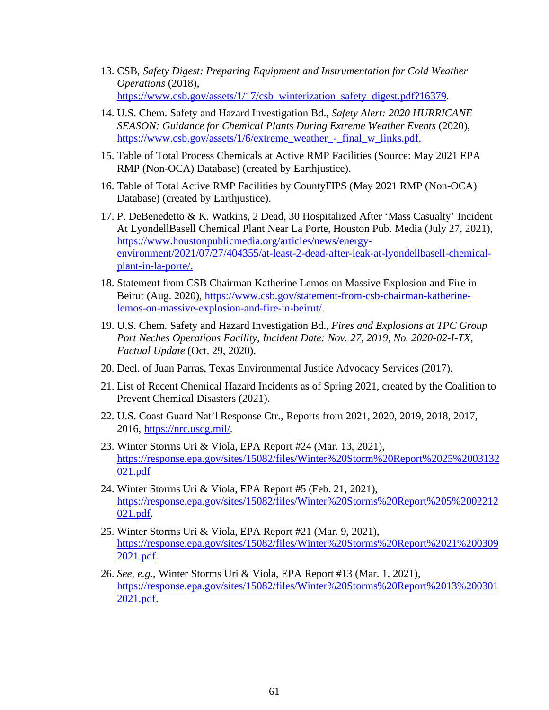- 13. CSB, *Safety Digest: Preparing Equipment and Instrumentation for Cold Weather Operations* (2018), https://www.csb.gov/assets/1/17/csb\_winterization\_safety\_digest.pdf?16379.
- 14. U.S. Chem. Safety and Hazard Investigation Bd., *Safety Alert: 2020 HURRICANE SEASON: Guidance for Chemical Plants During Extreme Weather Events* (2020), https://www.csb.gov/assets/1/6/extreme\_weather\_-\_final\_w\_links.pdf.
- 15. Table of Total Process Chemicals at Active RMP Facilities (Source: May 2021 EPA RMP (Non-OCA) Database) (created by Earthjustice).
- 16. Table of Total Active RMP Facilities by CountyFIPS (May 2021 RMP (Non-OCA) Database) (created by Earthjustice).
- 17. P. DeBenedetto & K. Watkins, 2 Dead, 30 Hospitalized After 'Mass Casualty' Incident At LyondellBasell Chemical Plant Near La Porte, Houston Pub. Media (July 27, 2021), https://www.houstonpublicmedia.org/articles/news/energyenvironment/2021/07/27/404355/at-least-2-dead-after-leak-at-lyondellbasell-chemicalplant-in-la-porte/.
- 18. Statement from CSB Chairman Katherine Lemos on Massive Explosion and Fire in Beirut (Aug. 2020), https://www.csb.gov/statement-from-csb-chairman-katherinelemos-on-massive-explosion-and-fire-in-beirut/.
- 19. U.S. Chem. Safety and Hazard Investigation Bd., *Fires and Explosions at TPC Group Port Neches Operations Facility, Incident Date: Nov. 27, 2019, No. 2020-02-I-TX, Factual Update* (Oct. 29, 2020).
- 20. Decl. of Juan Parras, Texas Environmental Justice Advocacy Services (2017).
- 21. List of Recent Chemical Hazard Incidents as of Spring 2021, created by the Coalition to Prevent Chemical Disasters (2021).
- 22. U.S. Coast Guard Nat'l Response Ctr., Reports from 2021, 2020, 2019, 2018, 2017, 2016, https://nrc.uscg.mil/.
- 23. Winter Storms Uri & Viola, EPA Report #24 (Mar. 13, 2021), https://response.epa.gov/sites/15082/files/Winter%20Storm%20Report%2025%2003132 021.pdf
- 24. Winter Storms Uri & Viola, EPA Report #5 (Feb. 21, 2021), https://response.epa.gov/sites/15082/files/Winter%20Storms%20Report%205%2002212 021.pdf.
- 25. Winter Storms Uri & Viola, EPA Report #21 (Mar. 9, 2021), https://response.epa.gov/sites/15082/files/Winter%20Storms%20Report%2021%200309 2021.pdf.
- 26. *See, e.g.*, Winter Storms Uri & Viola, EPA Report #13 (Mar. 1, 2021), https://response.epa.gov/sites/15082/files/Winter%20Storms%20Report%2013%200301 2021.pdf.